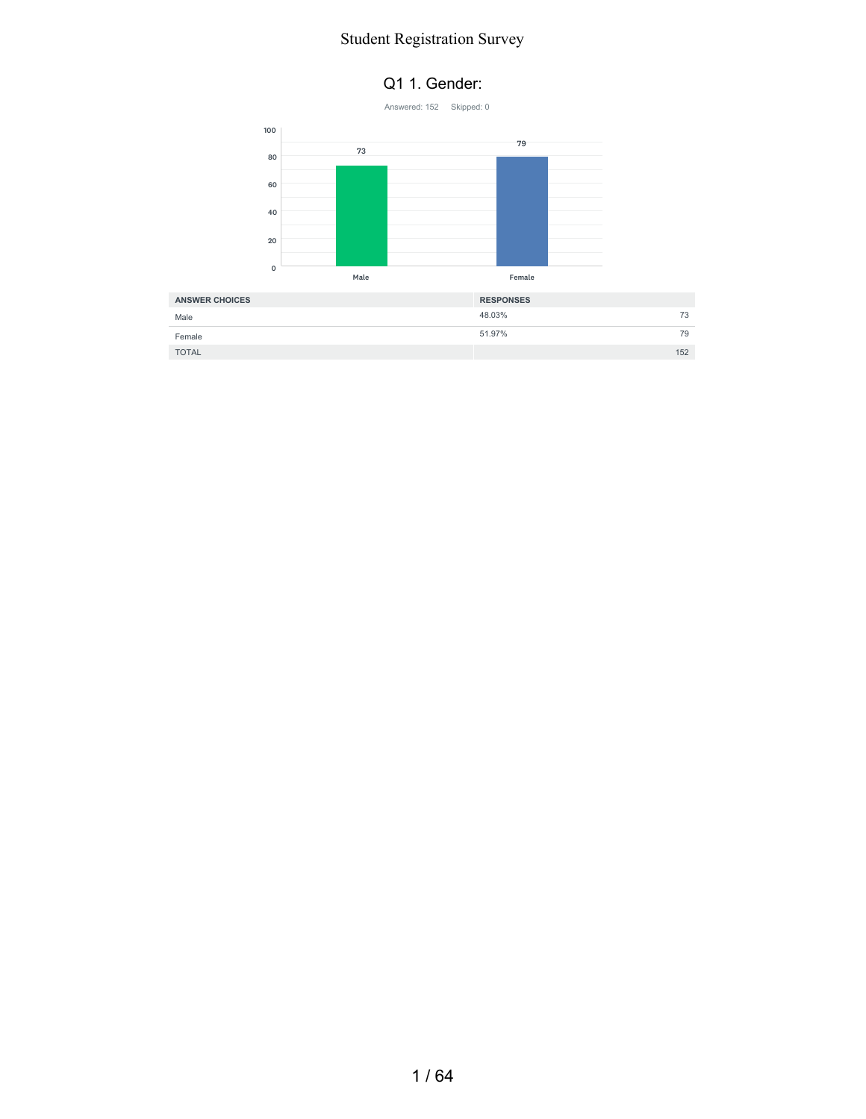#### Q1 1. Gender:



| <b>ANSWER CHOICES</b> | <b>RESPONSES</b> |     |
|-----------------------|------------------|-----|
| Male                  | 48.03%           | 73  |
| Female                | 51.97%           | 79  |
| <b>TOTAL</b>          |                  | 152 |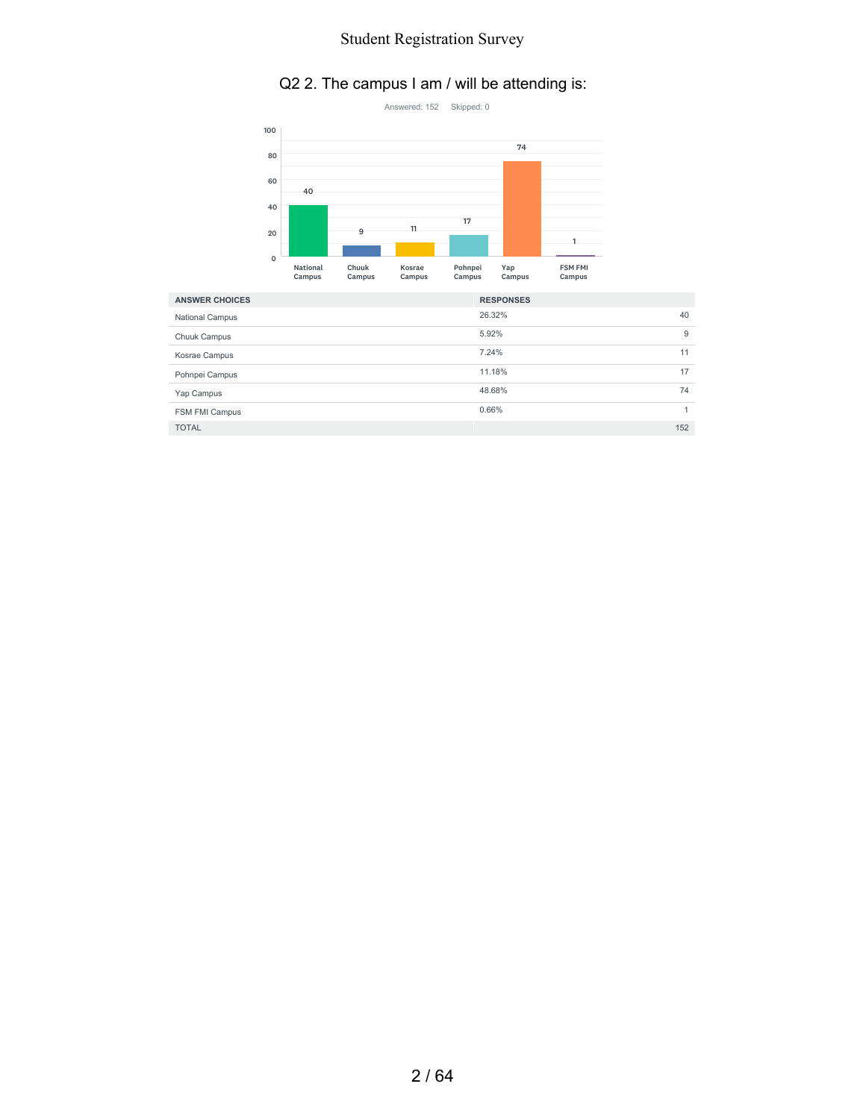#### Q2 2. The campus I am / will be attending is:



| <b>ANSWER CHOICES</b>  | <b>RESPONSES</b> |     |
|------------------------|------------------|-----|
| <b>National Campus</b> | 26.32%           | 40  |
| Chuuk Campus           | 5.92%            | 9   |
| Kosrae Campus          | 7.24%            | 11  |
| Pohnpei Campus         | 11.18%           | 17  |
| Yap Campus             | 48.68%           | 74  |
| FSM FMI Campus         | 0.66%            | 4   |
| <b>TOTAL</b>           |                  | 152 |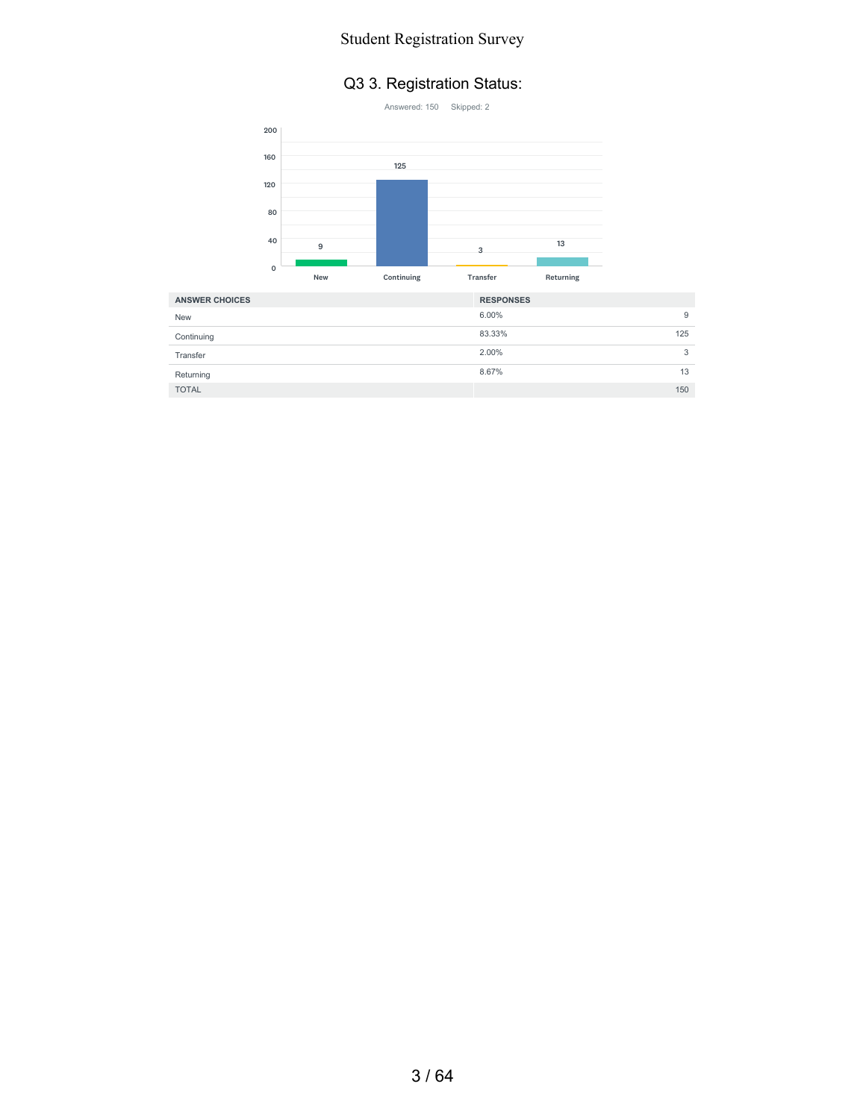#### Q3 3. Registration Status:



| <b>ANSWER CHOICES</b> | <b>RESPONSES</b> |
|-----------------------|------------------|
| <b>New</b>            | 6.00%<br>9       |
| Continuing            | 83.33%<br>125    |
| Transfer              | 2.00%<br>3       |
| Returning             | 8.67%<br>13      |
| <b>TOTAL</b>          | 150              |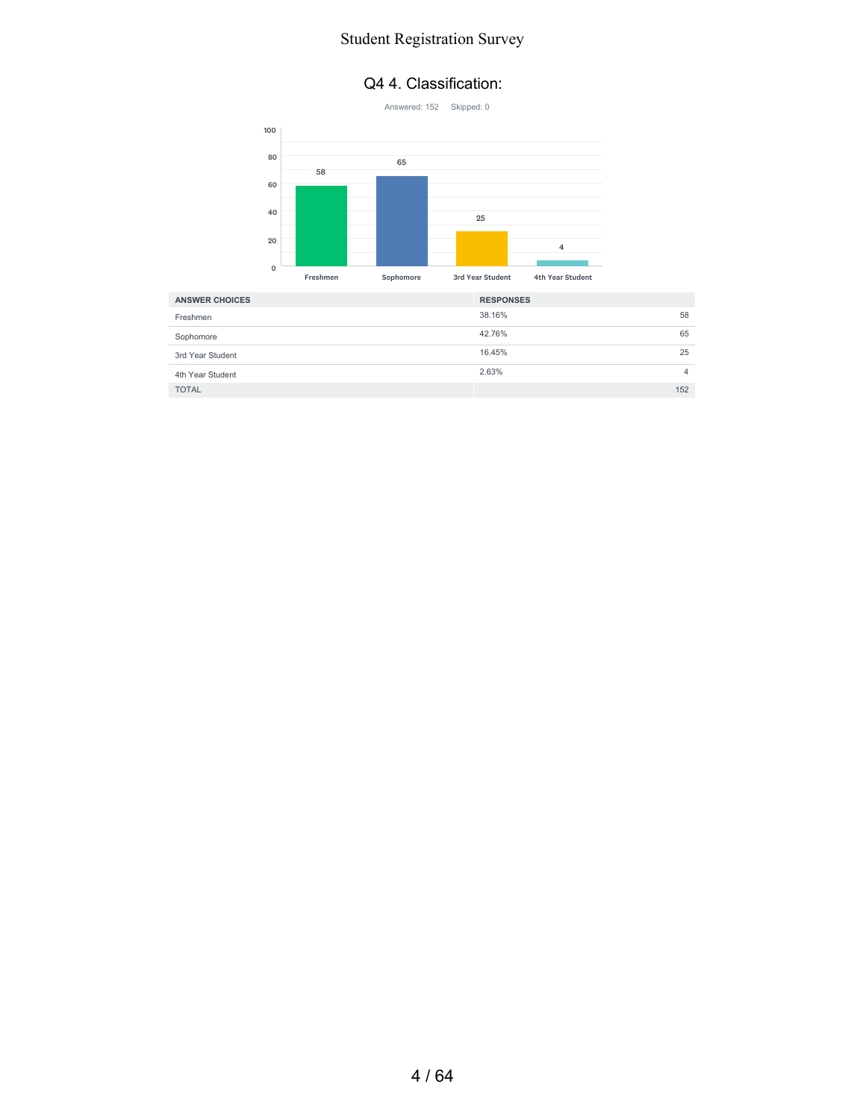#### Q4 4. Classification:



| <b>ANSWER CHOICES</b> | <b>RESPONSES</b> |     |
|-----------------------|------------------|-----|
| Freshmen              | 38.16%           | 58  |
| Sophomore             | 42.76%           | 65  |
| 3rd Year Student      | 16.45%           | 25  |
| 4th Year Student      | 2.63%            | 4   |
| <b>TOTAL</b>          |                  | 152 |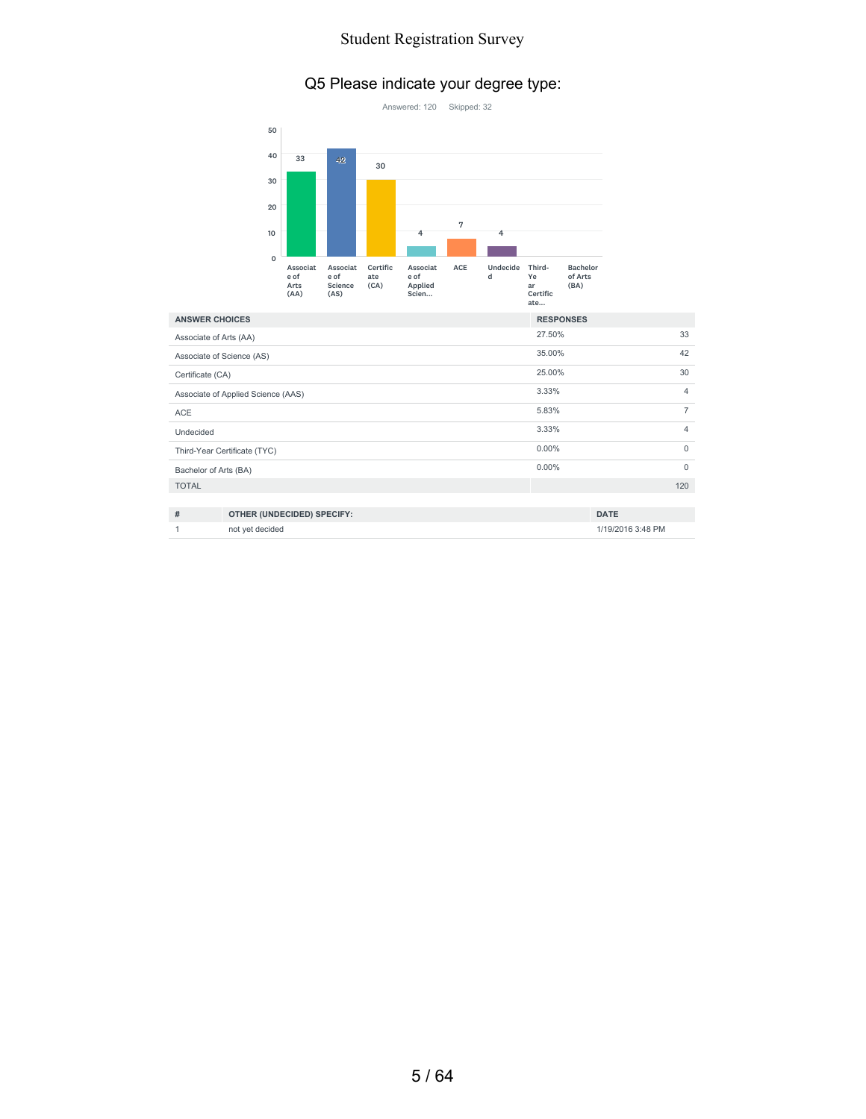#### Q5 Please indicate your degree type:



| <b>ANSWER CHOICES</b>  |                                    | <b>RESPONSES</b> |                |
|------------------------|------------------------------------|------------------|----------------|
| Associate of Arts (AA) |                                    | 27.50%           | 33             |
|                        | Associate of Science (AS)          | 35.00%           | 42             |
| Certificate (CA)       |                                    | 25.00%           | 30             |
|                        | Associate of Applied Science (AAS) | 3.33%            | $\overline{4}$ |
| <b>ACE</b>             |                                    | 5.83%            | $\overline{7}$ |
| Undecided              |                                    | 3.33%            | $\overline{4}$ |
|                        | Third-Year Certificate (TYC)       | $0.00\%$         | $\Omega$       |
| Bachelor of Arts (BA)  |                                    | $0.00\%$         | $\mathbf 0$    |
| <b>TOTAL</b>           |                                    |                  | 120            |
|                        |                                    |                  |                |
| #                      | OTHER (UNDECIDED) SPECIFY:         |                  | <b>DATE</b>    |

1 not yet decided 1/19/2016 3:48 PM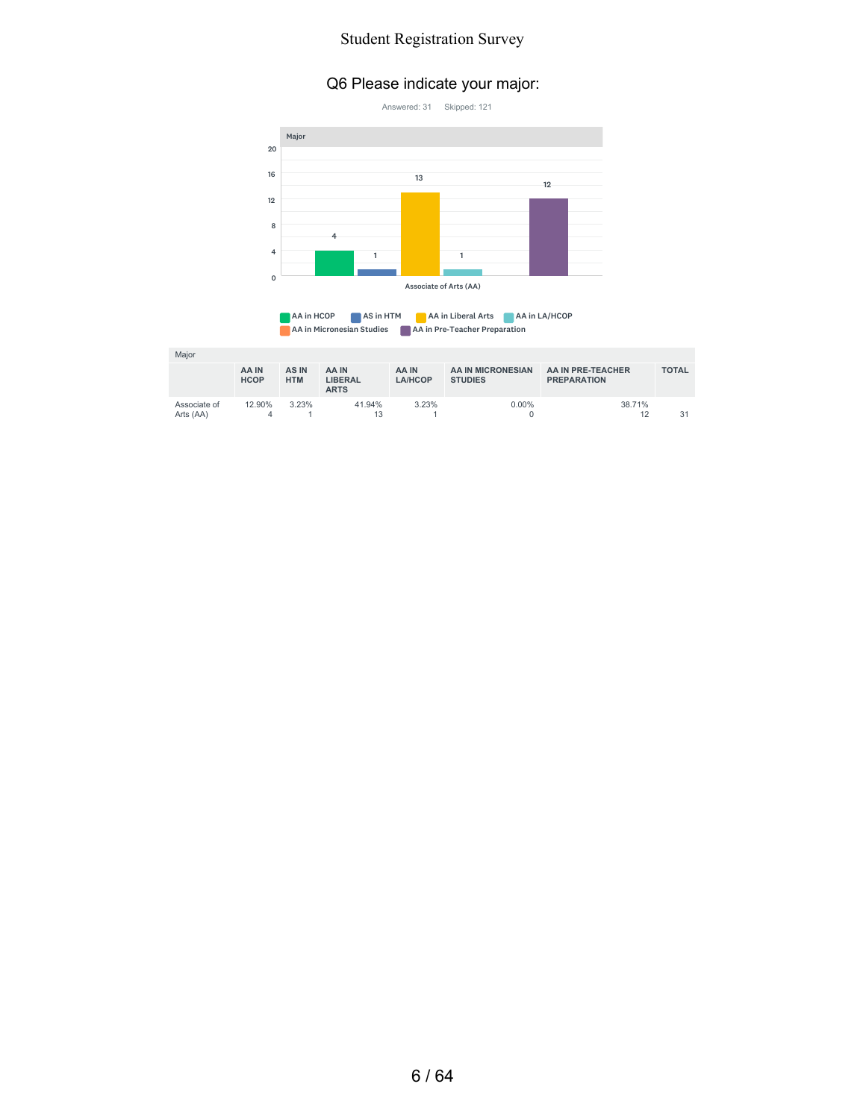#### Q6 Please indicate your major:





| Major                     |                      |                     |                                 |                  |                                     |                                         |              |
|---------------------------|----------------------|---------------------|---------------------------------|------------------|-------------------------------------|-----------------------------------------|--------------|
|                           | AA IN<br><b>HCOP</b> | AS IN<br><b>HTM</b> | AA IN<br>LIBERAL<br><b>ARTS</b> | AA IN<br>LA/HCOP | AA IN MICRONESIAN<br><b>STUDIES</b> | AA IN PRE-TEACHER<br><b>PREPARATION</b> | <b>TOTAL</b> |
| Associate of<br>Arts (AA) | 12.90%<br>4          | 3.23%               | 41.94%                          | 3.23%            | $0.00\%$                            | 38.71%<br>12                            | 31           |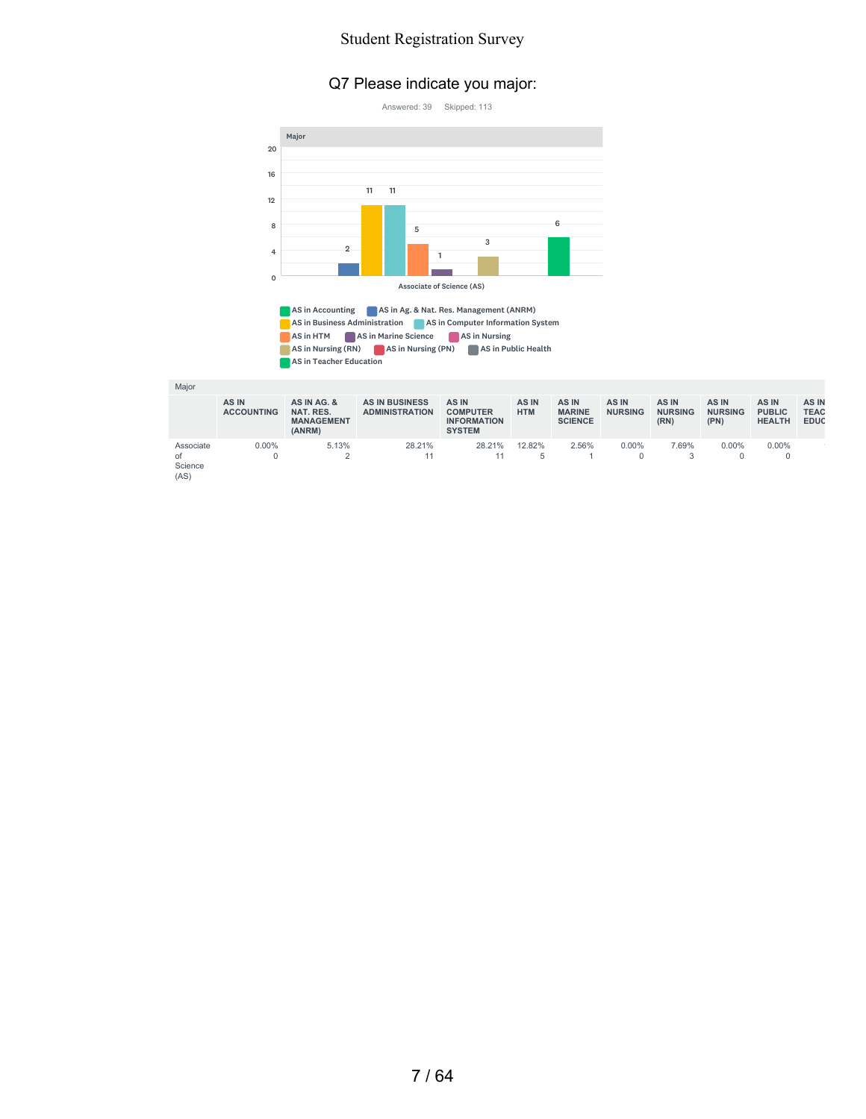#### Q7 Please indicate you major:



AS in Accounting **AS in Ag. & Nat. Res. Management (ANRM)** AS in Business Administration **AS in Computer Information System** AS in HTM AS in Marine Science AS in Nursing AS in Nursing (RN) AS in Nursing (PN) AS in Public Health AS in Teacher Education

Major

|                                    | AS IN<br><b>ACCOUNTING</b> | AS IN AG. &<br>NAT. RES.<br><b>MANAGEMENT</b><br>(ANRM) | <b>AS IN BUSINESS</b><br><b>ADMINISTRATION</b> | AS IN<br><b>COMPUTER</b><br><b>INFORMATION</b><br><b>SYSTEM</b> | AS IN<br><b>HTM</b> | AS IN<br><b>MARINE</b><br><b>SCIENCE</b> | AS IN<br><b>NURSING</b> | AS IN<br><b>NURSING</b><br>(RN) | AS IN<br><b>NURSING</b><br>(PN) | AS IN<br><b>PUBLIC</b><br><b>HEALTH</b> | AS IN<br><b>TEAC</b><br><b>EDUC</b> |
|------------------------------------|----------------------------|---------------------------------------------------------|------------------------------------------------|-----------------------------------------------------------------|---------------------|------------------------------------------|-------------------------|---------------------------------|---------------------------------|-----------------------------------------|-------------------------------------|
| Associate<br>of<br>Science<br>(AS) | $0.00\%$                   | 5.13%                                                   | 28.21%                                         | 28.21%                                                          | 12.82%<br>ь         | 2.56%                                    | $0.00\%$                | 7.69%                           | $0.00\%$                        | $0.00\%$                                |                                     |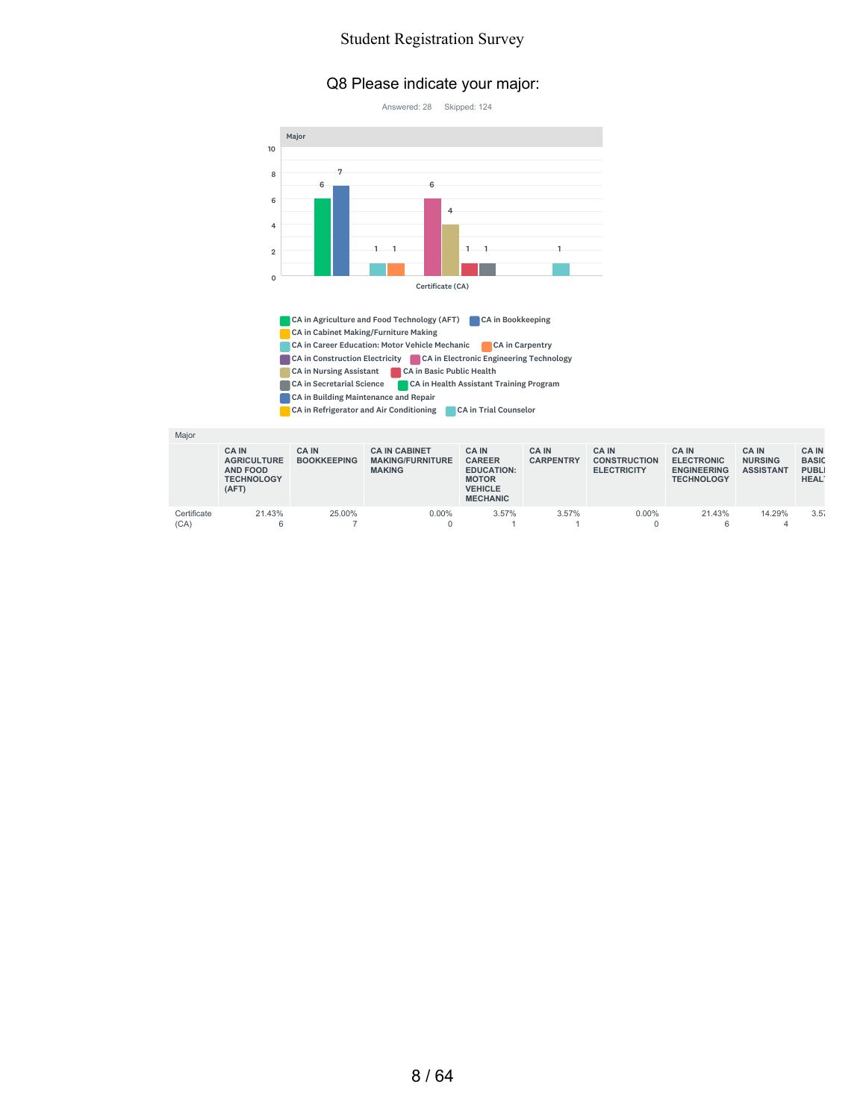#### Q8 Please indicate your major:



CA in Nursing Assistant **CA** in Basic Public Health CA in Secretarial Science CA in Health Assistant Training Program CA in Building Maintenance and Repair

CA in Refrigerator and Air Conditioning CA in Trial Counselor

| Major               |                                                                             |                                   |                                                                  |                                                                                                        |                                 |                                                           |                                                                              |                                                   |                                                            |
|---------------------|-----------------------------------------------------------------------------|-----------------------------------|------------------------------------------------------------------|--------------------------------------------------------------------------------------------------------|---------------------------------|-----------------------------------------------------------|------------------------------------------------------------------------------|---------------------------------------------------|------------------------------------------------------------|
|                     | <b>CAIN</b><br><b>AGRICULTURE</b><br>AND FOOD<br><b>TECHNOLOGY</b><br>(AFT) | <b>CAIN</b><br><b>BOOKKEEPING</b> | <b>CA IN CABINET</b><br><b>MAKING/FURNITURE</b><br><b>MAKING</b> | <b>CAIN</b><br><b>CAREER</b><br><b>EDUCATION:</b><br><b>MOTOR</b><br><b>VEHICLE</b><br><b>MECHANIC</b> | <b>CAIN</b><br><b>CARPENTRY</b> | <b>CA IN</b><br><b>CONSTRUCTION</b><br><b>ELECTRICITY</b> | <b>CA IN</b><br><b>ELECTRONIC</b><br><b>ENGINEERING</b><br><b>TECHNOLOGY</b> | <b>CAIN</b><br><b>NURSING</b><br><b>ASSISTANT</b> | <b>CAIN</b><br><b>BASIC</b><br><b>PUBLI</b><br><b>HEAL</b> |
| Certificate<br>(CA) | 21.43%<br>6                                                                 | 25.00%                            | $0.00\%$                                                         | 3.57%                                                                                                  | 3.57%                           | $0.00\%$                                                  | 21.43%<br>6                                                                  | 14.29%<br>4                                       | 3.57                                                       |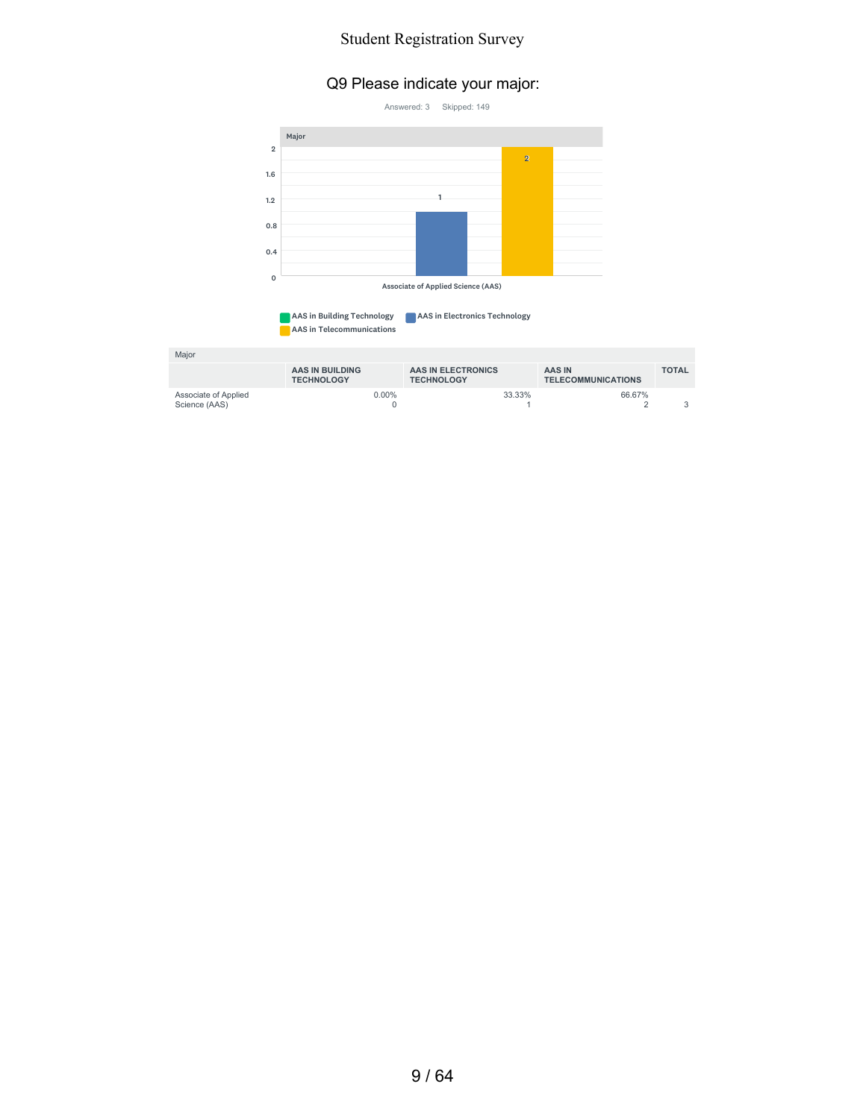#### Q9 Please indicate your major:



AAS in Telecommunications

| Maior                                 |                                      |                                         |                                            |              |
|---------------------------------------|--------------------------------------|-----------------------------------------|--------------------------------------------|--------------|
|                                       | AAS IN BUILDING<br><b>TECHNOLOGY</b> | AAS IN ELECTRONICS<br><b>TECHNOLOGY</b> | <b>AAS IN</b><br><b>TELECOMMUNICATIONS</b> | <b>TOTAL</b> |
| Associate of Applied<br>Science (AAS) | $0.00\%$                             | 33.33%                                  | 66.67%                                     |              |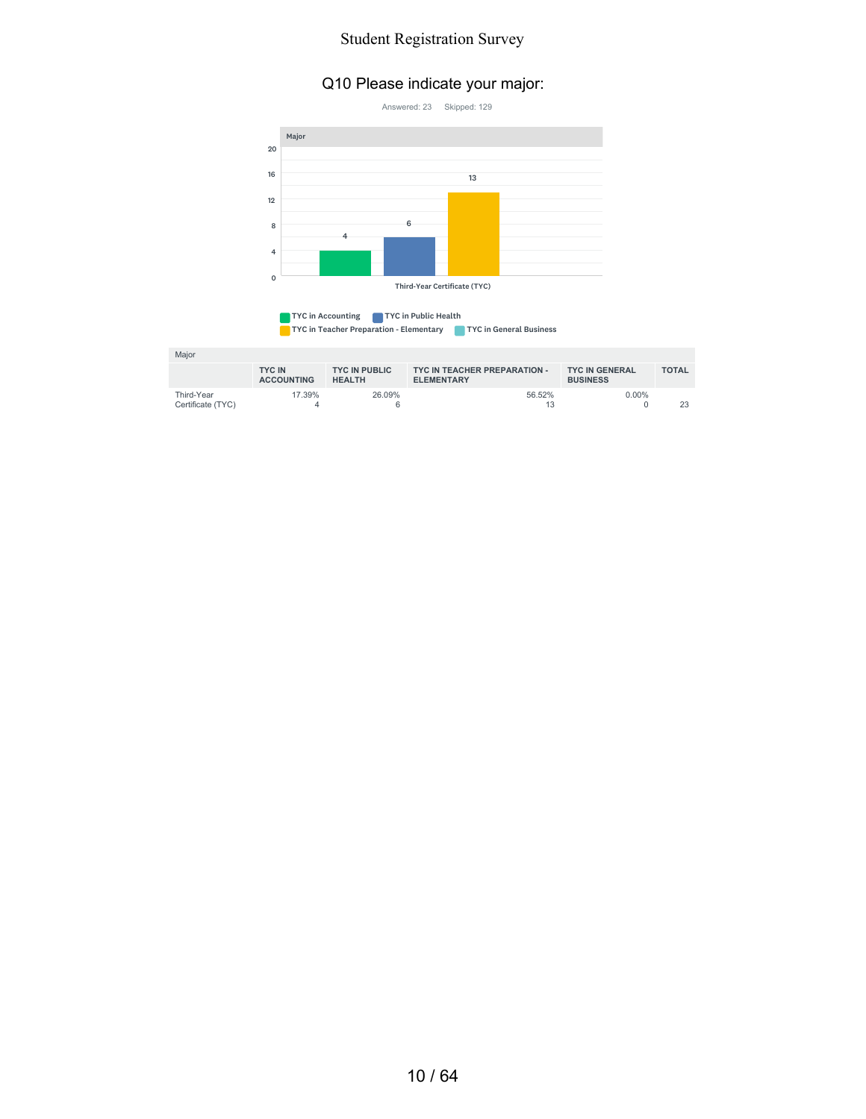### Q10 Please indicate your major:



| <b>TYC in Accounting</b>                | TYC in Public Health |                                |
|-----------------------------------------|----------------------|--------------------------------|
| TYC in Teacher Preparation - Elementary |                      | <b>TYC in General Business</b> |

| Major                           |                                    |                                       |                                                   |                                          |              |
|---------------------------------|------------------------------------|---------------------------------------|---------------------------------------------------|------------------------------------------|--------------|
|                                 | <b>TYC IN</b><br><b>ACCOUNTING</b> | <b>TYC IN PUBLIC</b><br><b>HEALTH</b> | TYC IN TEACHER PREPARATION -<br><b>ELEMENTARY</b> | <b>TYC IN GENERAL</b><br><b>BUSINESS</b> | <b>TOTAL</b> |
| Third-Year<br>Certificate (TYC) | 17.39%                             | 26.09%                                | 56.52%<br>13                                      | $0.00\%$                                 | 23           |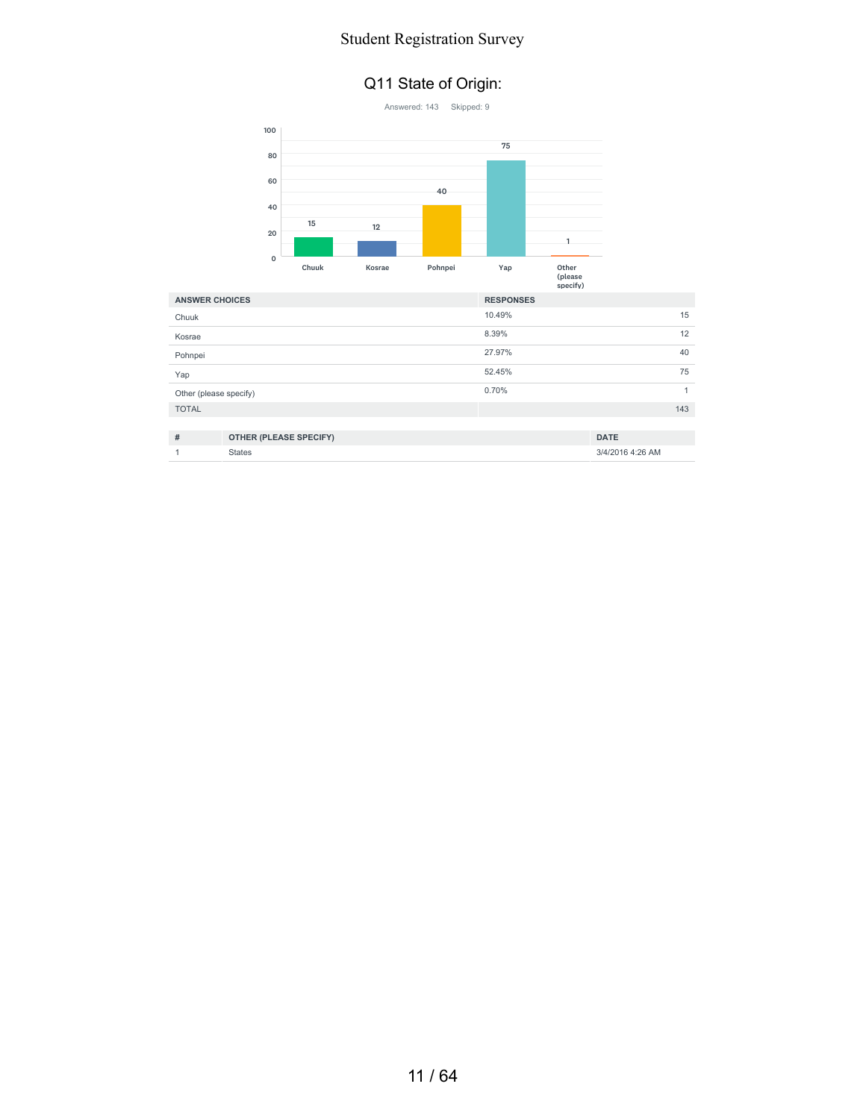#### Q11 State of Origin:

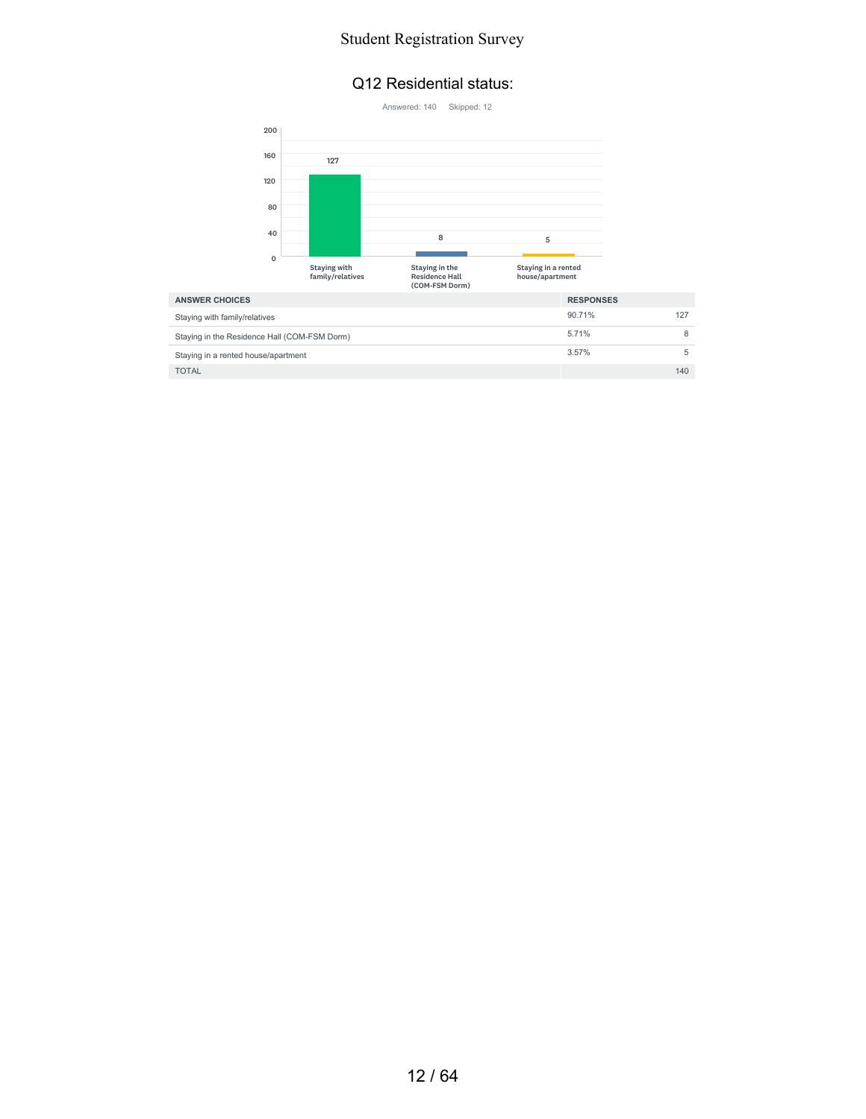#### Q12 Residential status:



 $\blacksquare$  TOTAL  $\blacksquare$  140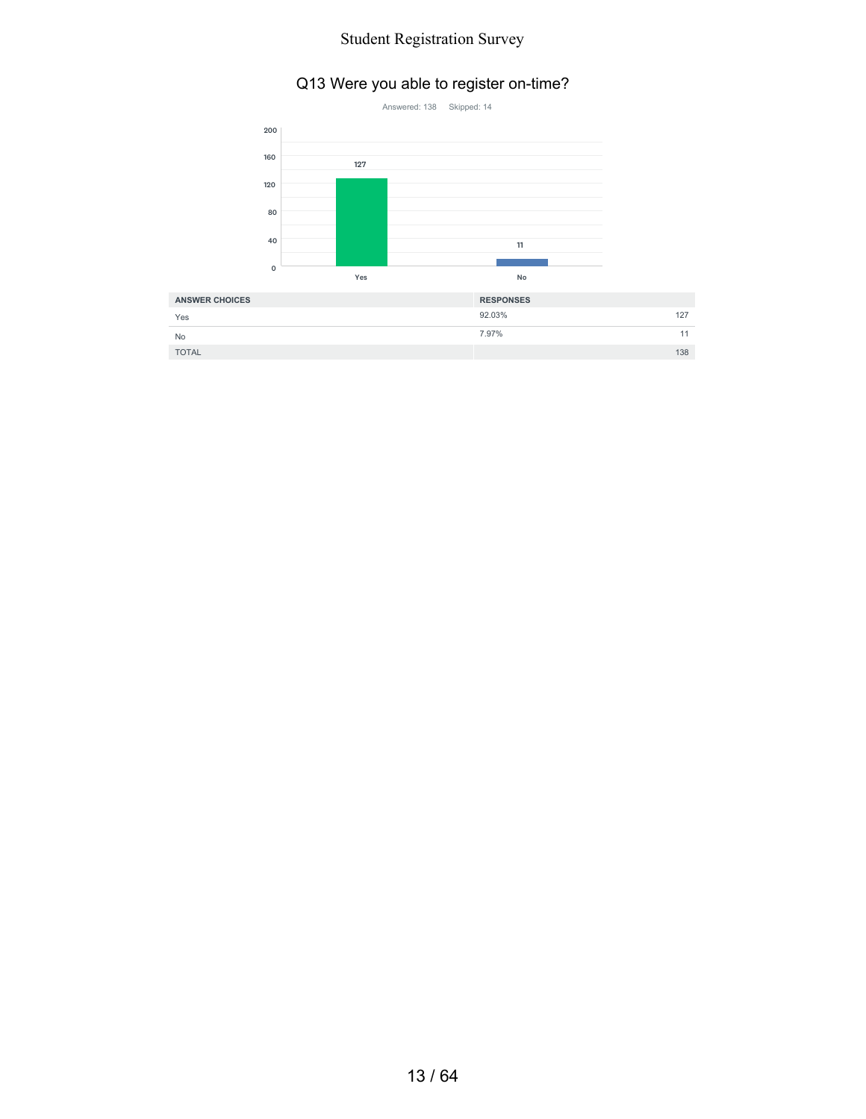## Q13 Were you able to register on-time?



| <b>ANSWER CHOICES</b> | <b>RESPONSES</b> |
|-----------------------|------------------|
| Yes                   | 92.03%<br>127    |
| No                    | 7.97%            |
| <b>TOTAL</b>          | 138              |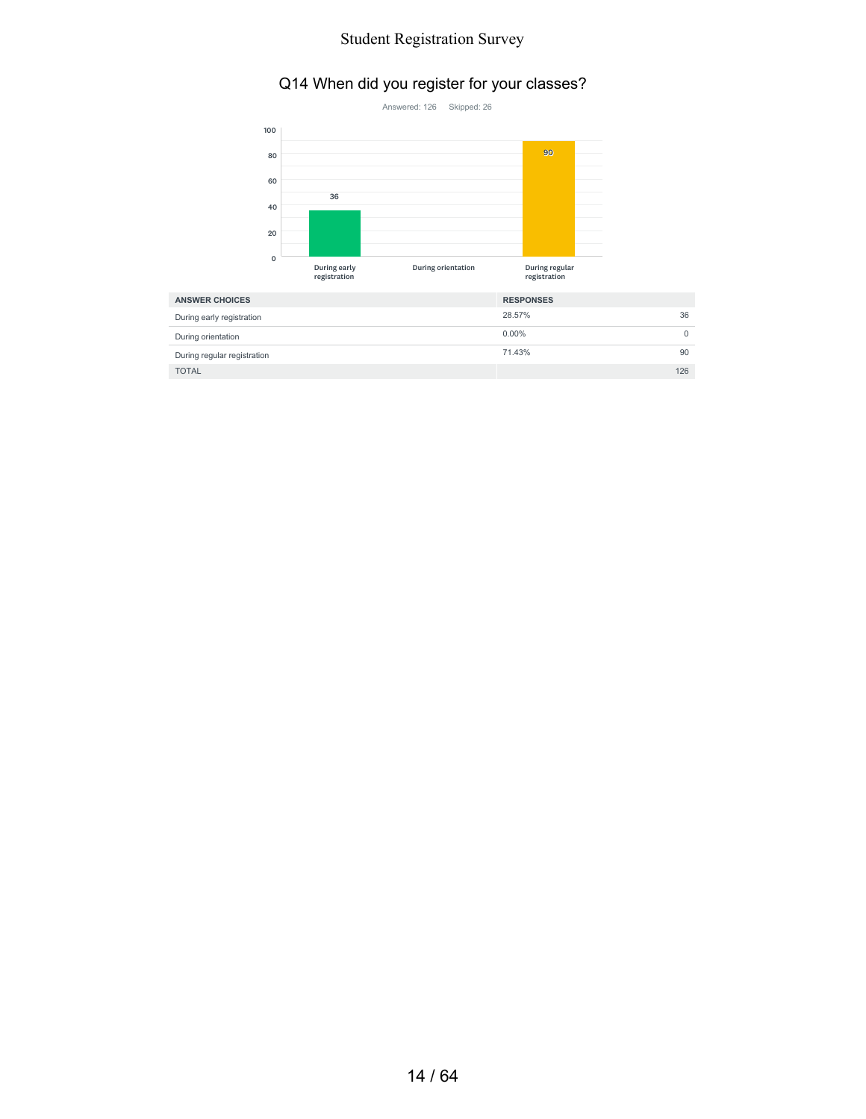### Q14 When did you register for your classes?



| <b>ANSWER CHOICES</b>       | <b>RESPONSES</b> |
|-----------------------------|------------------|
| During early registration   | 36<br>28.57%     |
| During orientation          | $0.00\%$         |
| During regular registration | 71.43%<br>90     |
| <b>TOTAL</b>                | 126              |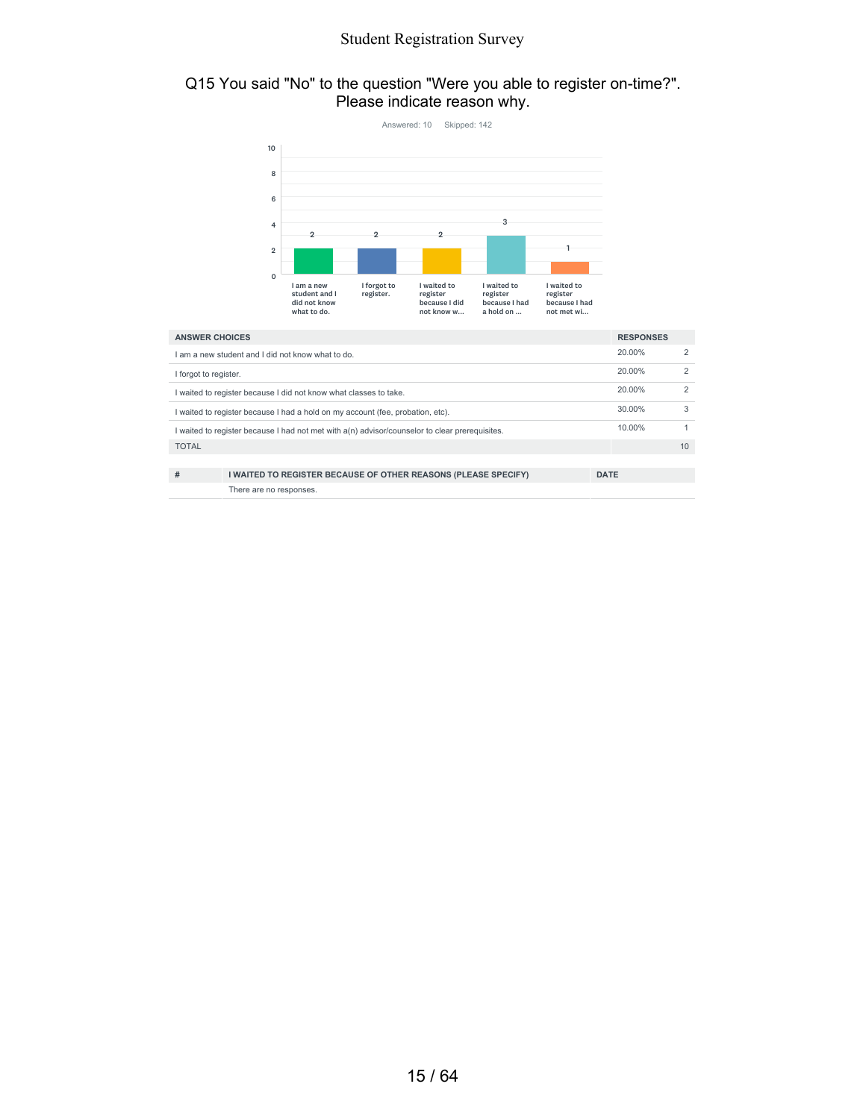#### Q15 You said "No" to the question "Were you able to register on-time?". Please indicate reason why.

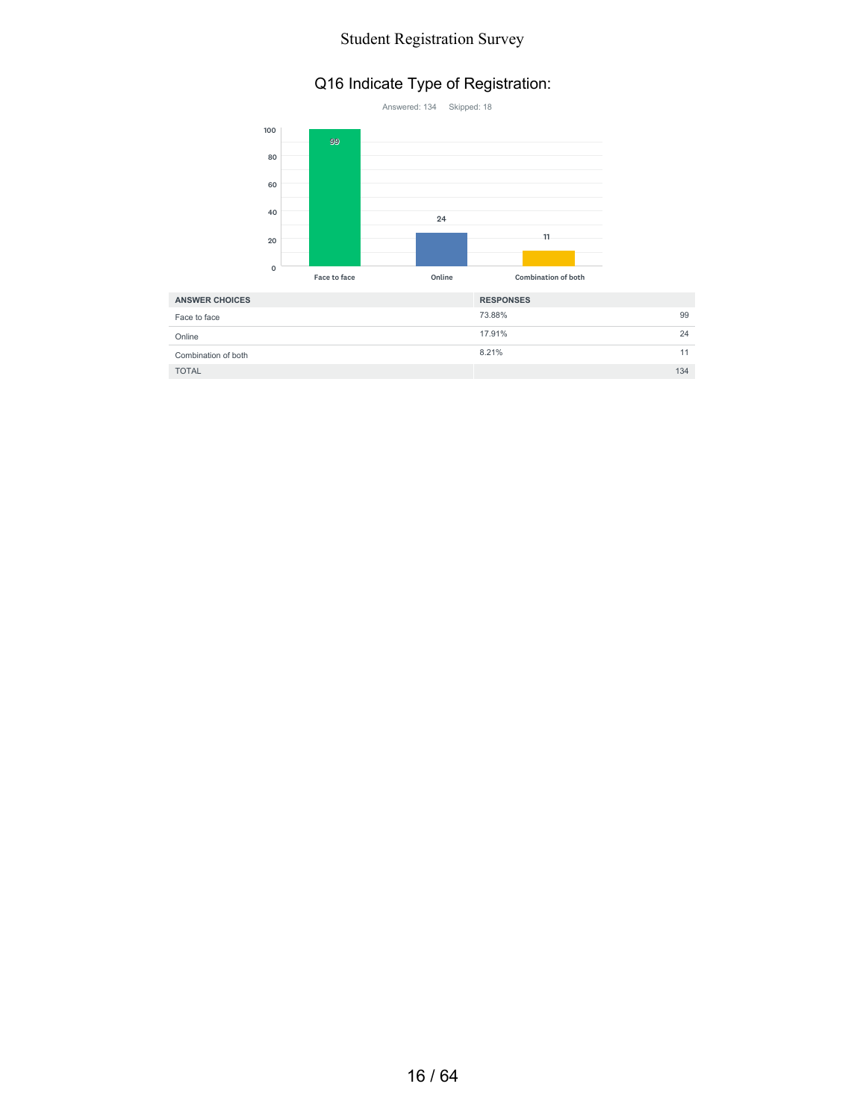### Q16 Indicate Type of Registration:



| <b>ANSWER CHOICES</b> | <b>RESPONSES</b> |     |
|-----------------------|------------------|-----|
| Face to face          | 73.88%           | 99  |
| Online                | 17.91%           | 24  |
| Combination of both   | 8.21%            | 11  |
| <b>TOTAL</b>          |                  | 134 |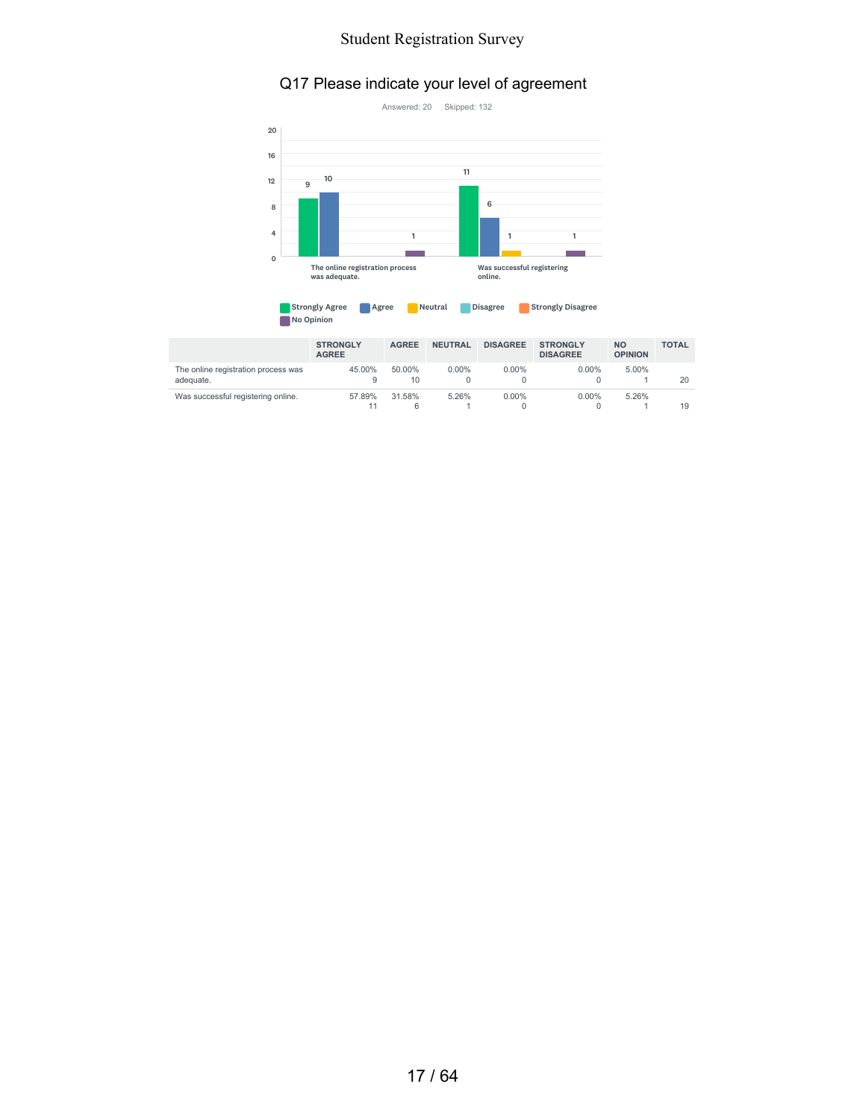### Q17 Please indicate your level of agreement



| <b>Strongly Agree</b> | Agree | Neutral | <b>Disagree</b> | <b>Strongly Disagree</b> |
|-----------------------|-------|---------|-----------------|--------------------------|
| No Opinion            |       |         |                 |                          |

|                                                  | <b>STRONGLY</b><br><b>AGREE</b> | <b>AGREE</b> | <b>NEUTRAL</b> | <b>DISAGREE</b> | <b>STRONGLY</b><br><b>DISAGREE</b> | <b>NO</b><br><b>OPINION</b> | <b>TOTAL</b> |
|--------------------------------------------------|---------------------------------|--------------|----------------|-----------------|------------------------------------|-----------------------------|--------------|
| The online registration process was<br>adeguate. | 45.00%<br>9                     | 50.00%<br>10 | $0.00\%$       | $0.00\%$        | $0.00\%$                           | 5.00%                       | 20           |
| Was successful registering online.               | 57.89%<br>11                    | 31.58%<br>6  | 5.26%          | $0.00\%$        | $0.00\%$                           | 5.26%                       | 19           |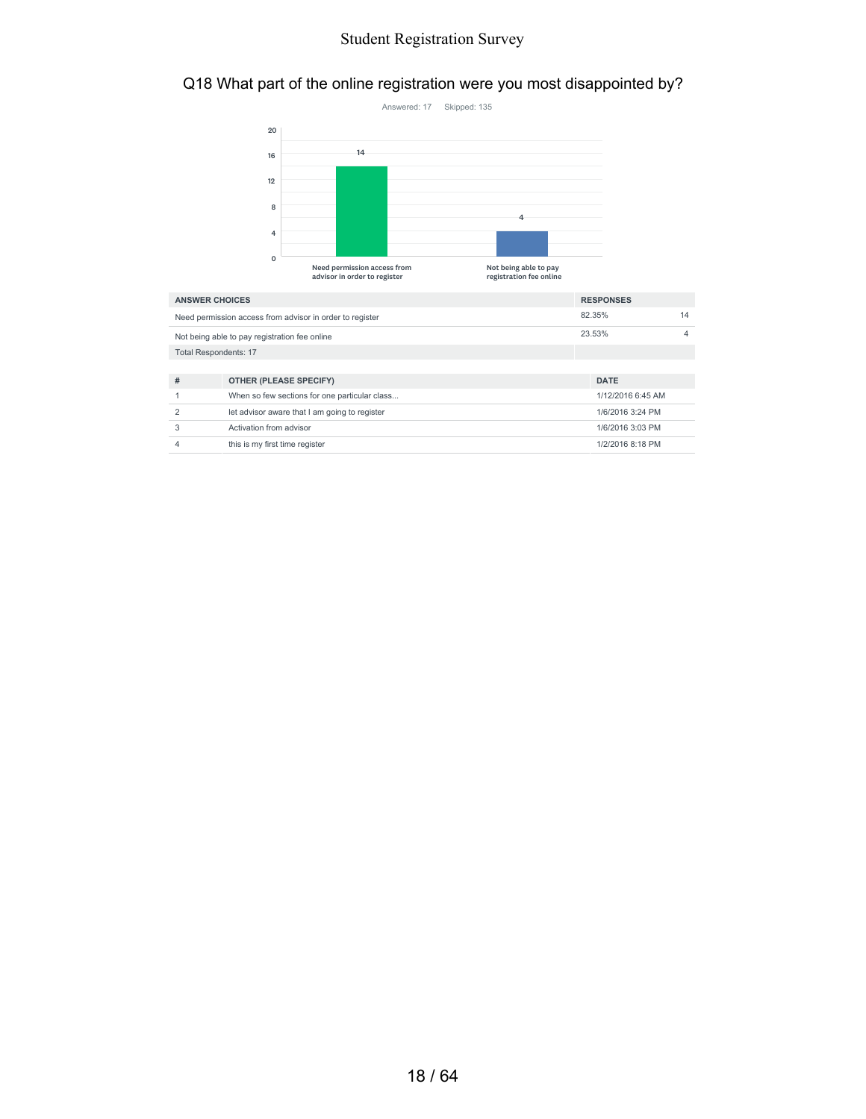### Q18 What part of the online registration were you most disappointed by?



| <b>ANSWER CHOICES</b>                                    | <b>RESPONSES</b>                              |                   |   |
|----------------------------------------------------------|-----------------------------------------------|-------------------|---|
| Need permission access from advisor in order to register | 82.35%                                        | 14                |   |
| Not being able to pay registration fee online            |                                               | 23.53%            | 4 |
|                                                          | <b>Total Respondents: 17</b>                  |                   |   |
|                                                          |                                               |                   |   |
| #                                                        | <b>OTHER (PLEASE SPECIFY)</b>                 | <b>DATE</b>       |   |
|                                                          | When so few sections for one particular class | 1/12/2016 6:45 AM |   |
| 2                                                        | let advisor aware that I am going to register | 1/6/2016 3:24 PM  |   |
| 3                                                        | Activation from advisor                       | 1/6/2016 3:03 PM  |   |
| 4                                                        | this is my first time register                | 1/2/2016 8:18 PM  |   |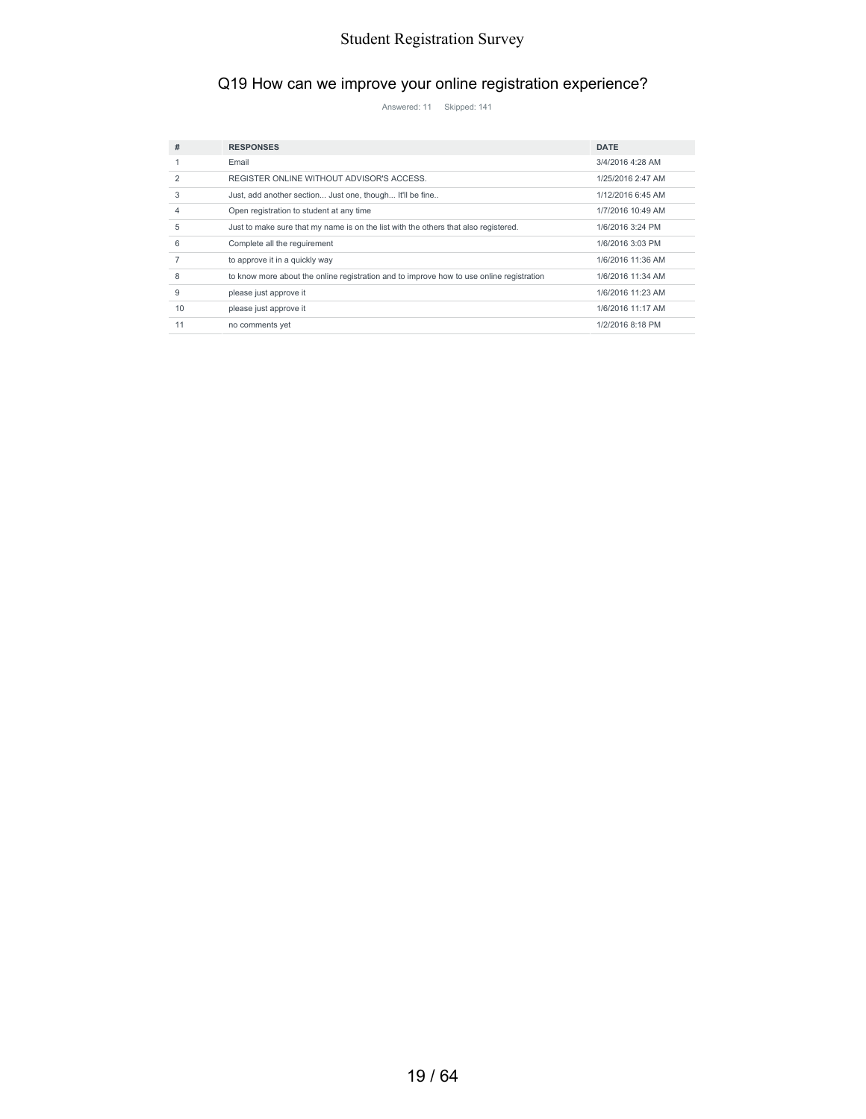### Q19 How can we improve your online registration experience?

Answered: 11 Skipped: 141

| #          | <b>RESPONSES</b>                                                                         | <b>DATE</b>       |
|------------|------------------------------------------------------------------------------------------|-------------------|
|            | Email                                                                                    | 3/4/2016 4:28 AM  |
| 2          | REGISTER ONLINE WITHOUT ADVISOR'S ACCESS.                                                | 1/25/2016 2:47 AM |
| 3          | Just, add another section Just one, though It'll be fine                                 | 1/12/2016 6:45 AM |
|            | Open registration to student at any time                                                 | 1/7/2016 10:49 AM |
| 5          | Just to make sure that my name is on the list with the others that also registered.      | 1/6/2016 3:24 PM  |
| $\epsilon$ | Complete all the requirement                                                             | 1/6/2016 3:03 PM  |
|            | to approve it in a quickly way                                                           | 1/6/2016 11:36 AM |
|            | to know more about the online registration and to improve how to use online registration | 1/6/2016 11:34 AM |
| 9          | please just approve it                                                                   | 1/6/2016 11:23 AM |
| 10         | please just approve it                                                                   | 1/6/2016 11:17 AM |
| 11         | no comments yet                                                                          | 1/2/2016 8:18 PM  |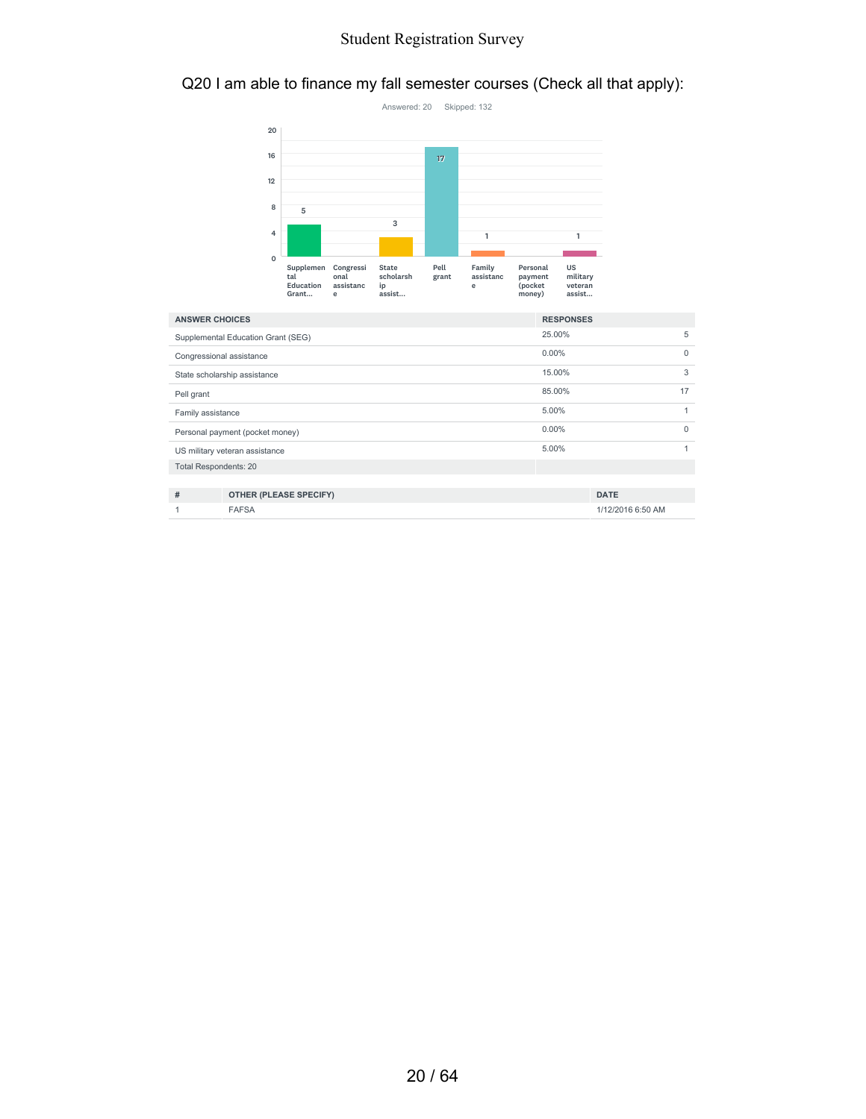#### Q20 I am able to finance my fall semester courses (Check all that apply):



| <b>ANSWER CHOICES</b>              |                                | <b>RESPONSES</b> |          |
|------------------------------------|--------------------------------|------------------|----------|
| Supplemental Education Grant (SEG) |                                | 25.00%           | 5        |
|                                    | Congressional assistance       | $0.00\%$         | $\Omega$ |
|                                    | State scholarship assistance   | 15.00%           | 3        |
| Pell grant                         |                                | 85.00%           | 17       |
| Family assistance                  |                                | 5.00%            |          |
| Personal payment (pocket money)    |                                | $0.00\%$         | $\Omega$ |
|                                    | US military veteran assistance | 5.00%            |          |
| <b>Total Respondents: 20</b>       |                                |                  |          |
|                                    |                                |                  |          |
| #                                  | <b>OTHER (PLEASE SPECIFY)</b>  | <b>DATE</b>      |          |

1 FAFSA 1/12/2016 6:50 AM

20 / 64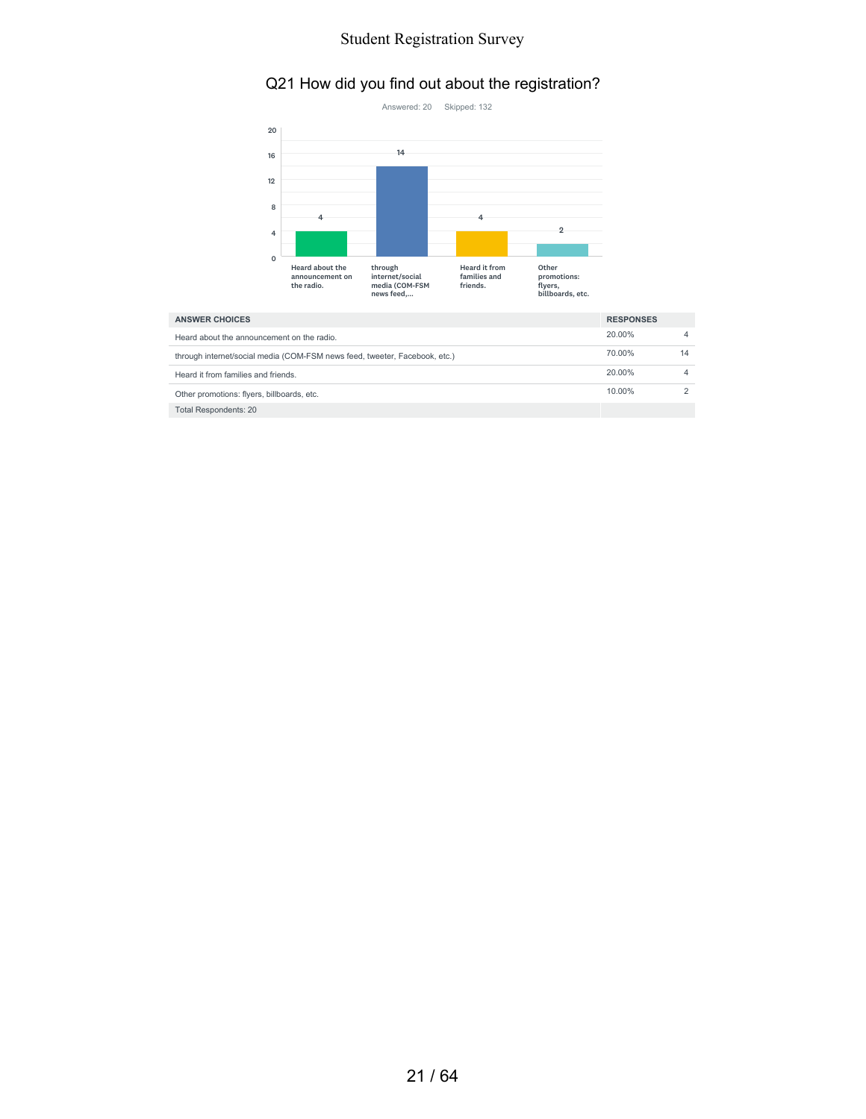### Q21 How did you find out about the registration?



| <b>ANSWER CHOICES</b>                                                      | <b>RESPONSES</b> |    |
|----------------------------------------------------------------------------|------------------|----|
| Heard about the announcement on the radio.                                 | 20.00%           |    |
| through internet/social media (COM-FSM news feed, tweeter, Facebook, etc.) | 70.00%           | 14 |
| Heard it from families and friends.                                        | 20.00%           |    |
| Other promotions: flyers, billboards, etc.                                 | 10.00%           |    |
| Total Respondents: 20                                                      |                  |    |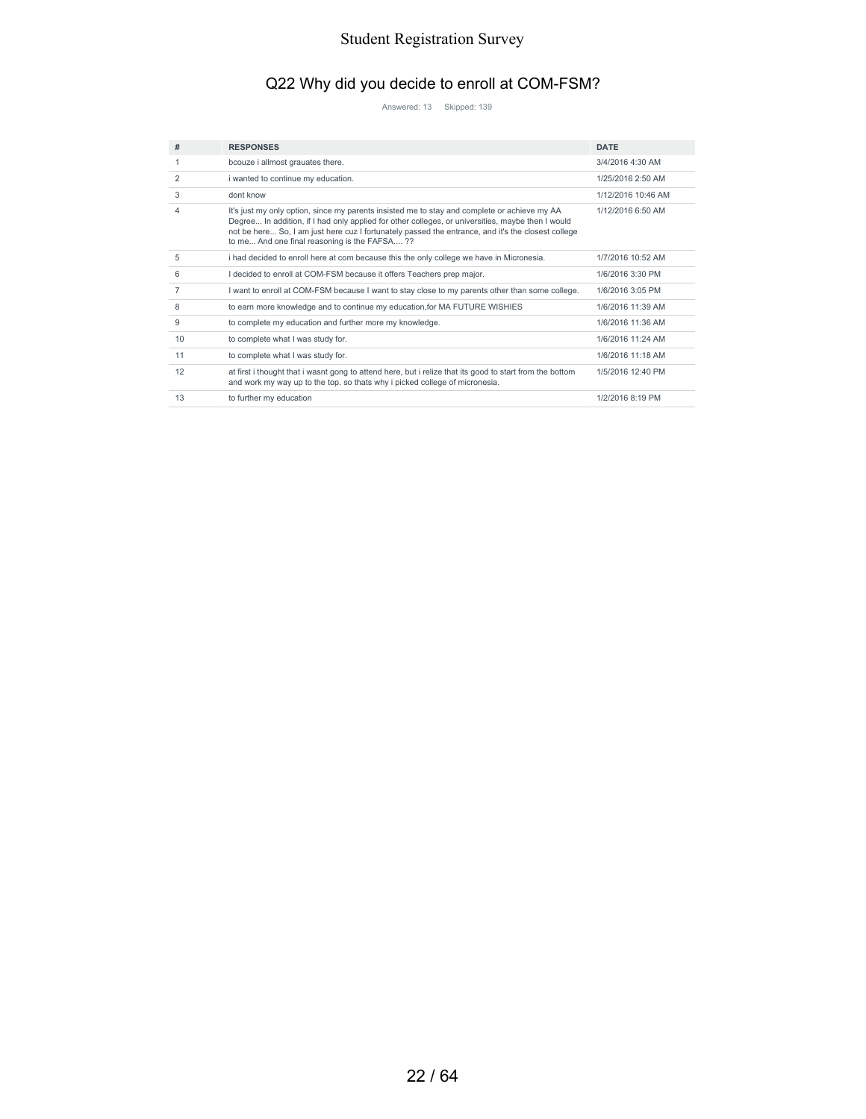# Q22 Why did you decide to enroll at COM-FSM?

Answered: 13 Skipped: 139

| #              | <b>RESPONSES</b>                                                                                                                                                                                                                                                                                                                                        | <b>DATE</b>        |
|----------------|---------------------------------------------------------------------------------------------------------------------------------------------------------------------------------------------------------------------------------------------------------------------------------------------------------------------------------------------------------|--------------------|
|                | bcouze i allmost grauates there.                                                                                                                                                                                                                                                                                                                        | 3/4/2016 4:30 AM   |
| 2              | i wanted to continue my education.                                                                                                                                                                                                                                                                                                                      | 1/25/2016 2:50 AM  |
| 3              | dont know                                                                                                                                                                                                                                                                                                                                               | 1/12/2016 10:46 AM |
| 4              | It's just my only option, since my parents insisted me to stay and complete or achieve my AA<br>Degree In addition, if I had only applied for other colleges, or universities, maybe then I would<br>not be here So, I am just here cuz I fortunately passed the entrance, and it's the closest college<br>to me And one final reasoning is the FAFSA?? | 1/12/2016 6:50 AM  |
| 5              | i had decided to enroll here at com because this the only college we have in Micronesia.                                                                                                                                                                                                                                                                | 1/7/2016 10:52 AM  |
| 6              | I decided to enroll at COM-FSM because it offers Teachers prep major.                                                                                                                                                                                                                                                                                   | 1/6/2016 3:30 PM   |
| $\overline{7}$ | I want to enroll at COM-FSM because I want to stay close to my parents other than some college.                                                                                                                                                                                                                                                         | 1/6/2016 3:05 PM   |
| 8              | to earn more knowledge and to continue my education, for MA FUTURE WISHIES                                                                                                                                                                                                                                                                              | 1/6/2016 11:39 AM  |
| 9              | to complete my education and further more my knowledge.                                                                                                                                                                                                                                                                                                 | 1/6/2016 11:36 AM  |
| 10             | to complete what I was study for.                                                                                                                                                                                                                                                                                                                       | 1/6/2016 11:24 AM  |
| 11             | to complete what I was study for.                                                                                                                                                                                                                                                                                                                       | 1/6/2016 11:18 AM  |
| 12             | at first i thought that i wasnt gong to attend here, but i relize that its good to start from the bottom<br>and work my way up to the top. so thats why i picked college of micronesia.                                                                                                                                                                 | 1/5/2016 12:40 PM  |
| 13             | to further my education                                                                                                                                                                                                                                                                                                                                 | 1/2/2016 8:19 PM   |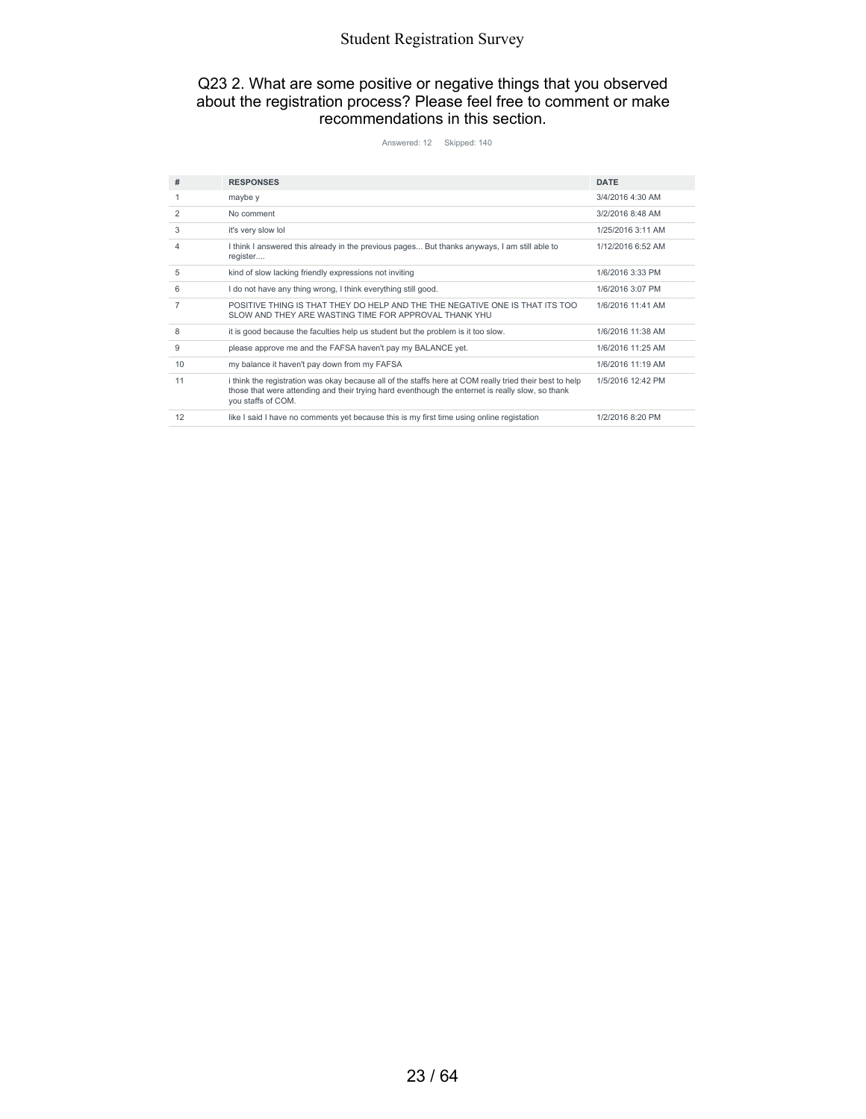#### Q23 2. What are some positive or negative things that you observed about the registration process? Please feel free to comment or make recommendations in this section.

Answered: 12 Skipped: 140

| #  | <b>RESPONSES</b>                                                                                                                                                                                                                  | <b>DATE</b>       |
|----|-----------------------------------------------------------------------------------------------------------------------------------------------------------------------------------------------------------------------------------|-------------------|
|    | maybe y                                                                                                                                                                                                                           | 3/4/2016 4:30 AM  |
| 2  | No comment                                                                                                                                                                                                                        | 3/2/2016 8:48 AM  |
| 3  | it's very slow lol                                                                                                                                                                                                                | 1/25/2016 3:11 AM |
| 4  | I think I answered this already in the previous pages But thanks anyways, I am still able to<br>register                                                                                                                          | 1/12/2016 6:52 AM |
| 5  | kind of slow lacking friendly expressions not inviting                                                                                                                                                                            | 1/6/2016 3:33 PM  |
| 6  | I do not have any thing wrong, I think everything still good.                                                                                                                                                                     | 1/6/2016 3:07 PM  |
| 7  | POSITIVE THING IS THAT THEY DO HELP AND THE THE NEGATIVE ONE IS THAT ITS TOO<br>SLOW AND THEY ARE WASTING TIME FOR APPROVAL THANK YHU                                                                                             | 1/6/2016 11:41 AM |
| 8  | it is good because the faculties help us student but the problem is it too slow.                                                                                                                                                  | 1/6/2016 11:38 AM |
| 9  | please approve me and the FAFSA haven't pay my BALANCE yet.                                                                                                                                                                       | 1/6/2016 11:25 AM |
| 10 | my balance it haven't pay down from my FAFSA                                                                                                                                                                                      | 1/6/2016 11:19 AM |
| 11 | i think the registration was okay because all of the staffs here at COM really tried their best to help<br>those that were attending and their trying hard eventhough the enternet is really slow, so thank<br>you staffs of COM. | 1/5/2016 12:42 PM |
| 12 | like I said I have no comments yet because this is my first time using online registation                                                                                                                                         | 1/2/2016 8:20 PM  |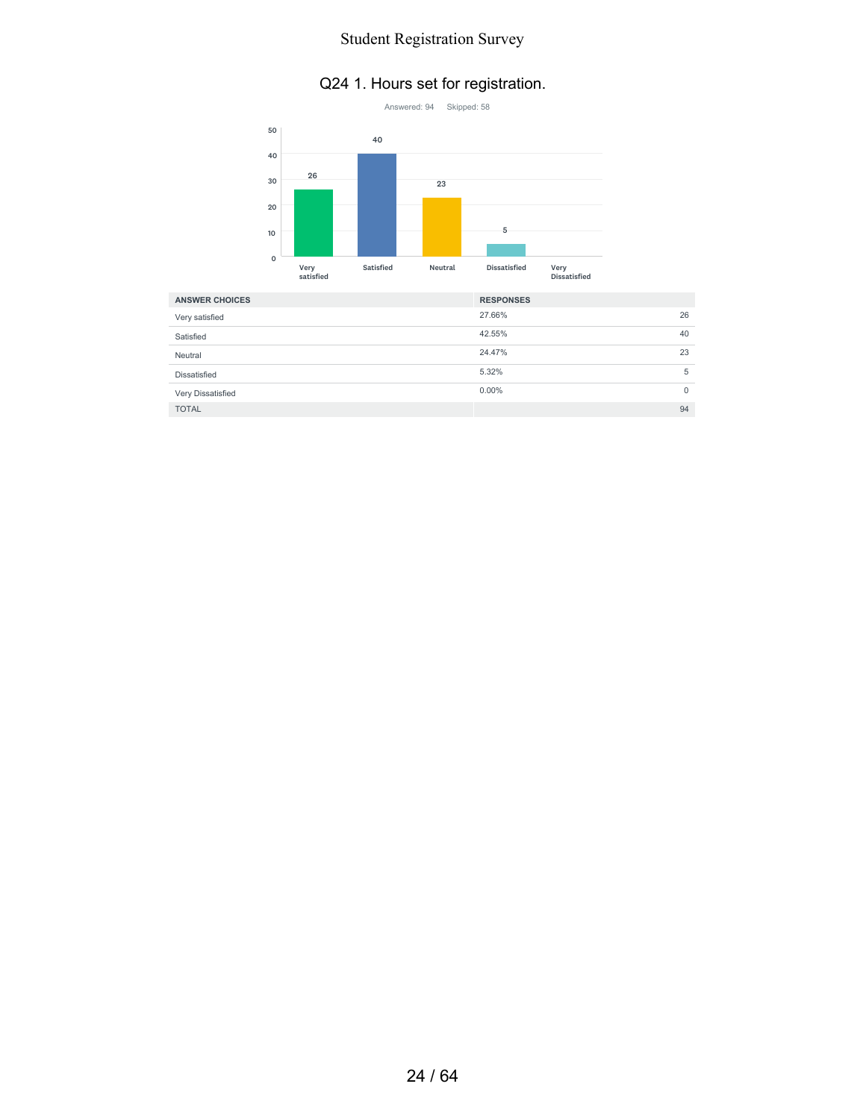### Q24 1. Hours set for registration.



| <b>ANSWER CHOICES</b> | <b>RESPONSES</b> |             |
|-----------------------|------------------|-------------|
| Very satisfied        | 27.66%           | 26          |
| Satisfied             | 42.55%           | 40          |
| Neutral               | 24.47%           | 23          |
| Dissatisfied          | 5.32%            | 5           |
| Very Dissatisfied     | $0.00\%$         | $\mathbf 0$ |
| <b>TOTAL</b>          |                  | 94          |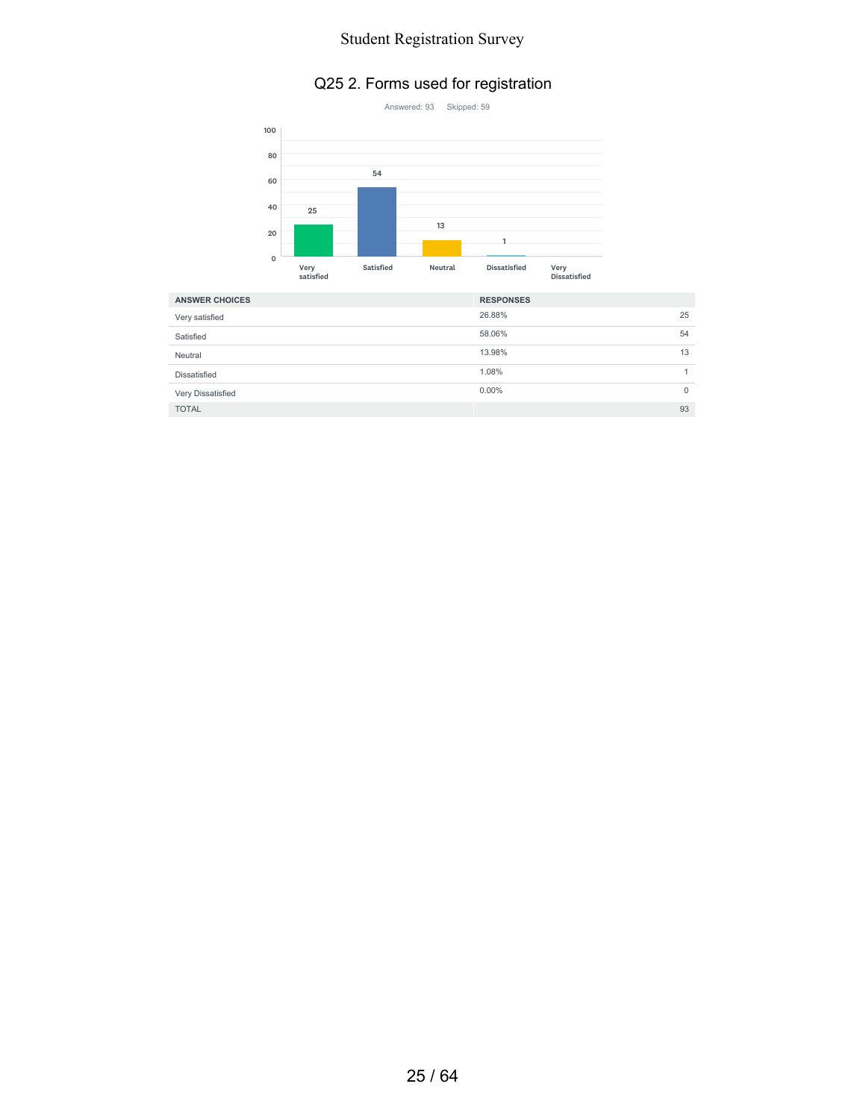#### Q25 2. Forms used for registration



| <b>ANSWER CHOICES</b> | <b>RESPONSES</b> |              |
|-----------------------|------------------|--------------|
| Very satisfied        | 26.88%           | 25           |
| Satisfied             | 58.06%           | 54           |
| Neutral               | 13.98%           | 13           |
| Dissatisfied          | 1.08%            |              |
| Very Dissatisfied     | $0.00\%$         | $\mathbf{0}$ |
| <b>TOTAL</b>          |                  | 93           |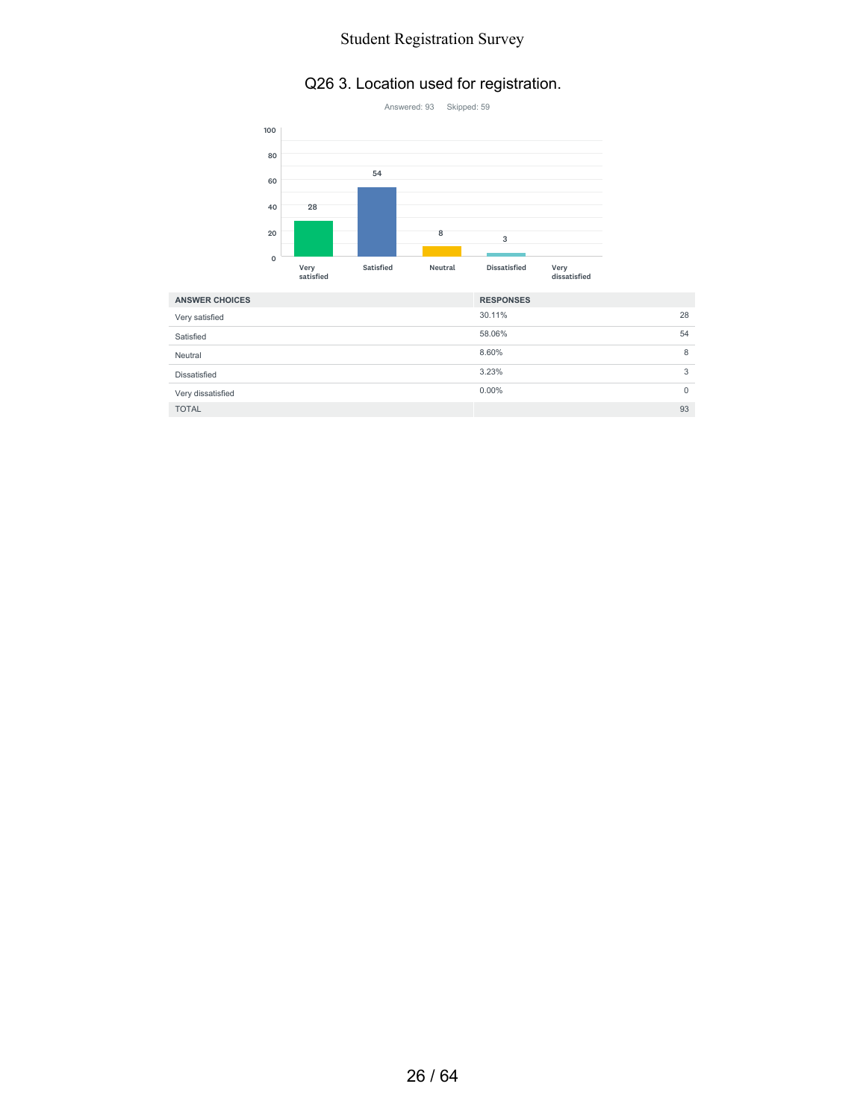## Q26 3. Location used for registration.



| <b>ANSWER CHOICES</b> | <b>RESPONSES</b>     |
|-----------------------|----------------------|
| Very satisfied        | 30.11%<br>28         |
| Satisfied             | 58.06%<br>54         |
| Neutral               | 8.60%<br>8           |
| Dissatisfied          | 3.23%<br>3           |
| Very dissatisfied     | $0.00\%$<br>$\Omega$ |
| <b>TOTAL</b>          | 93                   |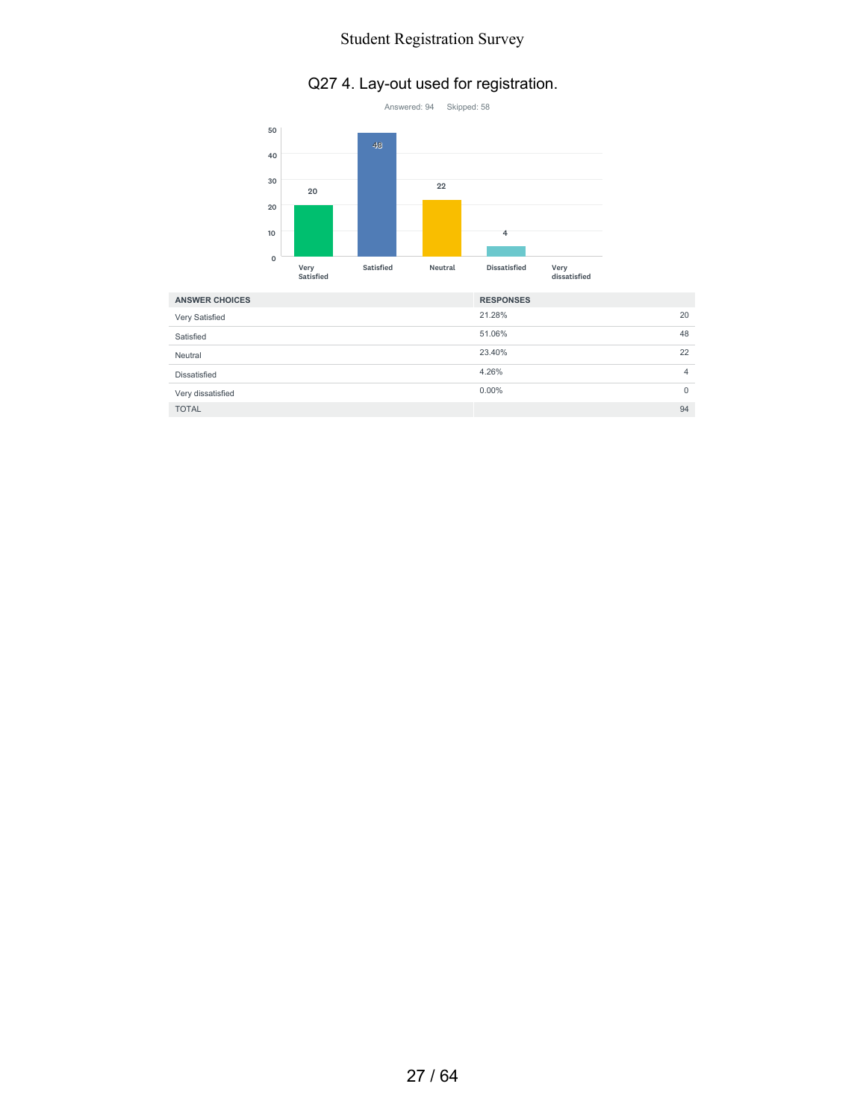### Q27 4. Lay-out used for registration.



| <b>ANSWER CHOICES</b> | <b>RESPONSES</b> |    |
|-----------------------|------------------|----|
| Very Satisfied        | 21.28%           | 20 |
| Satisfied             | 51.06%           | 48 |
| Neutral               | 23.40%           | 22 |
| Dissatisfied          | 4.26%            | 4  |
| Very dissatisfied     | $0.00\%$         | 0  |
| <b>TOTAL</b>          |                  | 94 |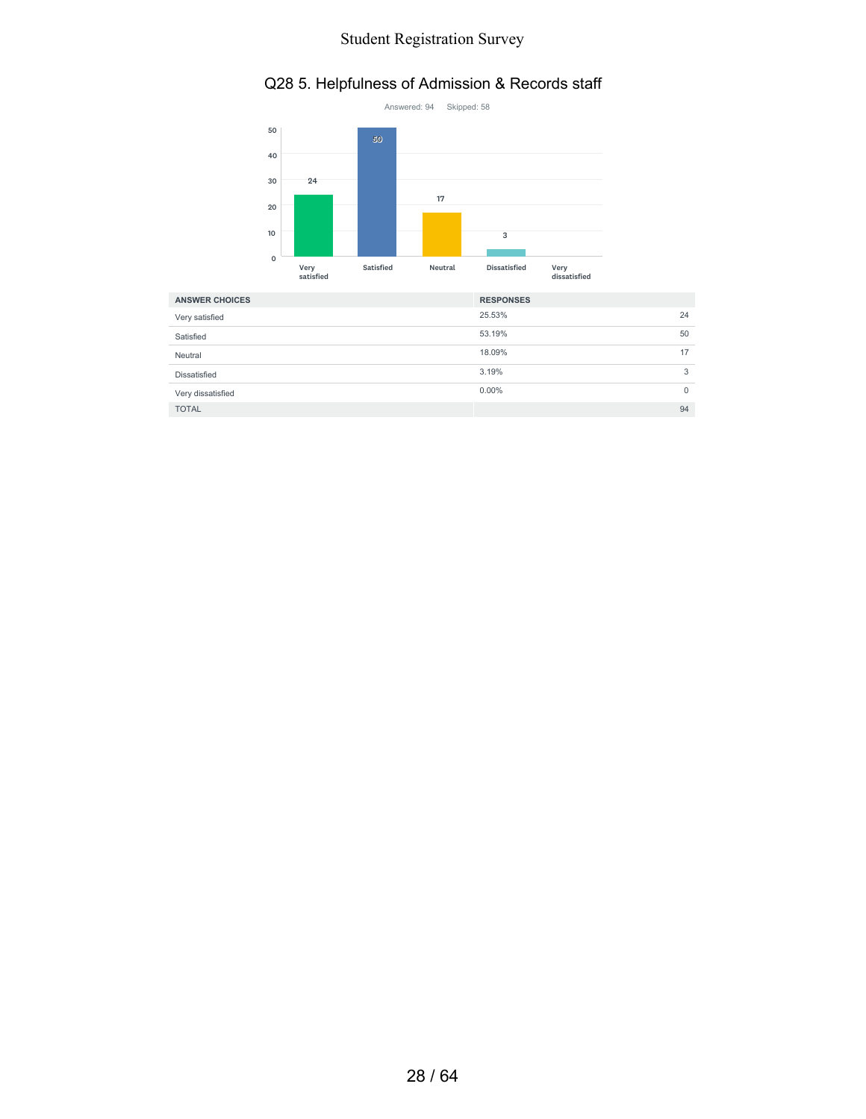#### Q28 5. Helpfulness of Admission & Records staff



| <b>ANSWER CHOICES</b> | <b>RESPONSES</b> |              |
|-----------------------|------------------|--------------|
| Very satisfied        | 25.53%           | 24           |
| Satisfied             | 53.19%           | 50           |
| Neutral               | 18.09%           | 17           |
| Dissatisfied          | 3.19%            | 3            |
| Very dissatisfied     | $0.00\%$         | $\mathbf{0}$ |
| <b>TOTAL</b>          |                  | 94           |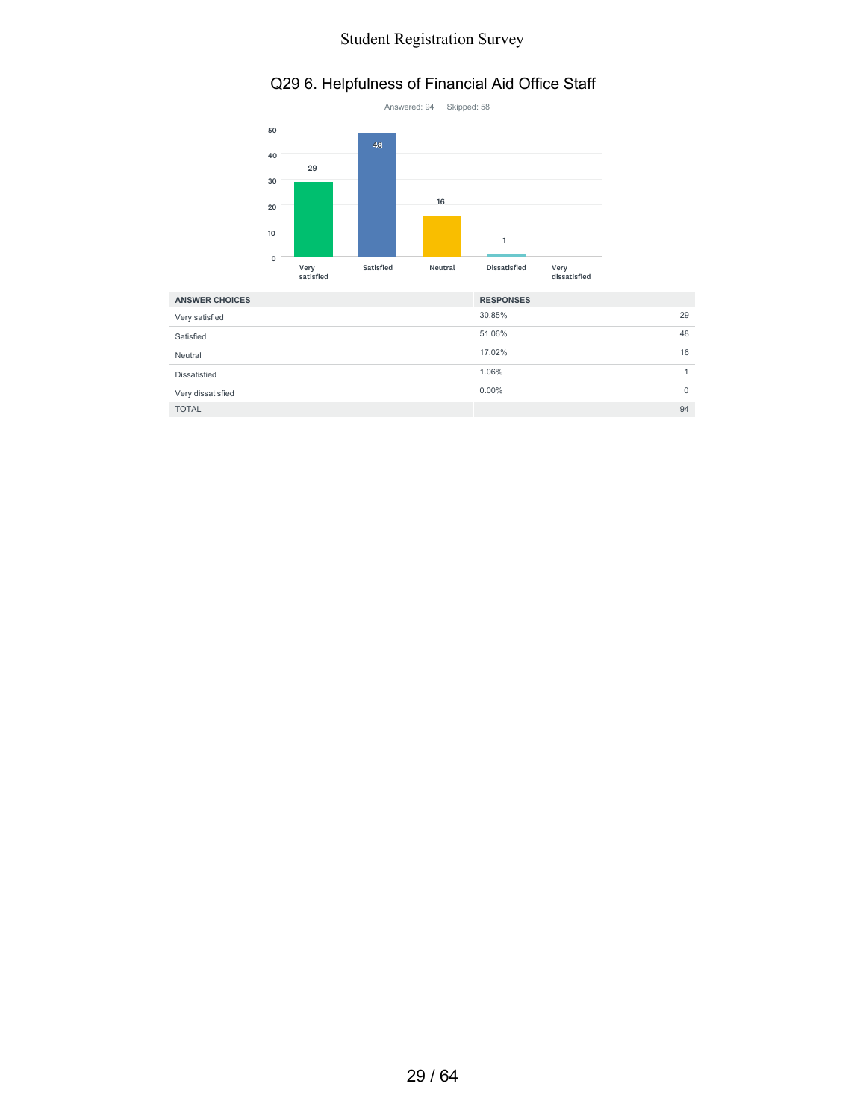#### Q29 6. Helpfulness of Financial Aid Office Staff



| <b>ANSWER CHOICES</b> | <b>RESPONSES</b> |    |
|-----------------------|------------------|----|
| Very satisfied        | 30.85%           | 29 |
| Satisfied             | 51.06%           | 48 |
| Neutral               | 17.02%           | 16 |
| Dissatisfied          | 1.06%            |    |
| Very dissatisfied     | $0.00\%$         | 0  |
| <b>TOTAL</b>          |                  | 94 |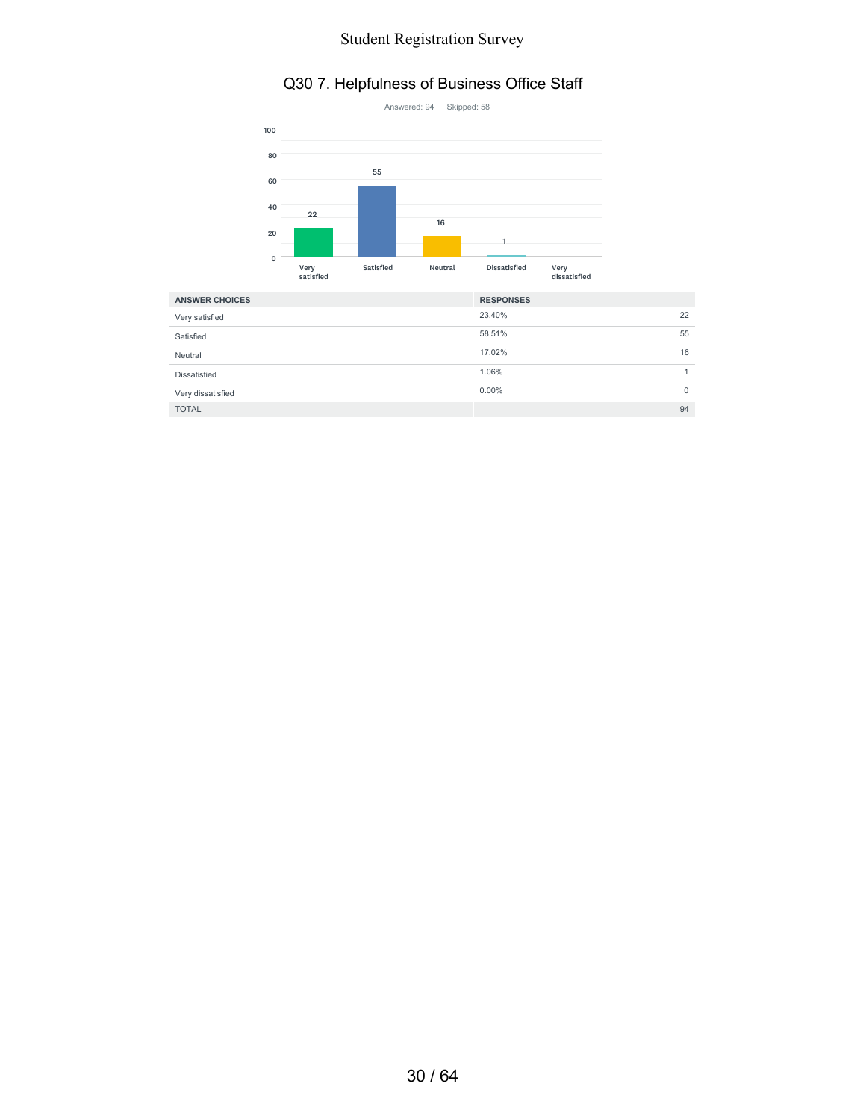#### Q30 7. Helpfulness of Business Office Staff



| <b>ANSWER CHOICES</b> | <b>RESPONSES</b> |             |
|-----------------------|------------------|-------------|
| Very satisfied        | 23.40%           | 22          |
| Satisfied             | 58.51%           | 55          |
| Neutral               | 17.02%           | 16          |
| Dissatisfied          | 1.06%            |             |
| Very dissatisfied     | $0.00\%$         | $\mathbf 0$ |
| <b>TOTAL</b>          |                  | 94          |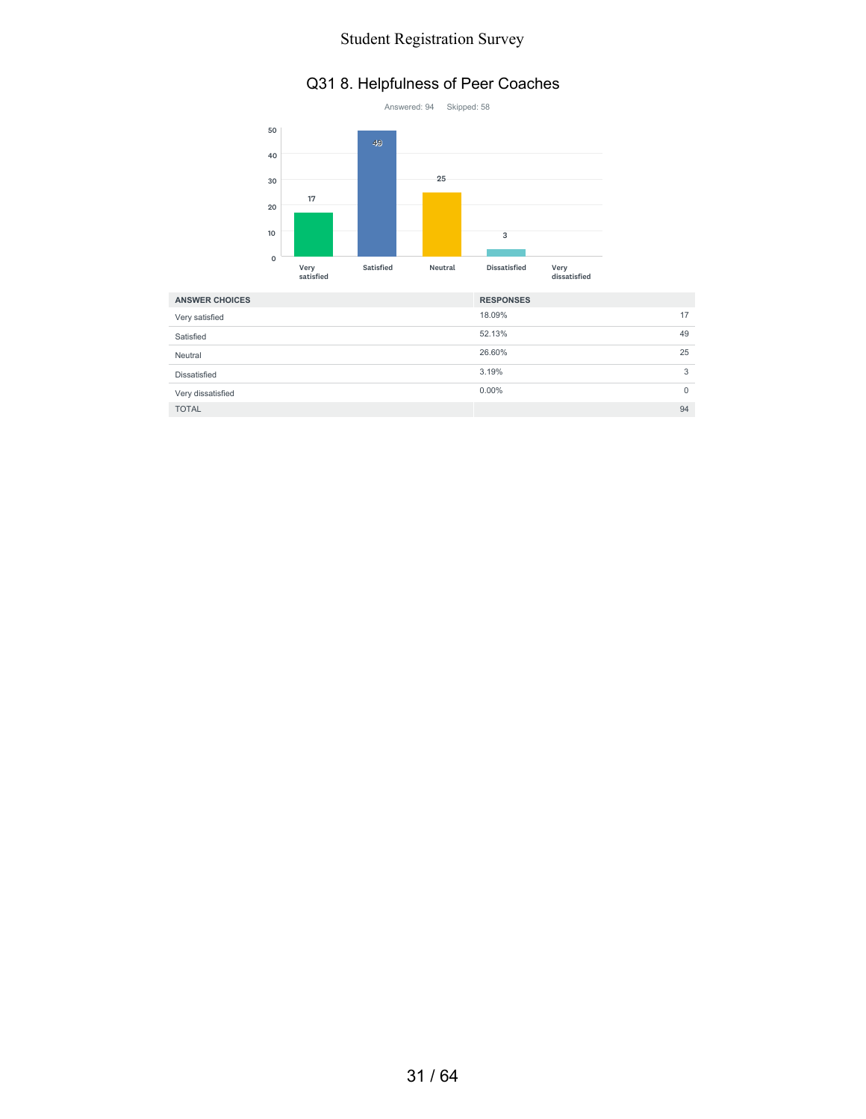### Q31 8. Helpfulness of Peer Coaches



| <b>ANSWER CHOICES</b> | <b>RESPONSES</b> |    |
|-----------------------|------------------|----|
| Very satisfied        | 18.09%           | 17 |
| Satisfied             | 52.13%           | 49 |
| Neutral               | 26.60%           | 25 |
| Dissatisfied          | 3.19%            | 3  |
| Very dissatisfied     | $0.00\%$         | 0  |
| <b>TOTAL</b>          |                  | 94 |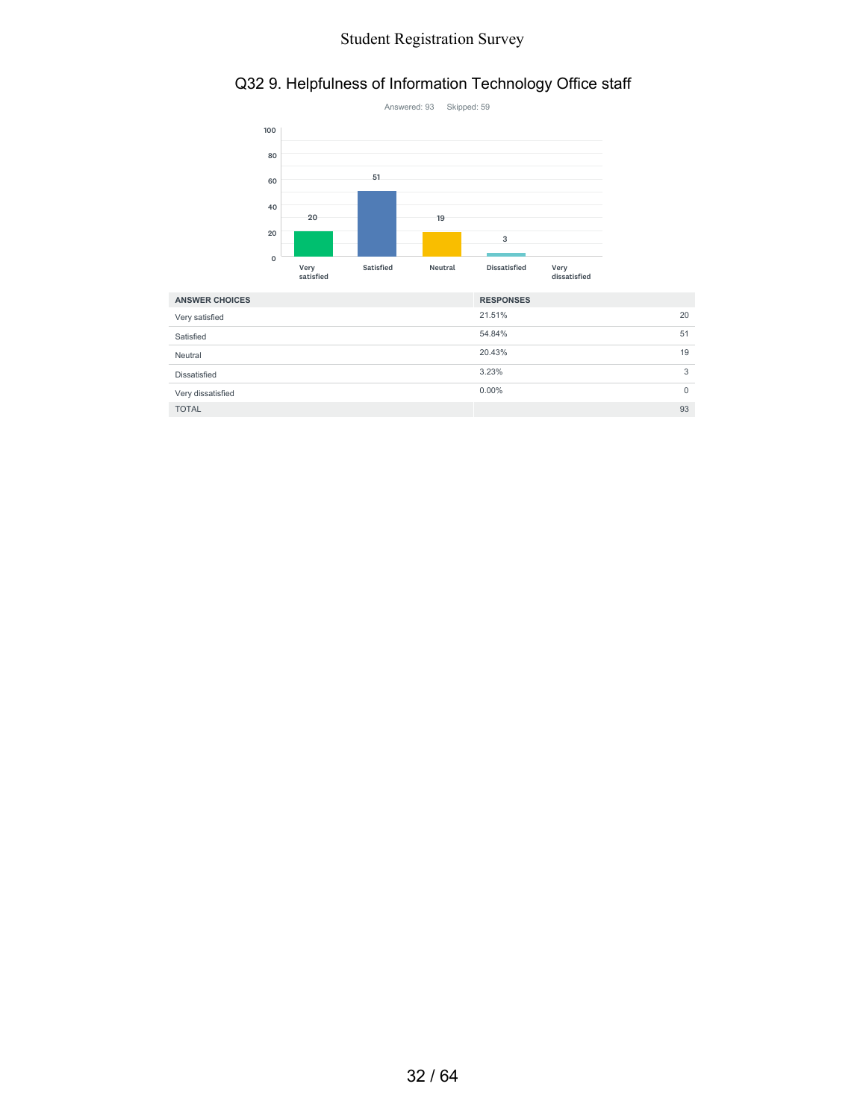### Q32 9. Helpfulness of Information Technology Office staff



| <b>ANSWER CHOICES</b> | <b>RESPONSES</b> |              |
|-----------------------|------------------|--------------|
| Very satisfied        | 21.51%           | 20           |
| Satisfied             | 54.84%           | 51           |
| Neutral               | 20.43%           | 19           |
| Dissatisfied          | 3.23%            | 3            |
| Very dissatisfied     | $0.00\%$         | $\mathbf{0}$ |
| <b>TOTAL</b>          |                  | 93           |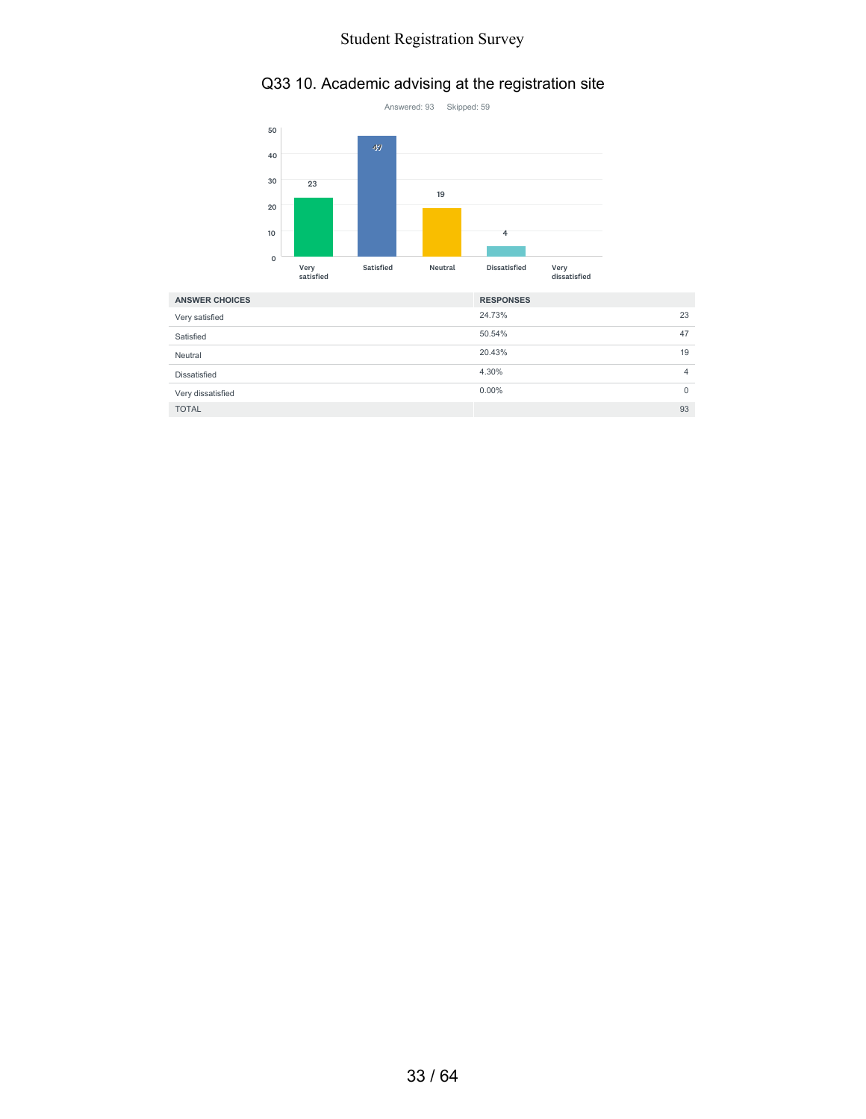## Q33 10. Academic advising at the registration site



| <b>ANSWER CHOICES</b> | <b>RESPONSES</b> |    |
|-----------------------|------------------|----|
| Very satisfied        | 24.73%           | 23 |
| Satisfied             | 50.54%           | 47 |
| Neutral               | 20.43%           | 19 |
| Dissatisfied          | 4.30%            | 4  |
| Very dissatisfied     | $0.00\%$         | 0  |
| <b>TOTAL</b>          |                  | 93 |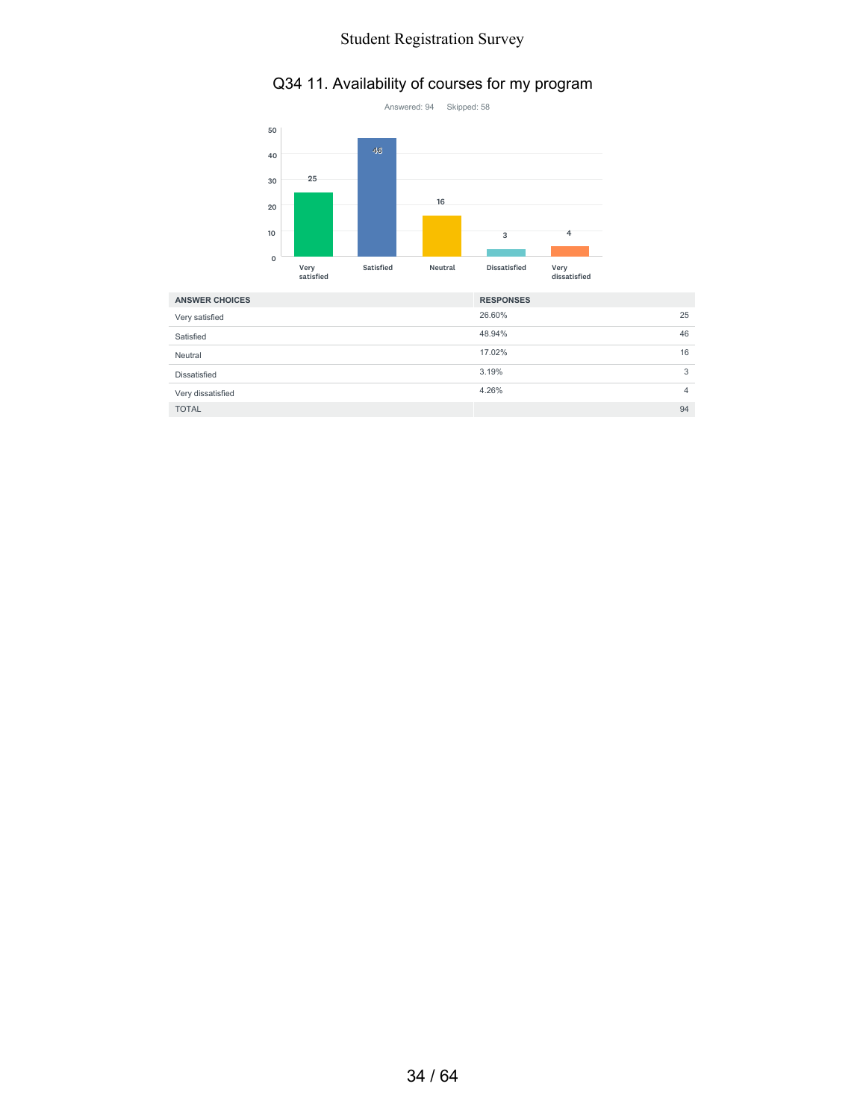### Q34 11. Availability of courses for my program



| <b>ANSWER CHOICES</b> | <b>RESPONSES</b> |    |
|-----------------------|------------------|----|
| Very satisfied        | 26.60%           | 25 |
| Satisfied             | 48.94%           | 46 |
| Neutral               | 17.02%           | 16 |
| Dissatisfied          | 3.19%            | 3  |
| Very dissatisfied     | 4.26%            | 4  |
| <b>TOTAL</b>          |                  | 94 |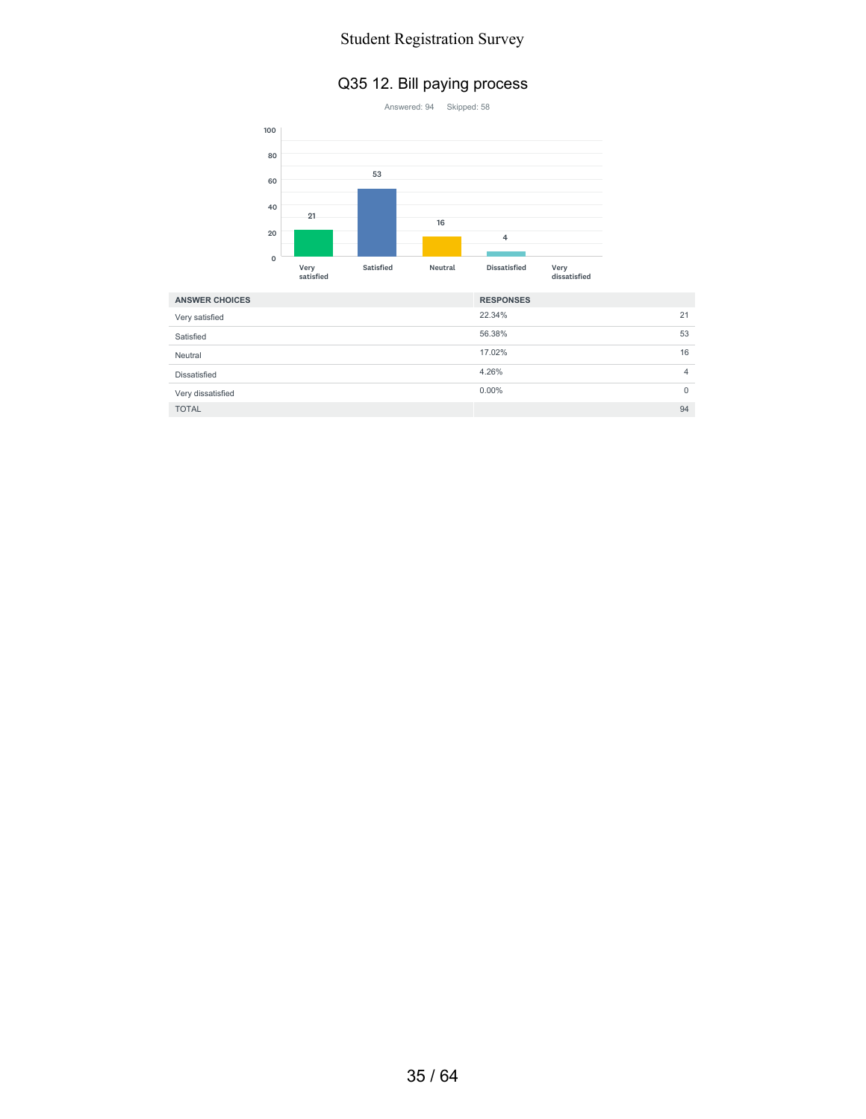#### Q35 12. Bill paying process



| <b>ANSWER CHOICES</b> | <b>RESPONSES</b> |                |
|-----------------------|------------------|----------------|
| Very satisfied        | 22.34%           | 21             |
| Satisfied             | 56.38%           | 53             |
| Neutral               | 17.02%           | 16             |
| Dissatisfied          | 4.26%            | $\overline{4}$ |
| Very dissatisfied     | $0.00\%$         | $\mathbf{0}$   |
| <b>TOTAL</b>          |                  | 94             |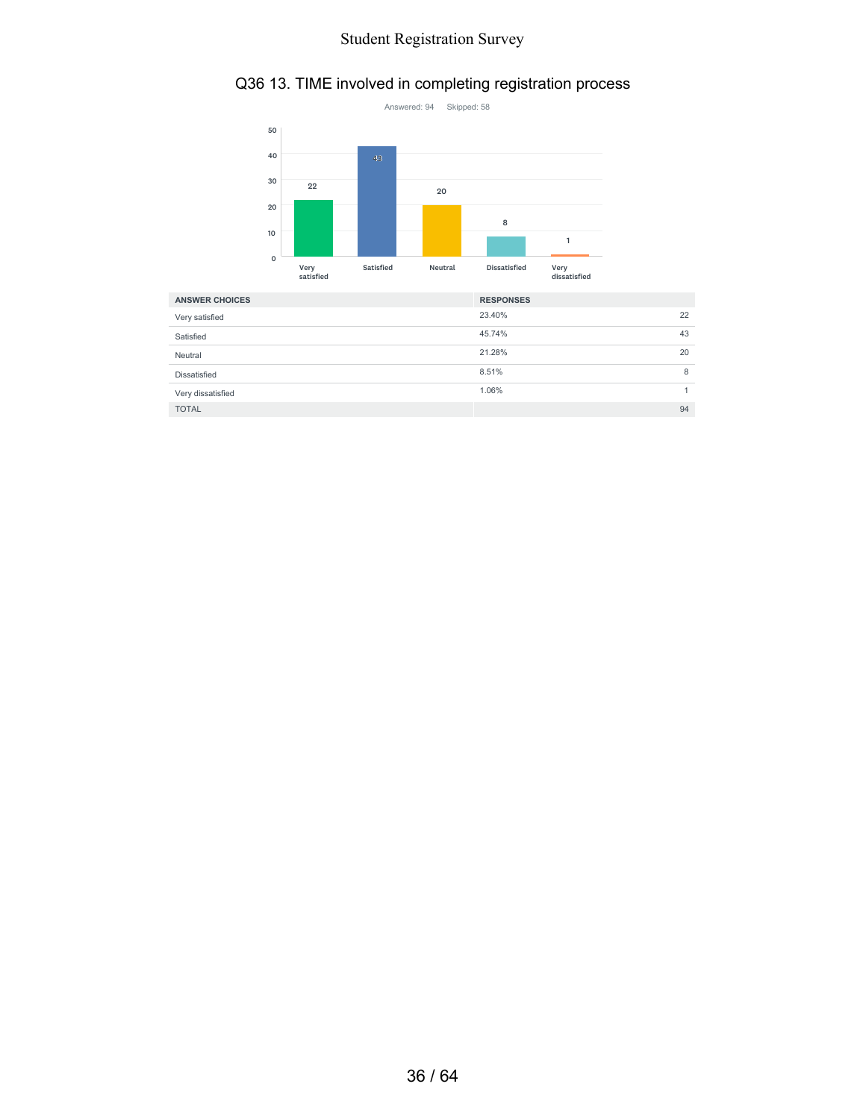#### Q36 13. TIME involved in completing registration process



| Very satisfied    | 23.40% | 22 |
|-------------------|--------|----|
| Satisfied         | 45.74% | 43 |
| Neutral           | 21.28% | 20 |
| Dissatisfied      | 8.51%  | 8  |
| Very dissatisfied | 1.06%  |    |
| <b>TOTAL</b>      |        | 94 |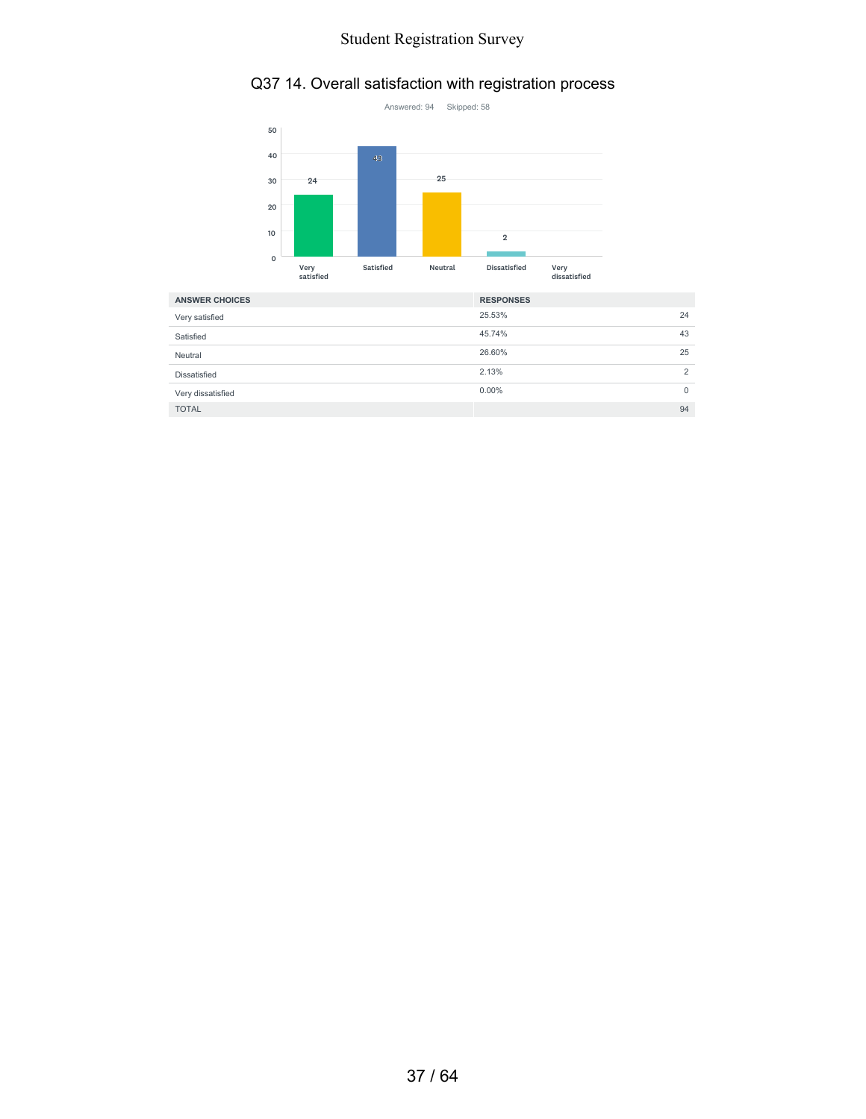## Q37 14. Overall satisfaction with registration process



| <b>ANSWER CHOICES</b> | <b>RESPONSES</b> |                |
|-----------------------|------------------|----------------|
| Very satisfied        | 25.53%           | 24             |
| Satisfied             | 45.74%           | 43             |
| Neutral               | 26.60%           | 25             |
| Dissatisfied          | 2.13%            | $\overline{2}$ |
| Very dissatisfied     | $0.00\%$         | $\mathbf 0$    |
| <b>TOTAL</b>          |                  | 94             |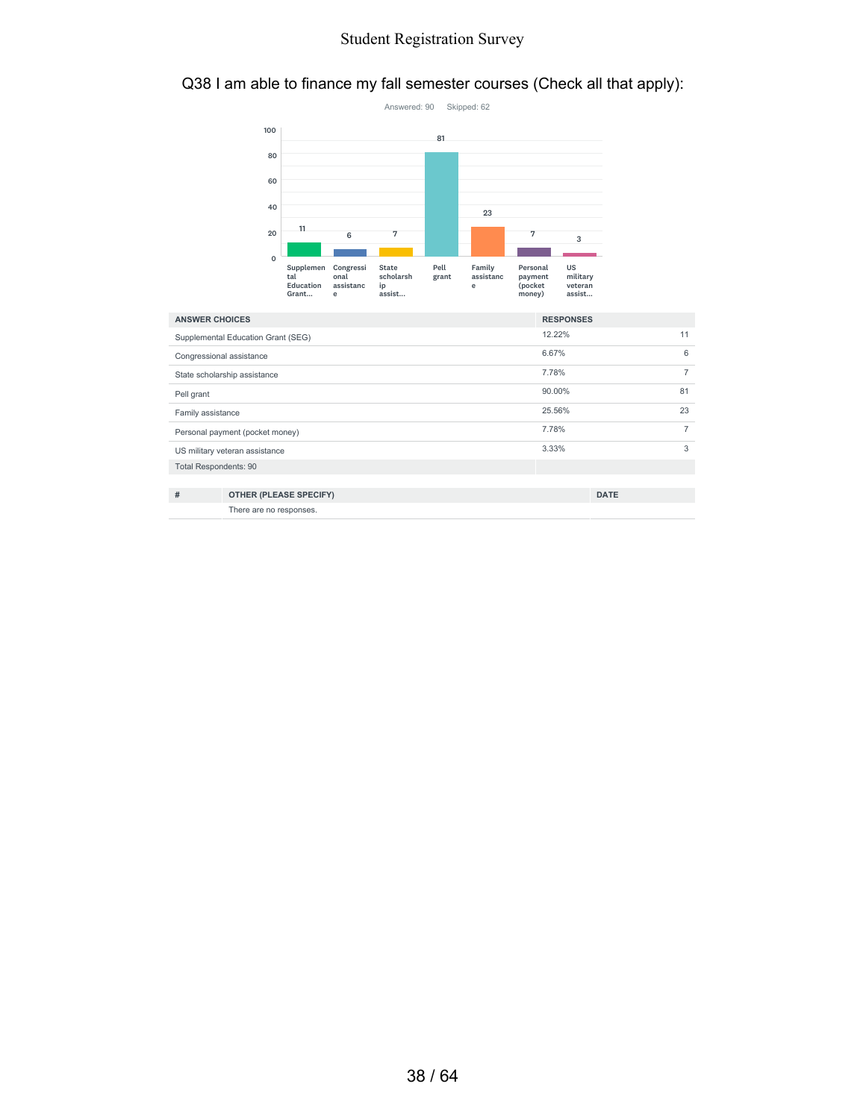#### Q38 I am able to finance my fall semester courses (Check all that apply):



| <b>ANSWER CHOICES</b>           |                                    | <b>RESPONSES</b> |                |
|---------------------------------|------------------------------------|------------------|----------------|
|                                 | Supplemental Education Grant (SEG) | 12.22%           | 11             |
|                                 | Congressional assistance           | 6.67%            | 6              |
| State scholarship assistance    |                                    | 7.78%            | 7              |
| Pell grant                      |                                    | 90.00%           | 81             |
| Family assistance               |                                    | 25.56%           | 23             |
| Personal payment (pocket money) |                                    | 7.78%            | $\overline{7}$ |
| US military veteran assistance  |                                    | 3.33%            | 3              |
| <b>Total Respondents: 90</b>    |                                    |                  |                |
|                                 |                                    |                  |                |
| #                               | <b>OTHER (PLEASE SPECIFY)</b>      | <b>DATE</b>      |                |

There are no responses.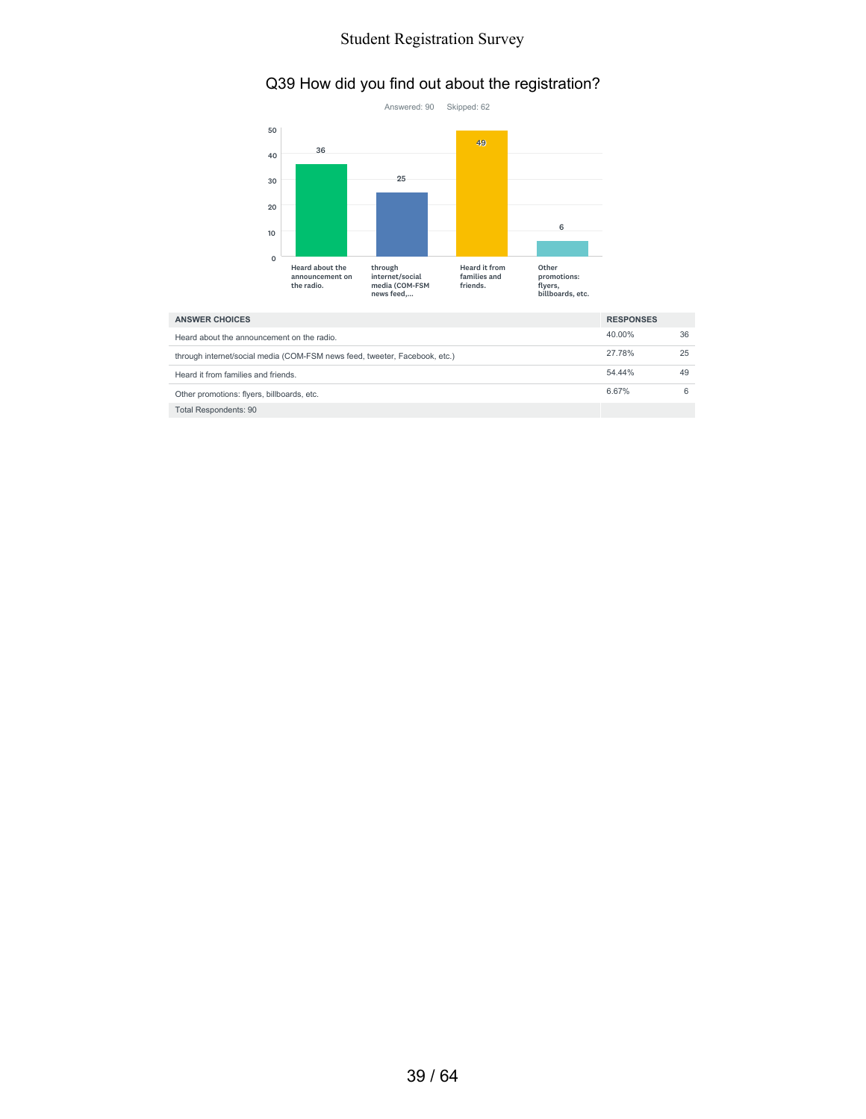### Q39 How did you find out about the registration?



| <b>ANSWER CHOICES</b>                                                      |        |    |
|----------------------------------------------------------------------------|--------|----|
| Heard about the announcement on the radio.                                 | 40.00% | 36 |
| through internet/social media (COM-FSM news feed, tweeter, Facebook, etc.) | 27.78% | 25 |
| Heard it from families and friends.                                        | 54.44% | 49 |
| Other promotions: flyers, billboards, etc.                                 | 6.67%  |    |
| Total Respondents: 90                                                      |        |    |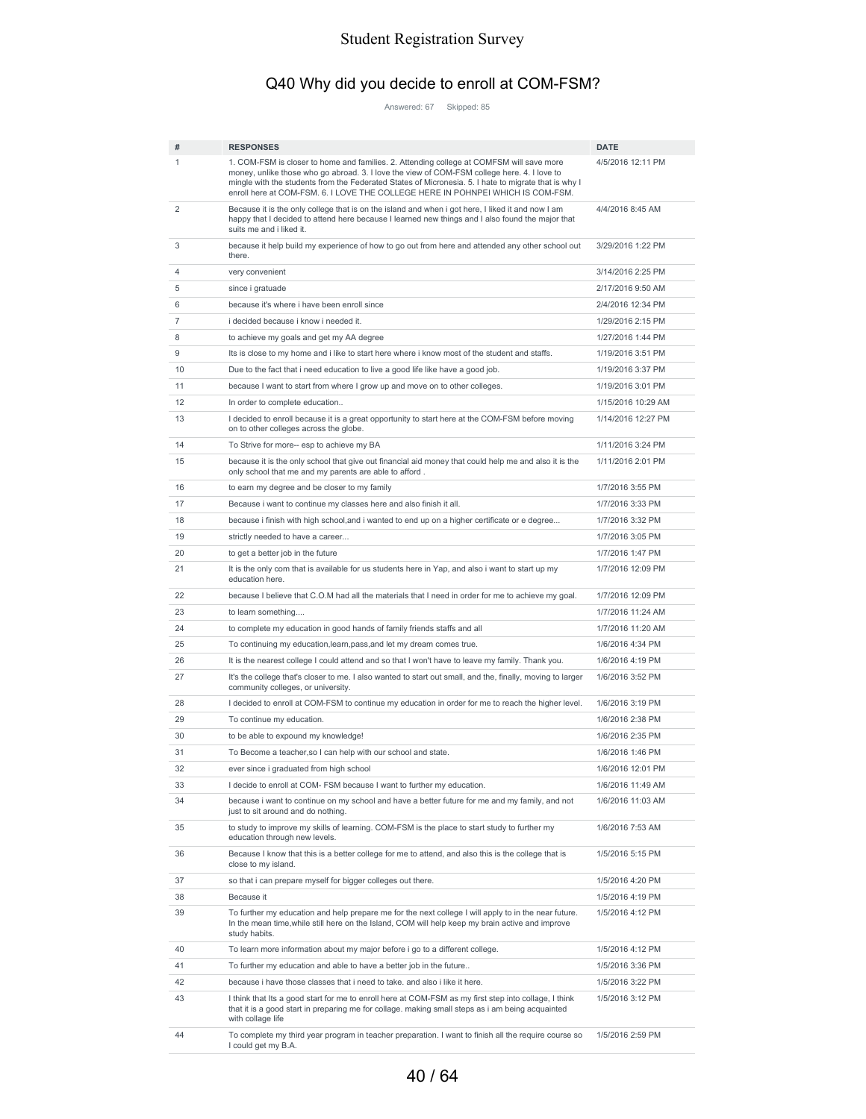# Q40 Why did you decide to enroll at COM-FSM?

Answered: 67 Skipped: 85

| #              | <b>RESPONSES</b>                                                                                                                                                                                                                                                                                                                                                                   | <b>DATE</b>        |
|----------------|------------------------------------------------------------------------------------------------------------------------------------------------------------------------------------------------------------------------------------------------------------------------------------------------------------------------------------------------------------------------------------|--------------------|
| 1              | 1. COM-FSM is closer to home and families. 2. Attending college at COMFSM will save more<br>money, unlike those who go abroad. 3. I love the view of COM-FSM college here. 4. I love to<br>mingle with the students from the Federated States of Micronesia. 5. I hate to migrate that is why I<br>enroll here at COM-FSM. 6. I LOVE THE COLLEGE HERE IN POHNPEI WHICH IS COM-FSM. | 4/5/2016 12:11 PM  |
| 2              | Because it is the only college that is on the island and when i got here, I liked it and now I am<br>happy that I decided to attend here because I learned new things and I also found the major that<br>suits me and i liked it.                                                                                                                                                  | 4/4/2016 8:45 AM   |
| 3              | because it help build my experience of how to go out from here and attended any other school out<br>there.                                                                                                                                                                                                                                                                         | 3/29/2016 1:22 PM  |
| 4              | very convenient                                                                                                                                                                                                                                                                                                                                                                    | 3/14/2016 2:25 PM  |
| 5              | since i gratuade                                                                                                                                                                                                                                                                                                                                                                   | 2/17/2016 9:50 AM  |
| 6              | because it's where i have been enroll since                                                                                                                                                                                                                                                                                                                                        | 2/4/2016 12:34 PM  |
| $\overline{7}$ | i decided because i know i needed it.                                                                                                                                                                                                                                                                                                                                              | 1/29/2016 2:15 PM  |
| 8              | to achieve my goals and get my AA degree                                                                                                                                                                                                                                                                                                                                           | 1/27/2016 1:44 PM  |
| 9              | Its is close to my home and i like to start here where i know most of the student and staffs.                                                                                                                                                                                                                                                                                      | 1/19/2016 3:51 PM  |
| 10             | Due to the fact that i need education to live a good life like have a good job.                                                                                                                                                                                                                                                                                                    | 1/19/2016 3:37 PM  |
| 11             | because I want to start from where I grow up and move on to other colleges.                                                                                                                                                                                                                                                                                                        | 1/19/2016 3:01 PM  |
| 12             | In order to complete education                                                                                                                                                                                                                                                                                                                                                     | 1/15/2016 10:29 AM |
| 13             | I decided to enroll because it is a great opportunity to start here at the COM-FSM before moving<br>on to other colleges across the globe.                                                                                                                                                                                                                                         | 1/14/2016 12:27 PM |
| 14             | To Strive for more-- esp to achieve my BA                                                                                                                                                                                                                                                                                                                                          | 1/11/2016 3:24 PM  |
| 15             | because it is the only school that give out financial aid money that could help me and also it is the<br>only school that me and my parents are able to afford.                                                                                                                                                                                                                    | 1/11/2016 2:01 PM  |
| 16             | to earn my degree and be closer to my family                                                                                                                                                                                                                                                                                                                                       | 1/7/2016 3:55 PM   |
| 17             | Because i want to continue my classes here and also finish it all.                                                                                                                                                                                                                                                                                                                 | 1/7/2016 3:33 PM   |
| 18             | because i finish with high school, and i wanted to end up on a higher certificate or e degree                                                                                                                                                                                                                                                                                      | 1/7/2016 3:32 PM   |
| 19             | strictly needed to have a career                                                                                                                                                                                                                                                                                                                                                   | 1/7/2016 3:05 PM   |
| 20             | to get a better job in the future                                                                                                                                                                                                                                                                                                                                                  | 1/7/2016 1:47 PM   |
| 21             | It is the only com that is available for us students here in Yap, and also i want to start up my<br>education here.                                                                                                                                                                                                                                                                | 1/7/2016 12:09 PM  |
| 22             | because I believe that C.O.M had all the materials that I need in order for me to achieve my goal.                                                                                                                                                                                                                                                                                 | 1/7/2016 12:09 PM  |
| 23             | to learn something                                                                                                                                                                                                                                                                                                                                                                 | 1/7/2016 11:24 AM  |
| 24             | to complete my education in good hands of family friends staffs and all                                                                                                                                                                                                                                                                                                            | 1/7/2016 11:20 AM  |
| 25             | To continuing my education, learn, pass, and let my dream comes true.                                                                                                                                                                                                                                                                                                              | 1/6/2016 4:34 PM   |
| 26             | It is the nearest college I could attend and so that I won't have to leave my family. Thank you.                                                                                                                                                                                                                                                                                   | 1/6/2016 4:19 PM   |
| 27             | It's the college that's closer to me. I also wanted to start out small, and the, finally, moving to larger<br>community colleges, or university.                                                                                                                                                                                                                                   | 1/6/2016 3:52 PM   |
| 28             | I decided to enroll at COM-FSM to continue my education in order for me to reach the higher level.                                                                                                                                                                                                                                                                                 | 1/6/2016 3:19 PM   |
| 29             | To continue my education.                                                                                                                                                                                                                                                                                                                                                          | 1/6/2016 2:38 PM   |
| 30             | to be able to expound my knowledge!                                                                                                                                                                                                                                                                                                                                                | 1/6/2016 2:35 PM   |
| 31             | To Become a teacher, so I can help with our school and state.                                                                                                                                                                                                                                                                                                                      | 1/6/2016 1:46 PM   |
| 32             | ever since i graduated from high school                                                                                                                                                                                                                                                                                                                                            | 1/6/2016 12:01 PM  |
| 33             | I decide to enroll at COM-FSM because I want to further my education.                                                                                                                                                                                                                                                                                                              | 1/6/2016 11:49 AM  |
| 34             | because i want to continue on my school and have a better future for me and my family, and not<br>just to sit around and do nothing.                                                                                                                                                                                                                                               | 1/6/2016 11:03 AM  |
| 35             | to study to improve my skills of learning. COM-FSM is the place to start study to further my<br>education through new levels.                                                                                                                                                                                                                                                      | 1/6/2016 7:53 AM   |
| 36             | Because I know that this is a better college for me to attend, and also this is the college that is<br>close to my island.                                                                                                                                                                                                                                                         | 1/5/2016 5:15 PM   |
| 37             | so that i can prepare myself for bigger colleges out there.                                                                                                                                                                                                                                                                                                                        | 1/5/2016 4:20 PM   |
| 38             | Because it                                                                                                                                                                                                                                                                                                                                                                         | 1/5/2016 4:19 PM   |
| 39             | To further my education and help prepare me for the next college I will apply to in the near future.<br>In the mean time, while still here on the Island, COM will help keep my brain active and improve<br>study habits.                                                                                                                                                          | 1/5/2016 4:12 PM   |
| 40             | To learn more information about my major before i go to a different college.                                                                                                                                                                                                                                                                                                       | 1/5/2016 4:12 PM   |
| 41             | To further my education and able to have a better job in the future                                                                                                                                                                                                                                                                                                                | 1/5/2016 3:36 PM   |
| 42             | because i have those classes that i need to take. and also i like it here.                                                                                                                                                                                                                                                                                                         | 1/5/2016 3:22 PM   |
| 43             | I think that Its a good start for me to enroll here at COM-FSM as my first step into collage, I think<br>that it is a good start in preparing me for collage. making small steps as i am being acquainted                                                                                                                                                                          | 1/5/2016 3:12 PM   |
| 44             | with collage life<br>To complete my third year program in teacher preparation. I want to finish all the require course so<br>I could get my B.A.                                                                                                                                                                                                                                   | 1/5/2016 2:59 PM   |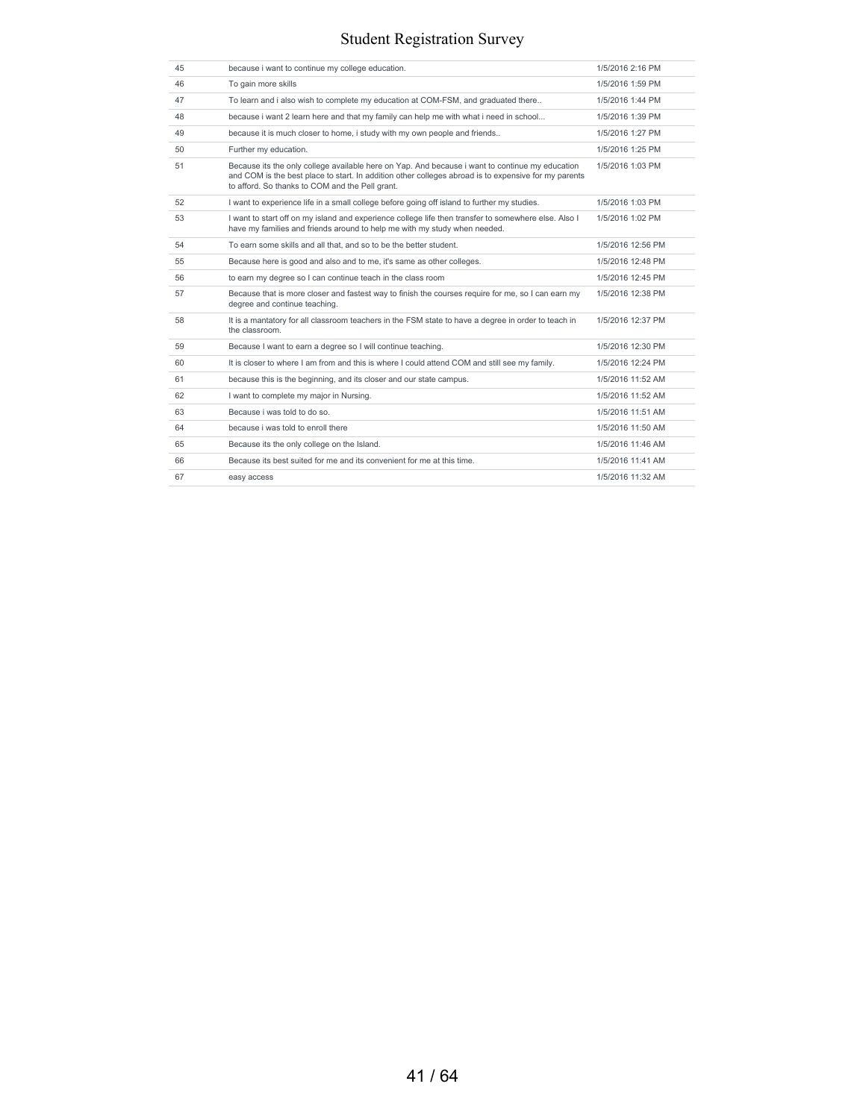| 45 | because i want to continue my college education.                                                                                                                                                                                                           | 1/5/2016 2:16 PM  |
|----|------------------------------------------------------------------------------------------------------------------------------------------------------------------------------------------------------------------------------------------------------------|-------------------|
| 46 | To gain more skills                                                                                                                                                                                                                                        | 1/5/2016 1:59 PM  |
| 47 | To learn and i also wish to complete my education at COM-FSM, and graduated there                                                                                                                                                                          | 1/5/2016 1:44 PM  |
| 48 | because i want 2 learn here and that my family can help me with what i need in school                                                                                                                                                                      | 1/5/2016 1:39 PM  |
| 49 | because it is much closer to home, i study with my own people and friends                                                                                                                                                                                  | 1/5/2016 1:27 PM  |
| 50 | Further my education.                                                                                                                                                                                                                                      | 1/5/2016 1:25 PM  |
| 51 | Because its the only college available here on Yap. And because i want to continue my education<br>and COM is the best place to start. In addition other colleges abroad is to expensive for my parents<br>to afford. So thanks to COM and the Pell grant. | 1/5/2016 1:03 PM  |
| 52 | I want to experience life in a small college before going off island to further my studies.                                                                                                                                                                | 1/5/2016 1:03 PM  |
| 53 | I want to start off on my island and experience college life then transfer to somewhere else. Also I<br>have my families and friends around to help me with my study when needed.                                                                          | 1/5/2016 1:02 PM  |
| 54 | To earn some skills and all that, and so to be the better student.                                                                                                                                                                                         | 1/5/2016 12:56 PM |
| 55 | Because here is good and also and to me, it's same as other colleges.                                                                                                                                                                                      | 1/5/2016 12:48 PM |
| 56 | to earn my degree so I can continue teach in the class room                                                                                                                                                                                                | 1/5/2016 12:45 PM |
| 57 | Because that is more closer and fastest way to finish the courses require for me, so I can earn my<br>degree and continue teaching.                                                                                                                        | 1/5/2016 12:38 PM |
| 58 | It is a mantatory for all classroom teachers in the FSM state to have a degree in order to teach in<br>the classroom.                                                                                                                                      | 1/5/2016 12:37 PM |
| 59 | Because I want to earn a degree so I will continue teaching.                                                                                                                                                                                               | 1/5/2016 12:30 PM |
| 60 | It is closer to where I am from and this is where I could attend COM and still see my family.                                                                                                                                                              | 1/5/2016 12:24 PM |
| 61 | because this is the beginning, and its closer and our state campus.                                                                                                                                                                                        | 1/5/2016 11:52 AM |
| 62 | I want to complete my major in Nursing.                                                                                                                                                                                                                    | 1/5/2016 11:52 AM |
| 63 | Because i was told to do so.                                                                                                                                                                                                                               | 1/5/2016 11:51 AM |
| 64 | because i was told to enroll there                                                                                                                                                                                                                         | 1/5/2016 11:50 AM |
| 65 | Because its the only college on the Island.                                                                                                                                                                                                                | 1/5/2016 11:46 AM |
| 66 | Because its best suited for me and its convenient for me at this time.                                                                                                                                                                                     | 1/5/2016 11:41 AM |
| 67 | easy access                                                                                                                                                                                                                                                | 1/5/2016 11:32 AM |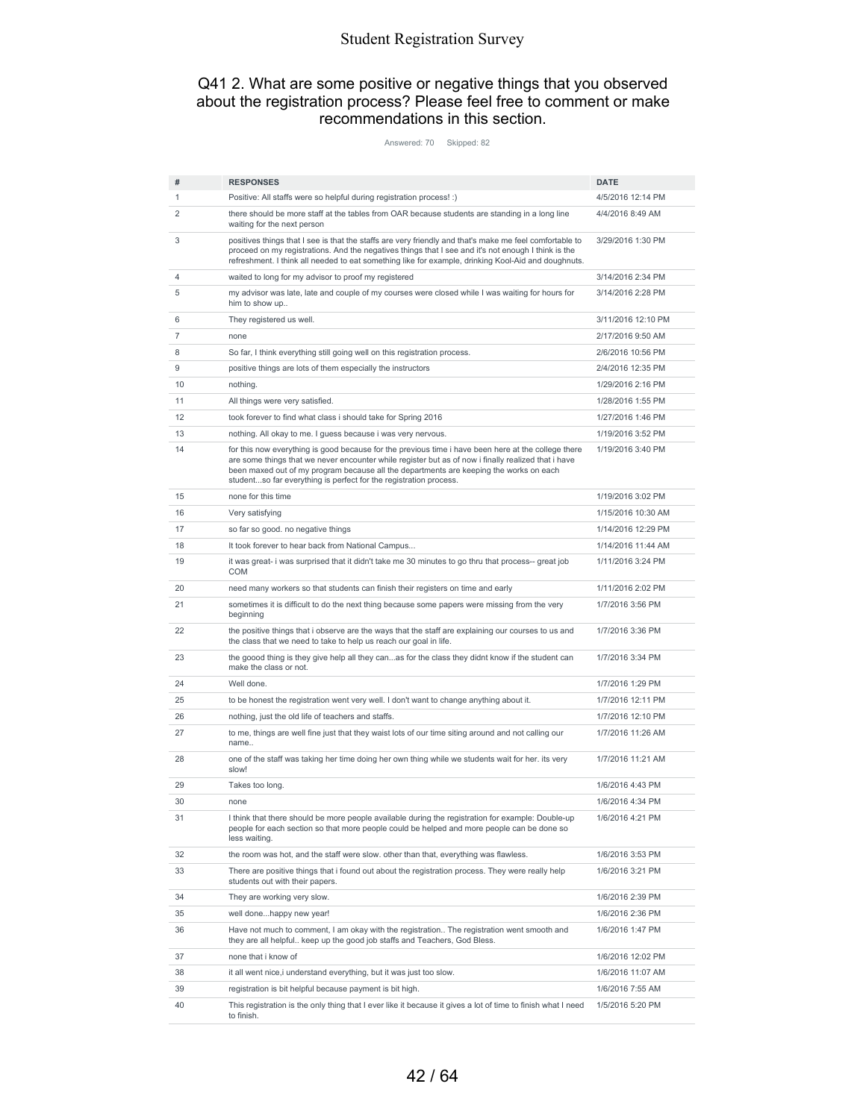#### Q41 2. What are some positive or negative things that you observed about the registration process? Please feel free to comment or make recommendations in this section.

Answered: 70 Skipped: 82

| #  | <b>RESPONSES</b>                                                                                                                                                                                                                                                                                                                                                          | <b>DATE</b>        |
|----|---------------------------------------------------------------------------------------------------------------------------------------------------------------------------------------------------------------------------------------------------------------------------------------------------------------------------------------------------------------------------|--------------------|
| 1  | Positive: All staffs were so helpful during registration process! :)                                                                                                                                                                                                                                                                                                      | 4/5/2016 12:14 PM  |
| 2  | there should be more staff at the tables from OAR because students are standing in a long line<br>waiting for the next person                                                                                                                                                                                                                                             | 4/4/2016 8:49 AM   |
| 3  | positives things that I see is that the staffs are very friendly and that's make me feel comfortable to<br>proceed on my registrations. And the negatives things that I see and it's not enough I think is the<br>refreshment. I think all needed to eat something like for example, drinking Kool-Aid and doughnuts.                                                     | 3/29/2016 1:30 PM  |
| 4  | waited to long for my advisor to proof my registered                                                                                                                                                                                                                                                                                                                      | 3/14/2016 2:34 PM  |
| 5  | my advisor was late, late and couple of my courses were closed while I was waiting for hours for<br>him to show up                                                                                                                                                                                                                                                        | 3/14/2016 2:28 PM  |
| 6  | They registered us well.                                                                                                                                                                                                                                                                                                                                                  | 3/11/2016 12:10 PM |
| 7  | none                                                                                                                                                                                                                                                                                                                                                                      | 2/17/2016 9:50 AM  |
| 8  | So far, I think everything still going well on this registration process.                                                                                                                                                                                                                                                                                                 | 2/6/2016 10:56 PM  |
| 9  | positive things are lots of them especially the instructors                                                                                                                                                                                                                                                                                                               | 2/4/2016 12:35 PM  |
| 10 | nothing.                                                                                                                                                                                                                                                                                                                                                                  | 1/29/2016 2:16 PM  |
| 11 | All things were very satisfied.                                                                                                                                                                                                                                                                                                                                           | 1/28/2016 1:55 PM  |
| 12 | took forever to find what class i should take for Spring 2016                                                                                                                                                                                                                                                                                                             | 1/27/2016 1:46 PM  |
| 13 | nothing. All okay to me. I guess because i was very nervous.                                                                                                                                                                                                                                                                                                              | 1/19/2016 3:52 PM  |
| 14 | for this now everything is good because for the previous time i have been here at the college there<br>are some things that we never encounter while register but as of now i finally realized that i have<br>been maxed out of my program because all the departments are keeping the works on each<br>studentso far everything is perfect for the registration process. | 1/19/2016 3:40 PM  |
| 15 | none for this time                                                                                                                                                                                                                                                                                                                                                        | 1/19/2016 3:02 PM  |
| 16 | Very satisfying                                                                                                                                                                                                                                                                                                                                                           | 1/15/2016 10:30 AM |
| 17 | so far so good, no negative things                                                                                                                                                                                                                                                                                                                                        | 1/14/2016 12:29 PM |
| 18 | It took forever to hear back from National Campus                                                                                                                                                                                                                                                                                                                         | 1/14/2016 11:44 AM |
| 19 | it was great- i was surprised that it didn't take me 30 minutes to go thru that process-- great job<br><b>COM</b>                                                                                                                                                                                                                                                         | 1/11/2016 3:24 PM  |
| 20 | need many workers so that students can finish their registers on time and early                                                                                                                                                                                                                                                                                           | 1/11/2016 2:02 PM  |
| 21 | sometimes it is difficult to do the next thing because some papers were missing from the very<br>beginning                                                                                                                                                                                                                                                                | 1/7/2016 3:56 PM   |
| 22 | the positive things that i observe are the ways that the staff are explaining our courses to us and<br>the class that we need to take to help us reach our goal in life.                                                                                                                                                                                                  | 1/7/2016 3:36 PM   |
| 23 | the goood thing is they give help all they canas for the class they didnt know if the student can<br>make the class or not.                                                                                                                                                                                                                                               | 1/7/2016 3:34 PM   |
| 24 | Well done.                                                                                                                                                                                                                                                                                                                                                                | 1/7/2016 1:29 PM   |
| 25 | to be honest the registration went very well. I don't want to change anything about it.                                                                                                                                                                                                                                                                                   | 1/7/2016 12:11 PM  |
| 26 | nothing, just the old life of teachers and staffs.                                                                                                                                                                                                                                                                                                                        | 1/7/2016 12:10 PM  |
| 27 | to me, things are well fine just that they waist lots of our time siting around and not calling our<br>name                                                                                                                                                                                                                                                               | 1/7/2016 11:26 AM  |
| 28 | one of the staff was taking her time doing her own thing while we students wait for her. its very<br>slow!                                                                                                                                                                                                                                                                | 1/7/2016 11:21 AM  |
| 29 | Takes too long.                                                                                                                                                                                                                                                                                                                                                           | 1/6/2016 4:43 PM   |
| 30 | none                                                                                                                                                                                                                                                                                                                                                                      | 1/6/2016 4:34 PM   |
| 31 | I think that there should be more people available during the registration for example: Double-up<br>people for each section so that more people could be helped and more people can be done so<br>less waiting.                                                                                                                                                          | 1/6/2016 4:21 PM   |
| 32 | the room was hot, and the staff were slow. other than that, everything was flawless.                                                                                                                                                                                                                                                                                      | 1/6/2016 3:53 PM   |
| 33 | There are positive things that i found out about the registration process. They were really help<br>students out with their papers.                                                                                                                                                                                                                                       | 1/6/2016 3:21 PM   |
| 34 | They are working very slow.                                                                                                                                                                                                                                                                                                                                               | 1/6/2016 2:39 PM   |
| 35 | well donehappy new year!                                                                                                                                                                                                                                                                                                                                                  | 1/6/2016 2:36 PM   |
| 36 | Have not much to comment. I am okay with the registration The registration went smooth and<br>they are all helpful keep up the good job staffs and Teachers, God Bless.                                                                                                                                                                                                   | 1/6/2016 1:47 PM   |
| 37 | none that i know of                                                                                                                                                                                                                                                                                                                                                       | 1/6/2016 12:02 PM  |
| 38 | it all went nice, i understand everything, but it was just too slow.                                                                                                                                                                                                                                                                                                      | 1/6/2016 11:07 AM  |
| 39 | registration is bit helpful because payment is bit high.                                                                                                                                                                                                                                                                                                                  | 1/6/2016 7:55 AM   |
| 40 | This registration is the only thing that I ever like it because it gives a lot of time to finish what I need<br>to finish.                                                                                                                                                                                                                                                | 1/5/2016 5:20 PM   |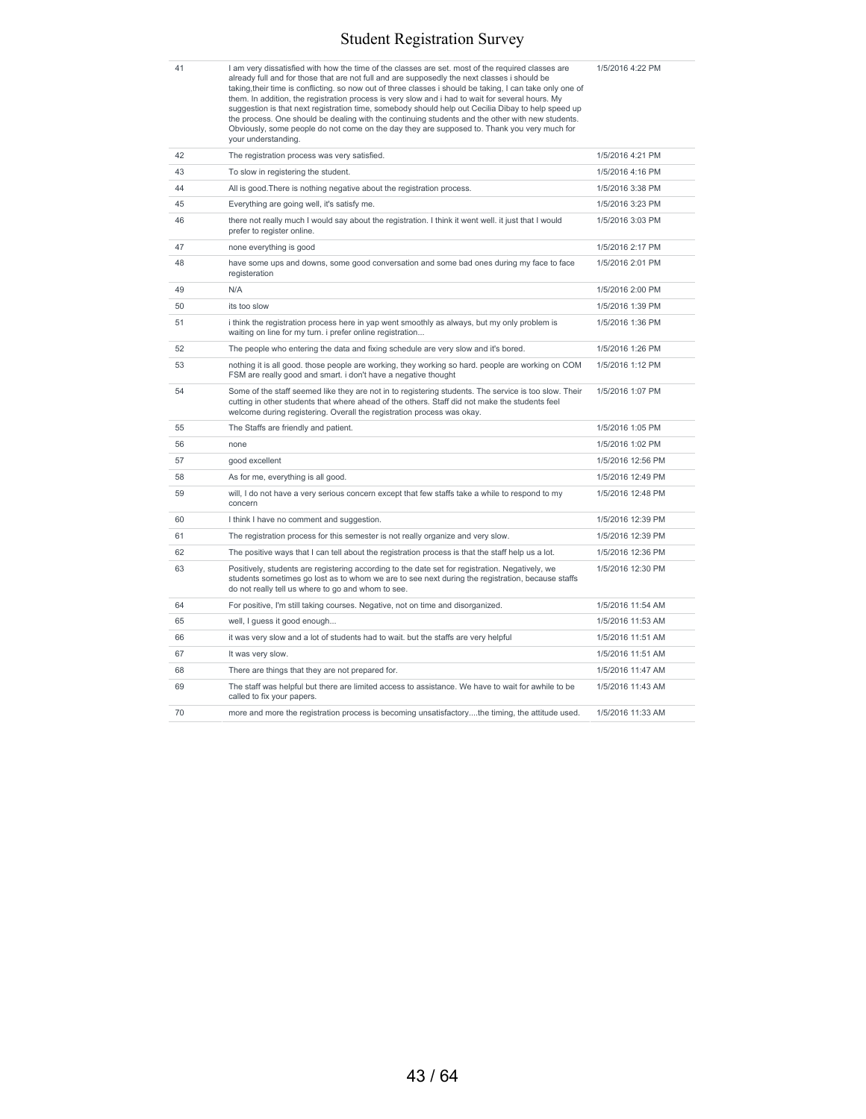I am very dissatisfied with how the time of the classes are set. most of the required classes are<br>already full and for those that are not full and are supposedly the next classes i should be<br>taking, their time is conflicti the process. One should be dealing with the continuing students and the other with new students. Obviously, some people do not come on the day they are supposed to. Thank you very much for

1/5/2016 4:22 PM

|    | Obviously, some people do not come on the day they are supposed to. Thank you very much for<br>your understanding.                                                                                                                                                                |                   |
|----|-----------------------------------------------------------------------------------------------------------------------------------------------------------------------------------------------------------------------------------------------------------------------------------|-------------------|
| 42 | The registration process was very satisfied.                                                                                                                                                                                                                                      | 1/5/2016 4:21 PM  |
| 43 | To slow in registering the student.                                                                                                                                                                                                                                               | 1/5/2016 4:16 PM  |
| 44 | All is good. There is nothing negative about the registration process.                                                                                                                                                                                                            | 1/5/2016 3:38 PM  |
| 45 | Everything are going well, it's satisfy me.                                                                                                                                                                                                                                       | 1/5/2016 3:23 PM  |
| 46 | there not really much I would say about the registration. I think it went well, it just that I would<br>prefer to register online.                                                                                                                                                | 1/5/2016 3:03 PM  |
| 47 | none everything is good                                                                                                                                                                                                                                                           | 1/5/2016 2:17 PM  |
| 48 | have some ups and downs, some good conversation and some bad ones during my face to face<br>registeration                                                                                                                                                                         | 1/5/2016 2:01 PM  |
| 49 | N/A                                                                                                                                                                                                                                                                               | 1/5/2016 2:00 PM  |
| 50 | its too slow                                                                                                                                                                                                                                                                      | 1/5/2016 1:39 PM  |
| 51 | i think the registration process here in yap went smoothly as always, but my only problem is<br>waiting on line for my turn. i prefer online registration                                                                                                                         | 1/5/2016 1:36 PM  |
| 52 | The people who entering the data and fixing schedule are very slow and it's bored.                                                                                                                                                                                                | 1/5/2016 1:26 PM  |
| 53 | nothing it is all good. those people are working, they working so hard. people are working on COM<br>FSM are really good and smart. i don't have a negative thought                                                                                                               | 1/5/2016 1:12 PM  |
| 54 | Some of the staff seemed like they are not in to registering students. The service is too slow. Their<br>cutting in other students that where ahead of the others. Staff did not make the students feel<br>welcome during registering. Overall the registration process was okay. | 1/5/2016 1:07 PM  |
| 55 | The Staffs are friendly and patient.                                                                                                                                                                                                                                              | 1/5/2016 1:05 PM  |
| 56 | none                                                                                                                                                                                                                                                                              | 1/5/2016 1:02 PM  |
| 57 | good excellent                                                                                                                                                                                                                                                                    | 1/5/2016 12:56 PM |
| 58 | As for me, everything is all good.                                                                                                                                                                                                                                                | 1/5/2016 12:49 PM |
| 59 | will, I do not have a very serious concern except that few staffs take a while to respond to my<br>concern                                                                                                                                                                        | 1/5/2016 12:48 PM |
| 60 | I think I have no comment and suggestion.                                                                                                                                                                                                                                         | 1/5/2016 12:39 PM |
| 61 | The registration process for this semester is not really organize and very slow.                                                                                                                                                                                                  | 1/5/2016 12:39 PM |
| 62 | The positive ways that I can tell about the registration process is that the staff help us a lot.                                                                                                                                                                                 | 1/5/2016 12:36 PM |
| 63 | Positively, students are registering according to the date set for registration. Negatively, we<br>students sometimes go lost as to whom we are to see next during the registration, because staffs<br>do not really tell us where to go and whom to see.                         | 1/5/2016 12:30 PM |
| 64 | For positive, I'm still taking courses. Negative, not on time and disorganized.                                                                                                                                                                                                   | 1/5/2016 11:54 AM |
| 65 | well, I guess it good enough                                                                                                                                                                                                                                                      | 1/5/2016 11:53 AM |
| 66 | it was very slow and a lot of students had to wait, but the staffs are very helpful                                                                                                                                                                                               | 1/5/2016 11:51 AM |
| 67 | It was very slow.                                                                                                                                                                                                                                                                 | 1/5/2016 11:51 AM |
| 68 | There are things that they are not prepared for.                                                                                                                                                                                                                                  | 1/5/2016 11:47 AM |
| 69 | The staff was helpful but there are limited access to assistance. We have to wait for awhile to be<br>called to fix your papers.                                                                                                                                                  | 1/5/2016 11:43 AM |
| 70 | more and more the registration process is becoming unsatisfactorythe timing, the attitude used.                                                                                                                                                                                   | 1/5/2016 11:33 AM |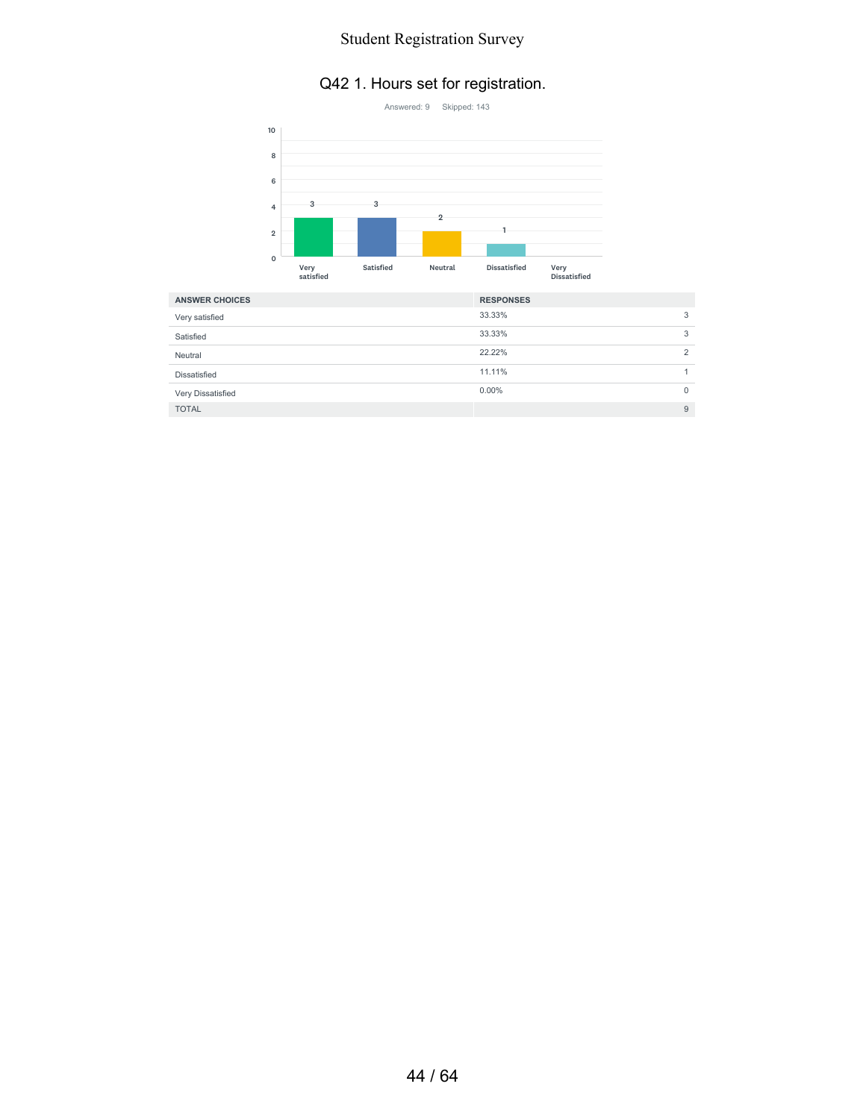#### Q42 1. Hours set for registration.



| <b>ANSWER CHOICES</b> | <b>RESPONSES</b> |                |
|-----------------------|------------------|----------------|
| Very satisfied        | 33.33%           | 3              |
| Satisfied             | 33.33%           | 3              |
| Neutral               | 22.22%           | $\overline{2}$ |
| Dissatisfied          | 11.11%           |                |
| Very Dissatisfied     | $0.00\%$         | $\Omega$       |
| <b>TOTAL</b>          |                  | 9              |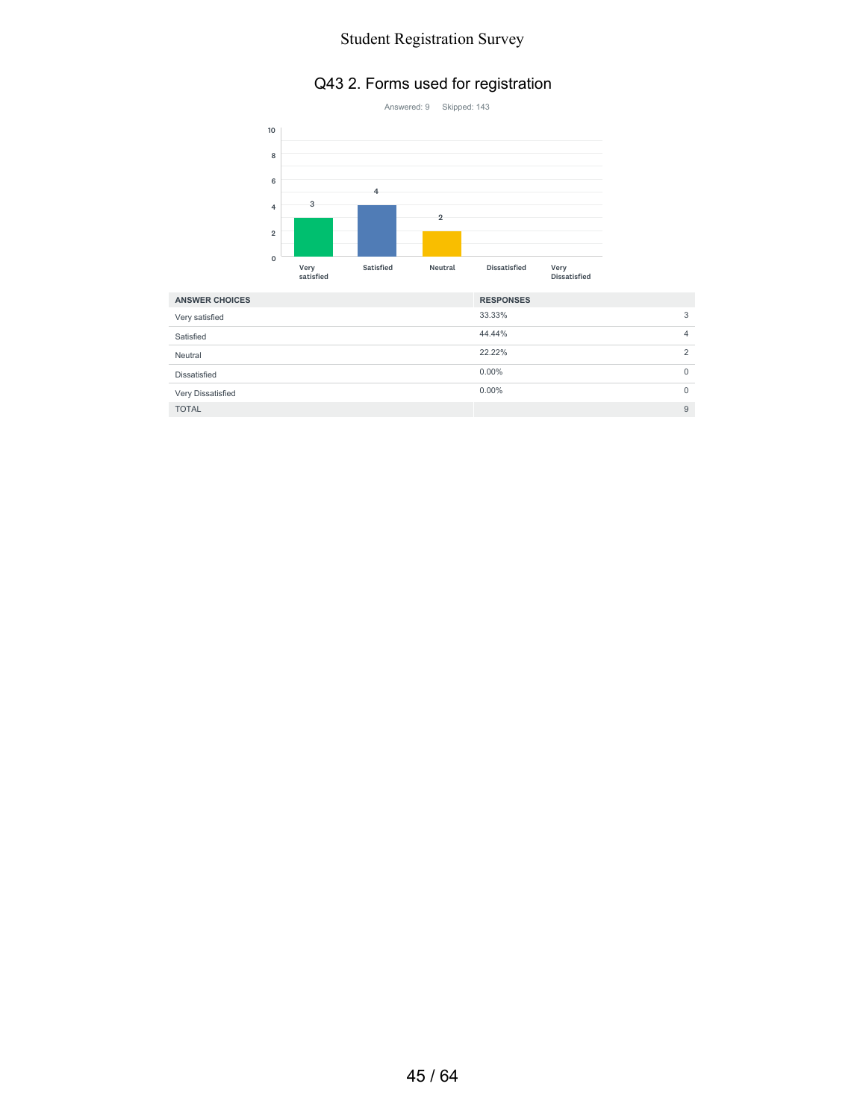## Q43 2. Forms used for registration



| <b>ANSWER CHOICES</b> | <b>RESPONSES</b> |          |
|-----------------------|------------------|----------|
| Very satisfied        | 33.33%           | 3        |
| Satisfied             | 44.44%           | 4        |
| Neutral               | 22.22%           | 2        |
| Dissatisfied          | $0.00\%$         | 0        |
| Very Dissatisfied     | $0.00\%$         | $\Omega$ |
| <b>TOTAL</b>          |                  | 9        |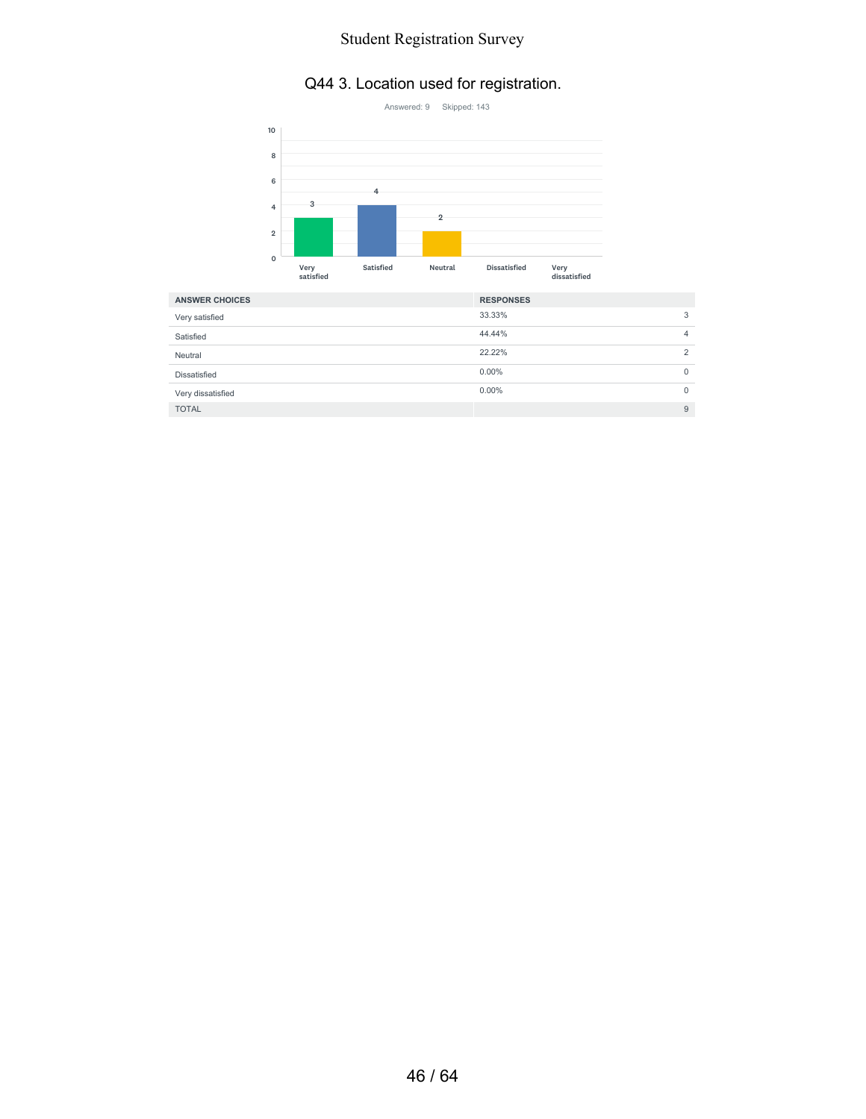### Q44 3. Location used for registration.



| <b>ANSWER CHOICES</b> | <b>RESPONSES</b> |          |
|-----------------------|------------------|----------|
| Very satisfied        | 33.33%           | 3        |
| Satisfied             | 44.44%           | 4        |
| Neutral               | 22.22%           | 2        |
| Dissatisfied          | $0.00\%$         | 0        |
| Very dissatisfied     | $0.00\%$         | $\Omega$ |
| <b>TOTAL</b>          |                  | 9        |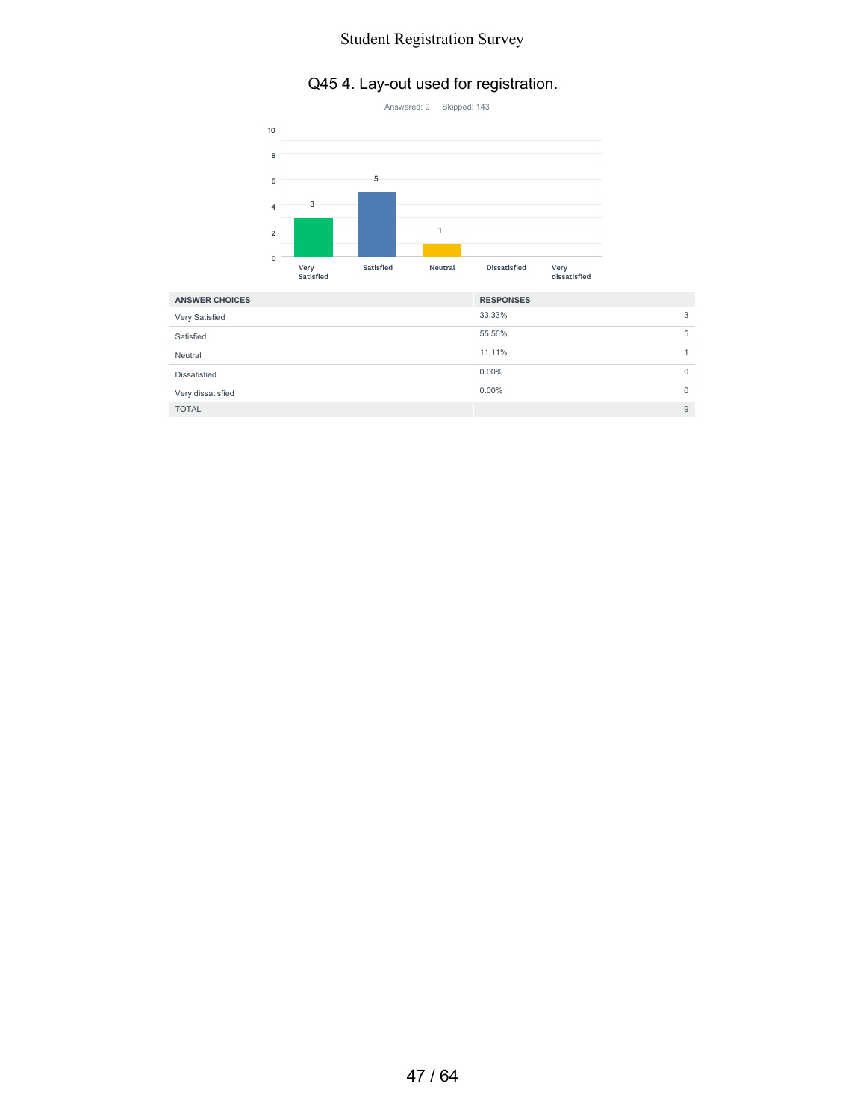## Q45 4. Lay-out used for registration.



| <b>ANSWER CHOICES</b> | <b>RESPONSES</b> |          |
|-----------------------|------------------|----------|
| Very Satisfied        | 33.33%           | 3        |
| Satisfied             | 55.56%           | 5        |
| Neutral               | 11.11%           |          |
| Dissatisfied          | $0.00\%$         | 0        |
| Very dissatisfied     | $0.00\%$         | $\Omega$ |
| <b>TOTAL</b>          |                  | 9        |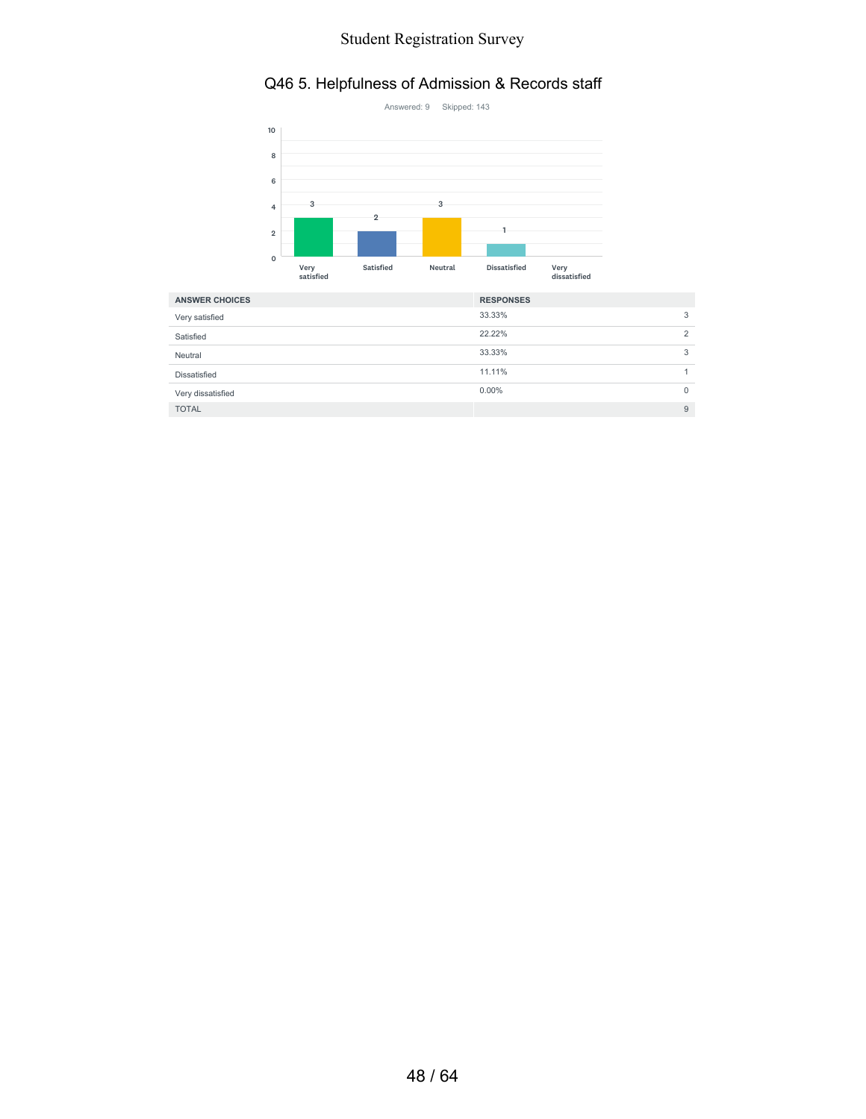### Q46 5. Helpfulness of Admission & Records staff



| <b>ANSWER CHOICES</b> | <b>RESPONSES</b> |   |
|-----------------------|------------------|---|
| Very satisfied        | 33.33%           | 3 |
| Satisfied             | 22.22%           | 2 |
| Neutral               | 33.33%           | 3 |
| Dissatisfied          | 11.11%           |   |
| Very dissatisfied     | $0.00\%$         | 0 |
| <b>TOTAL</b>          |                  | 9 |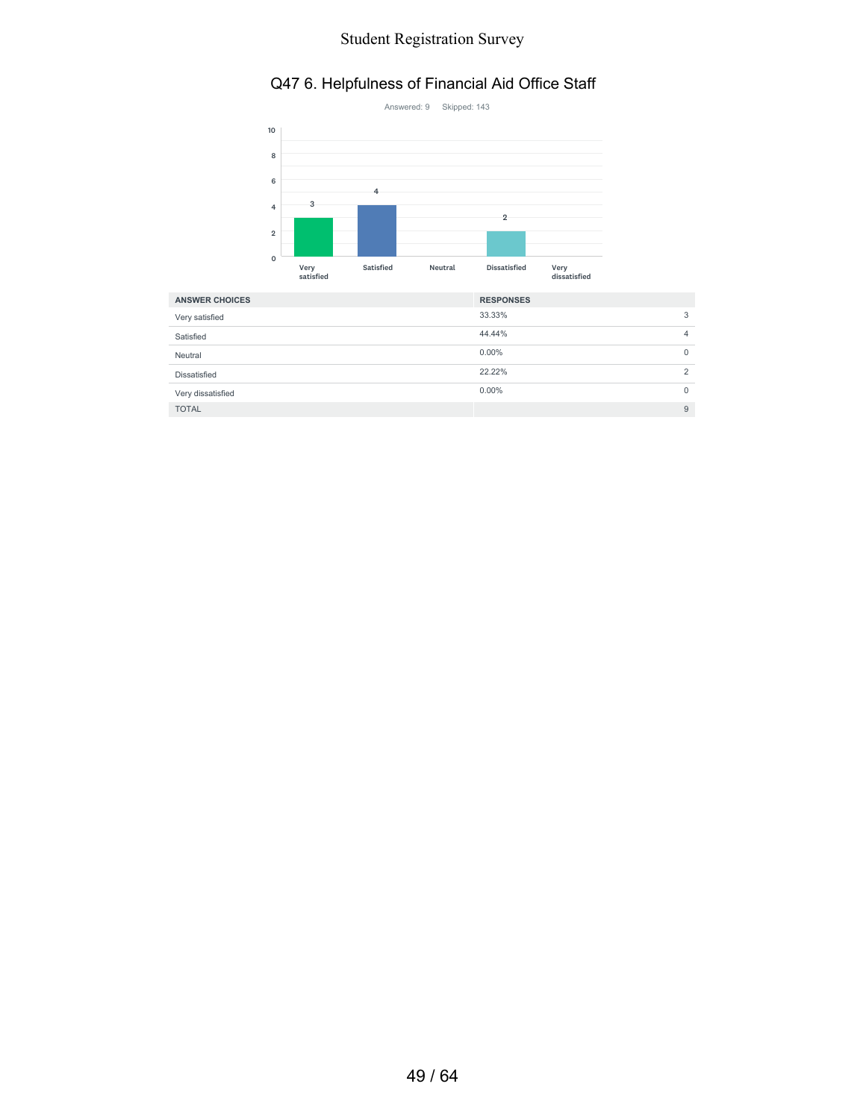### Q47 6. Helpfulness of Financial Aid Office Staff



| <b>ANSWER CHOICES</b> | <b>RESPONSES</b> |                |
|-----------------------|------------------|----------------|
| Very satisfied        | 33.33%           | 3              |
| Satisfied             | 44.44%           | $\overline{4}$ |
| Neutral               | $0.00\%$         | 0              |
| Dissatisfied          | 22.22%           | $\overline{2}$ |
| Very dissatisfied     | $0.00\%$         | $\Omega$       |
| <b>TOTAL</b>          |                  | 9              |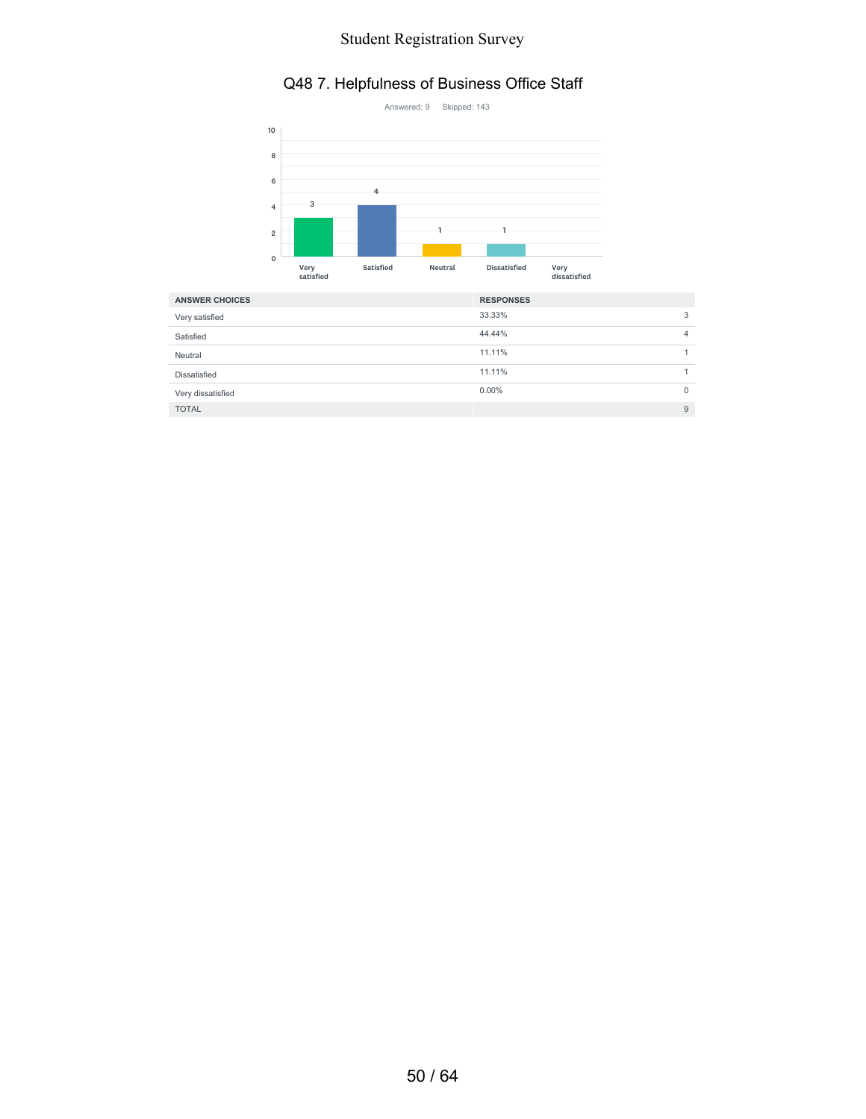#### Q48 7. Helpfulness of Business Office Staff



| <b>ANSWER CHOICES</b> | <b>RESPONSES</b> |   |
|-----------------------|------------------|---|
| Very satisfied        | 33.33%           | 3 |
| Satisfied             | 44.44%           | 4 |
| Neutral               | 11.11%           |   |
| Dissatisfied          | 11.11%           |   |
| Very dissatisfied     | $0.00\%$         | 0 |
| <b>TOTAL</b>          |                  | 9 |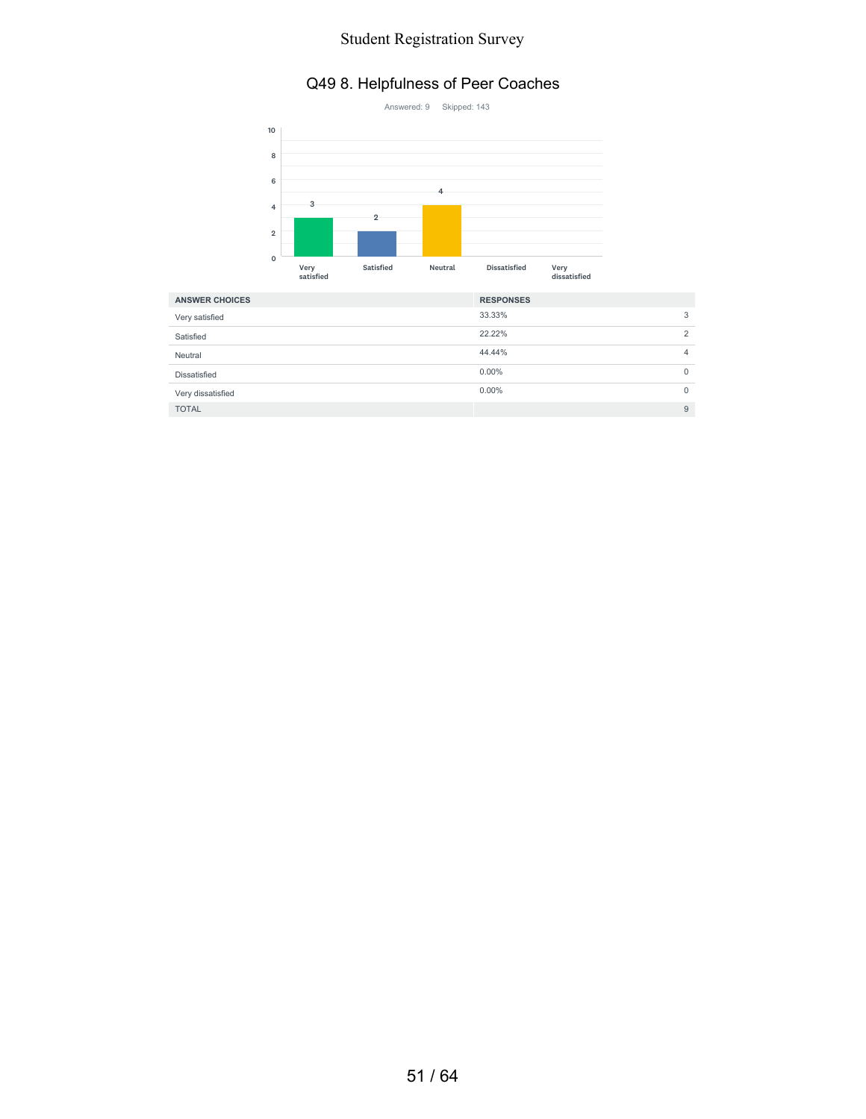#### Q49 8. Helpfulness of Peer Coaches



| <b>ANSWER CHOICES</b> | <b>RESPONSES</b> |                |
|-----------------------|------------------|----------------|
| Very satisfied        | 33.33%           | 3              |
| Satisfied             | 22.22%           | $\overline{2}$ |
| Neutral               | 44.44%           | 4              |
| Dissatisfied          | $0.00\%$         | 0              |
| Very dissatisfied     | $0.00\%$         | $\mathbf{0}$   |
| <b>TOTAL</b>          |                  | 9              |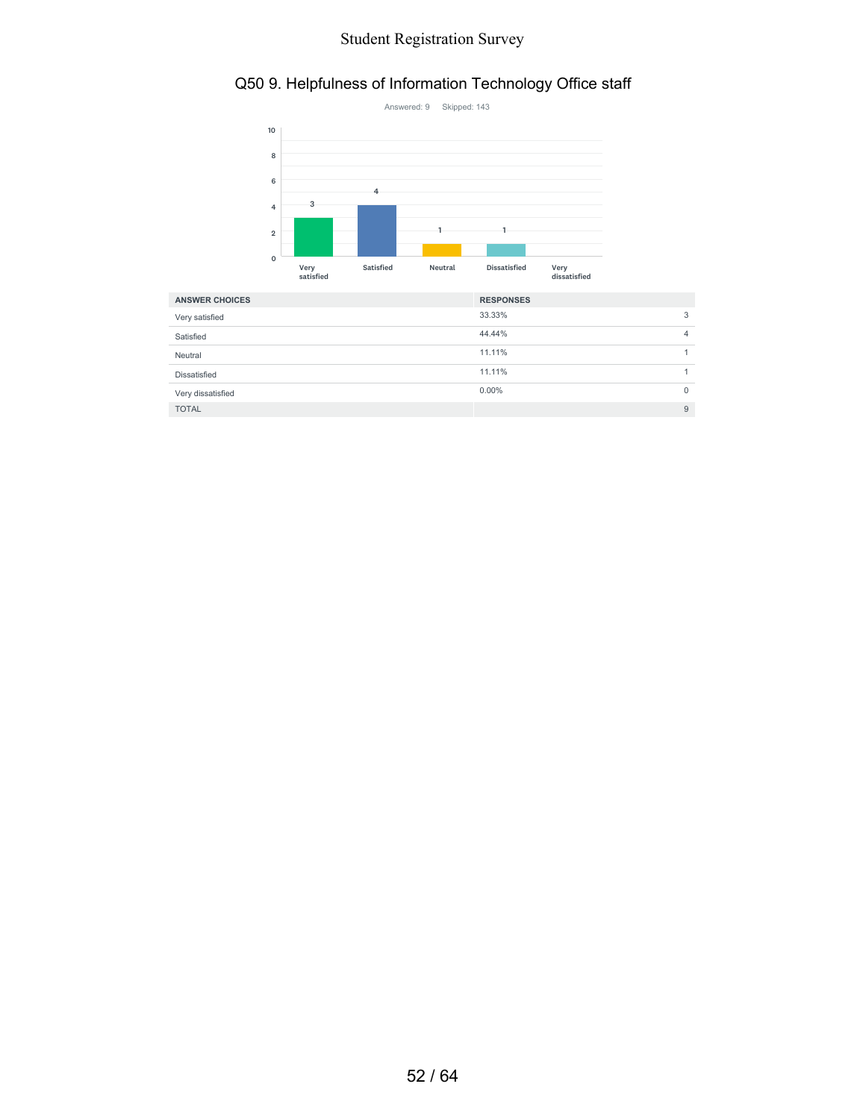### Q50 9. Helpfulness of Information Technology Office staff



| <b>ANSWER CHOICES</b> | <b>RESPONSES</b> |              |
|-----------------------|------------------|--------------|
| Very satisfied        | 33.33%           | 3            |
| Satisfied             | 44.44%           | 4            |
| Neutral               | 11.11%           |              |
| Dissatisfied          | 11.11%           |              |
| Very dissatisfied     | $0.00\%$         | $\mathbf{0}$ |
| <b>TOTAL</b>          |                  | 9            |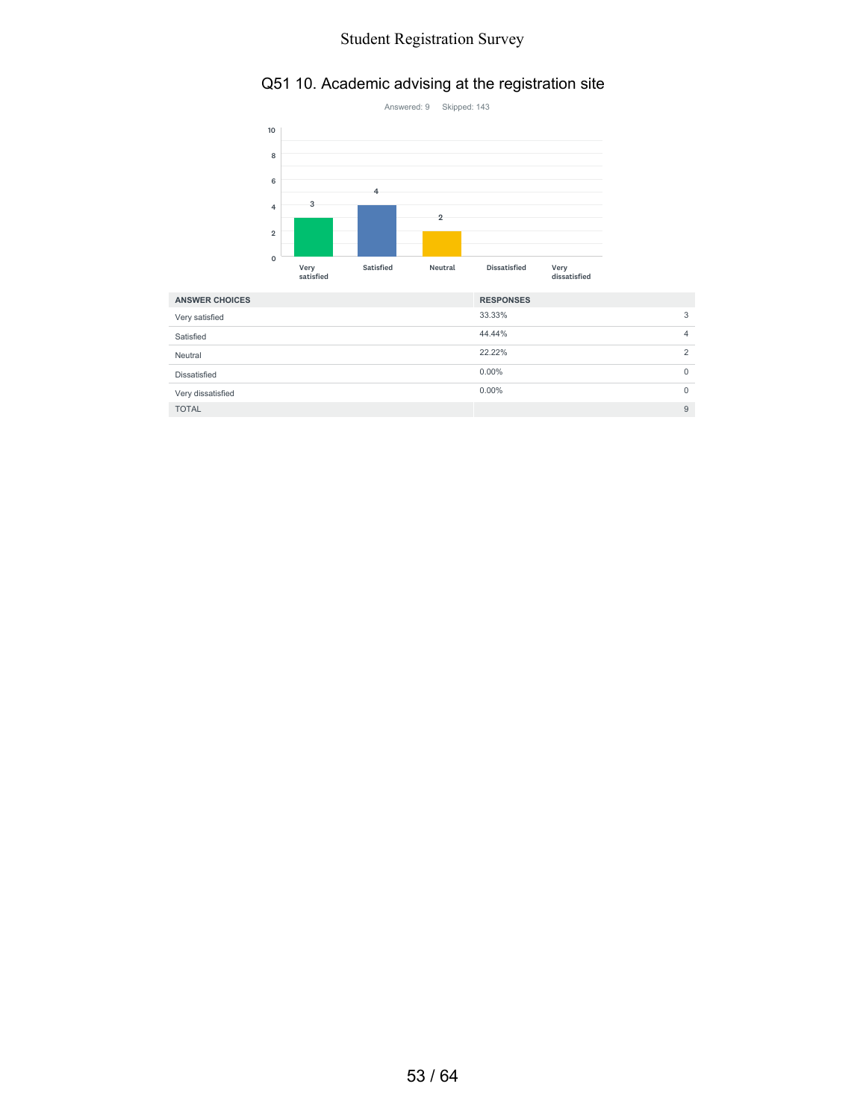## Q51 10. Academic advising at the registration site



| <b>ANSWER CHOICES</b> | <b>RESPONSES</b> |                |
|-----------------------|------------------|----------------|
| Very satisfied        | 33.33%           | 3              |
| Satisfied             | 44.44%           | 4              |
| Neutral               | 22.22%           | $\overline{2}$ |
| Dissatisfied          | $0.00\%$         | $\mathbf{0}$   |
| Very dissatisfied     | $0.00\%$         | 0              |
| <b>TOTAL</b>          |                  | 9              |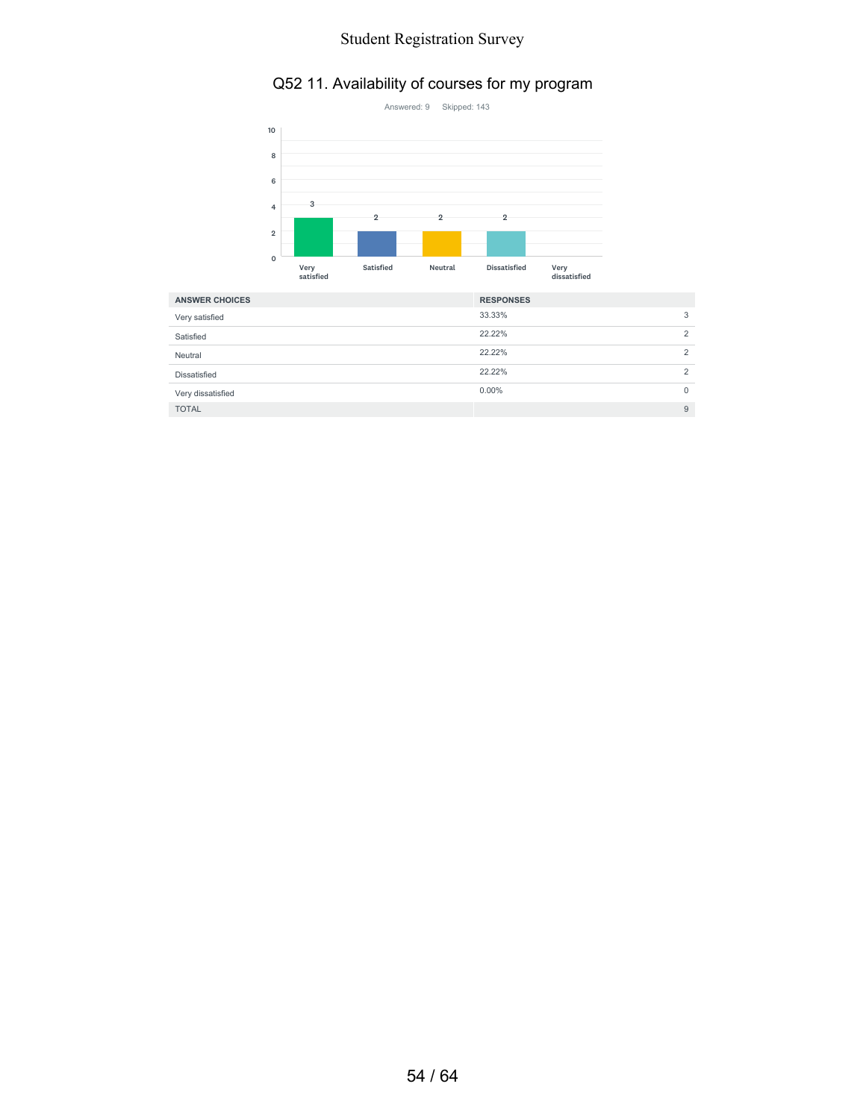### Q52 11. Availability of courses for my program



| <b>ANSWER CHOICES</b> | <b>RESPONSES</b> |                |
|-----------------------|------------------|----------------|
| Very satisfied        | 33.33%           | 3              |
| Satisfied             | 22.22%           | $\overline{2}$ |
| Neutral               | 22.22%           | $\overline{2}$ |
| Dissatisfied          | 22.22%           | 2              |
| Very dissatisfied     | $0.00\%$         | $\Omega$       |
| <b>TOTAL</b>          |                  | 9              |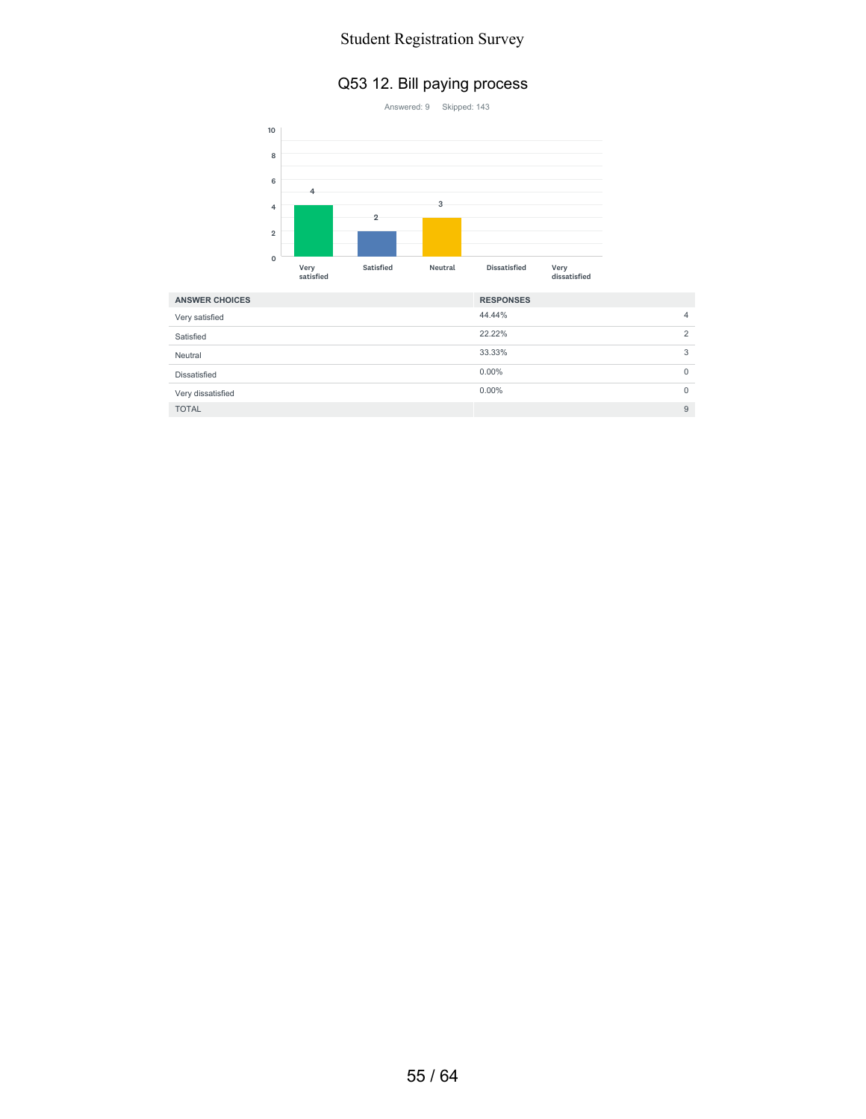#### Q53 12. Bill paying process



| <b>ANSWER CHOICES</b> | <b>RESPONSES</b> |   |
|-----------------------|------------------|---|
| Very satisfied        | 44.44%           | 4 |
| Satisfied             | 22.22%           | 2 |
| Neutral               | 33.33%           | 3 |
| Dissatisfied          | $0.00\%$         | 0 |
| Very dissatisfied     | $0.00\%$         | 0 |
| <b>TOTAL</b>          |                  | 9 |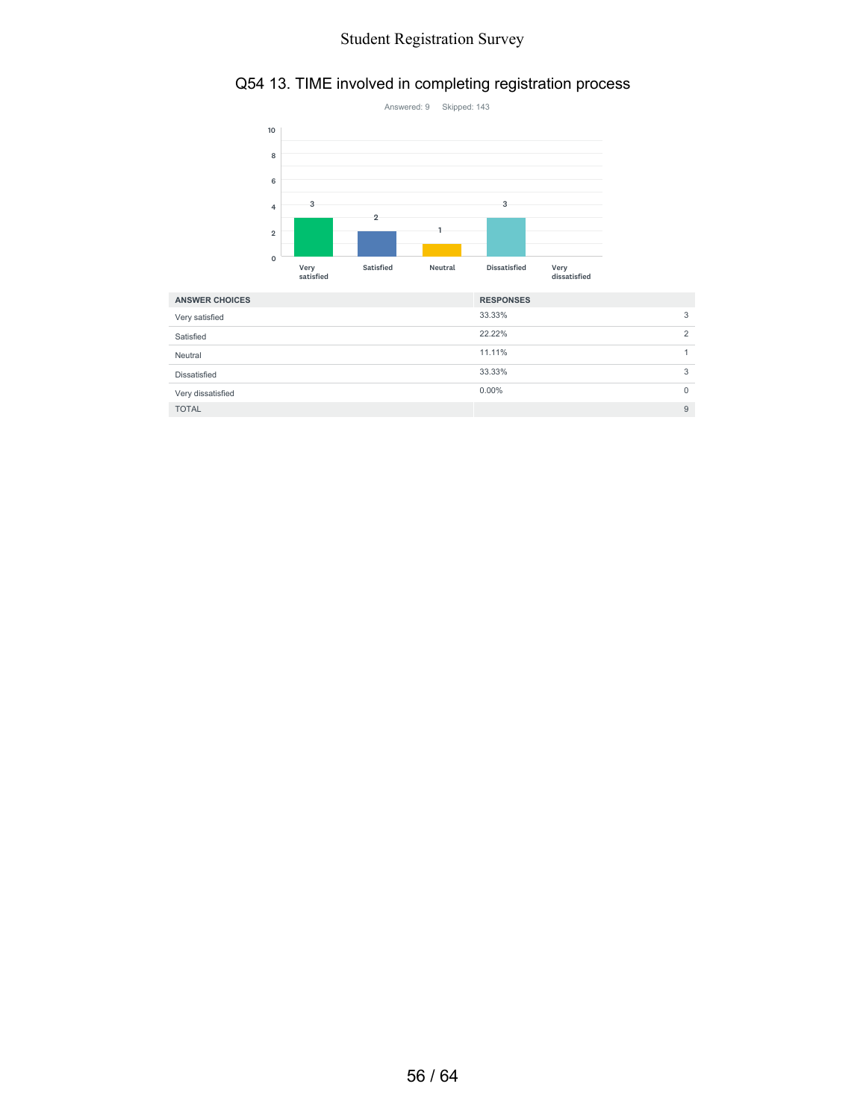#### Q54 13. TIME involved in completing registration process



| <b>ANSWER CHOICES</b> | <b>RESPONSES</b> |          |
|-----------------------|------------------|----------|
| Very satisfied        | 33.33%           | 3        |
| Satisfied             | 22.22%           | 2        |
| Neutral               | 11.11%           |          |
| Dissatisfied          | 33.33%           | 3        |
| Very dissatisfied     | $0.00\%$         | $\Omega$ |
| <b>TOTAL</b>          |                  | 9        |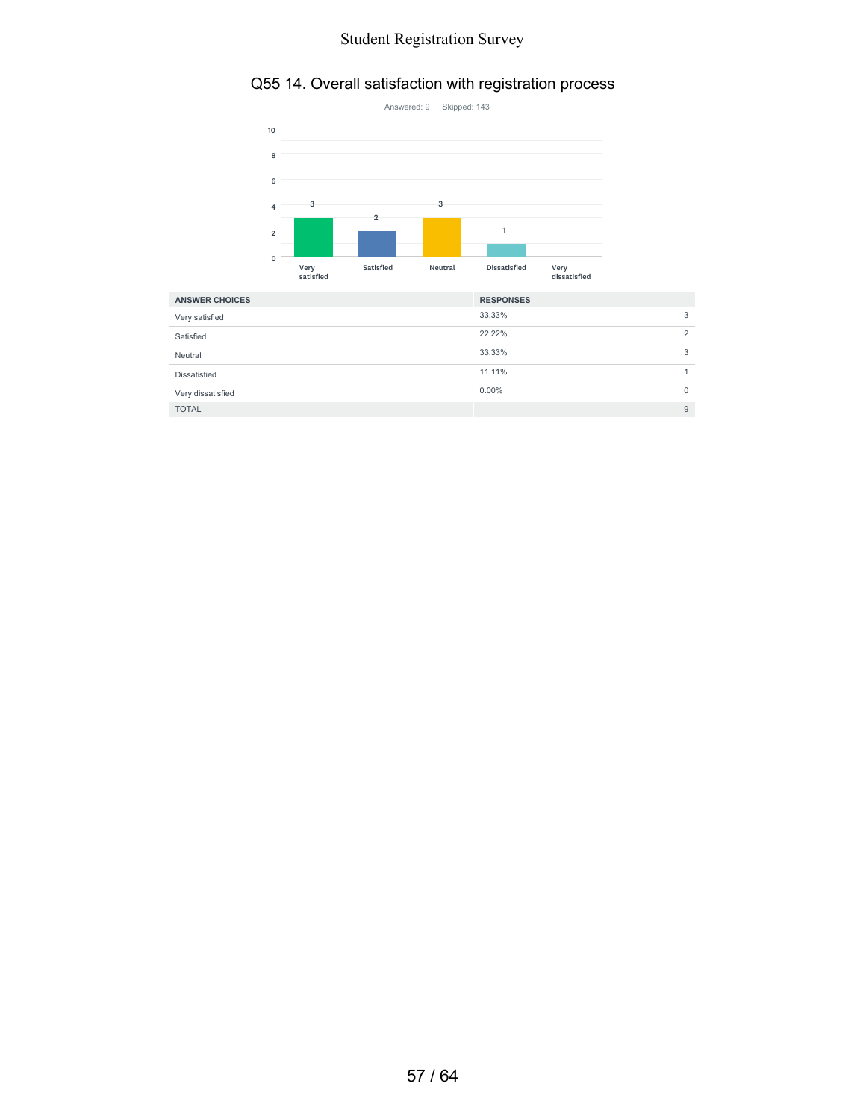### Q55 14. Overall satisfaction with registration process



| <b>ANSWER CHOICES</b> | <b>RESPONSES</b> |          |
|-----------------------|------------------|----------|
| Very satisfied        | 33.33%           | 3        |
| Satisfied             | 22.22%           | 2        |
| Neutral               | 33.33%           | 3        |
| Dissatisfied          | 11.11%           |          |
| Very dissatisfied     | $0.00\%$         | $\Omega$ |
| <b>TOTAL</b>          |                  | 9        |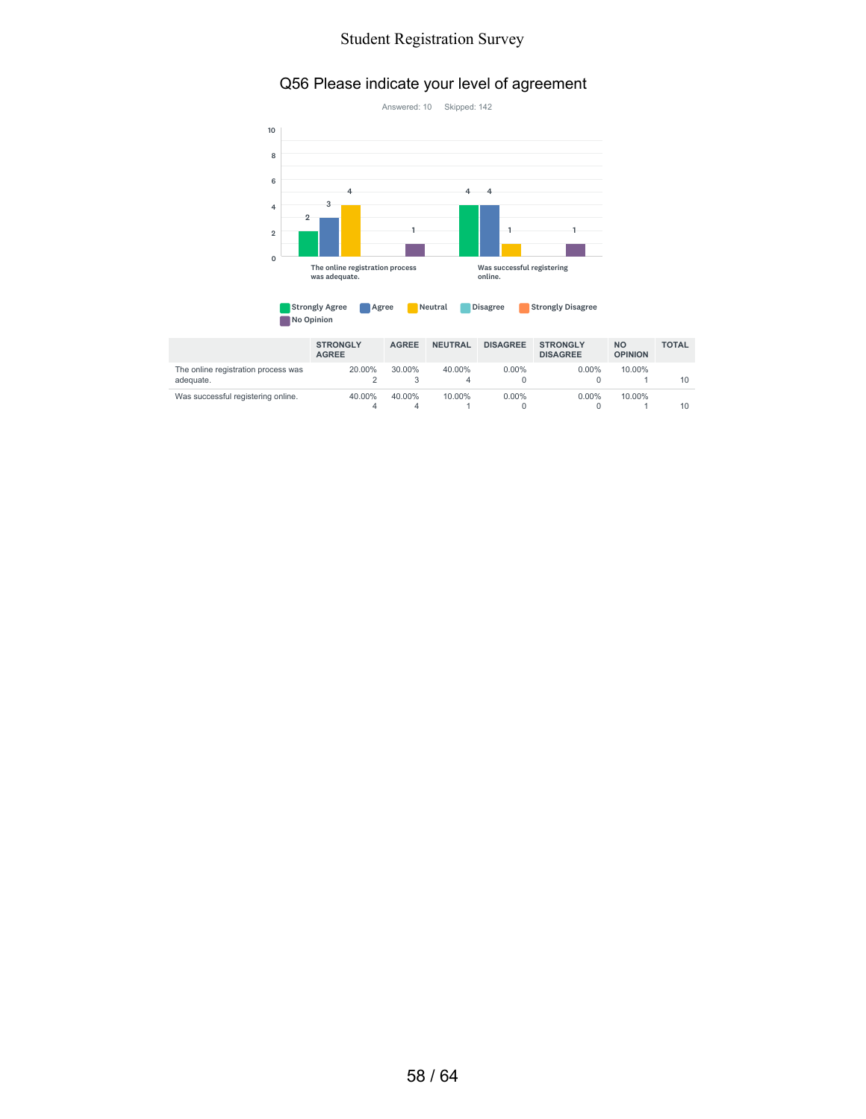#### Q56 Please indicate your level of agreement



| <b>Strongly Agree</b> | Agree | <mark>'</mark> Neutral | <b>Disagree</b> | <b>Strongly Disagree</b> |
|-----------------------|-------|------------------------|-----------------|--------------------------|
| No Opinion            |       |                        |                 |                          |

|                                                  | <b>STRONGLY</b><br><b>AGREE</b> | <b>AGREE</b> | <b>NEUTRAL</b> | <b>DISAGREE</b> | <b>STRONGLY</b><br><b>DISAGREE</b> | <b>NO</b><br><b>OPINION</b> | <b>TOTAL</b> |
|--------------------------------------------------|---------------------------------|--------------|----------------|-----------------|------------------------------------|-----------------------------|--------------|
| The online registration process was<br>adequate. | 20.00%                          | 30.00%       | 40.00%<br>4    | $0.00\%$        | $0.00\%$                           | 10.00%                      | 10           |
| Was successful registering online.               | 40.00%                          | 40.00%       | 10.00%         | $0.00\%$        | $0.00\%$                           | 10.00%                      | 10           |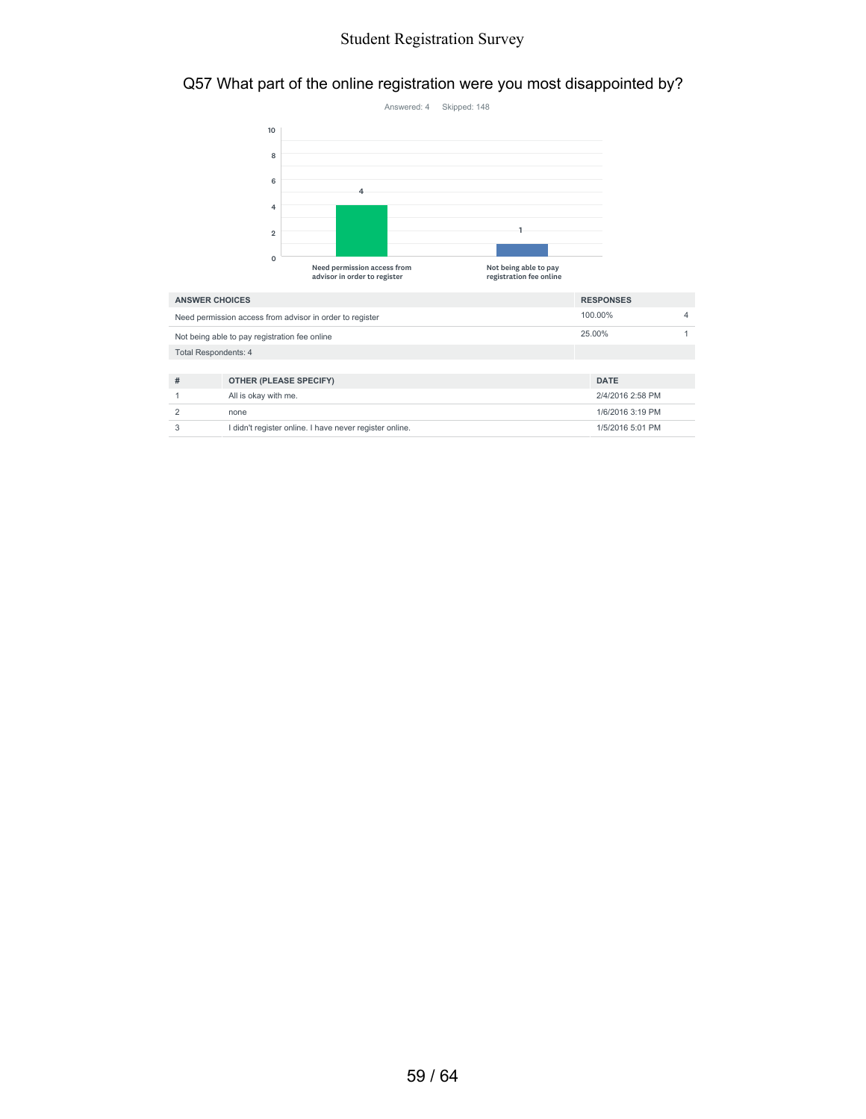#### Q57 What part of the online registration were you most disappointed by?



| <b>ANSWER CHOICES</b>                                    |                                                         | <b>RESPONSES</b> |  |
|----------------------------------------------------------|---------------------------------------------------------|------------------|--|
| Need permission access from advisor in order to register |                                                         | 100.00%          |  |
|                                                          | Not being able to pay registration fee online           | 25.00%           |  |
| <b>Total Respondents: 4</b>                              |                                                         |                  |  |
|                                                          |                                                         |                  |  |
| #                                                        | OTHER (PLEASE SPECIFY)                                  | <b>DATE</b>      |  |
|                                                          | All is okay with me.                                    | 2/4/2016 2:58 PM |  |
| $\mathcal{P}$                                            | none                                                    | 1/6/2016 3:19 PM |  |
| 3                                                        | I didn't register online. I have never register online. | 1/5/2016 5:01 PM |  |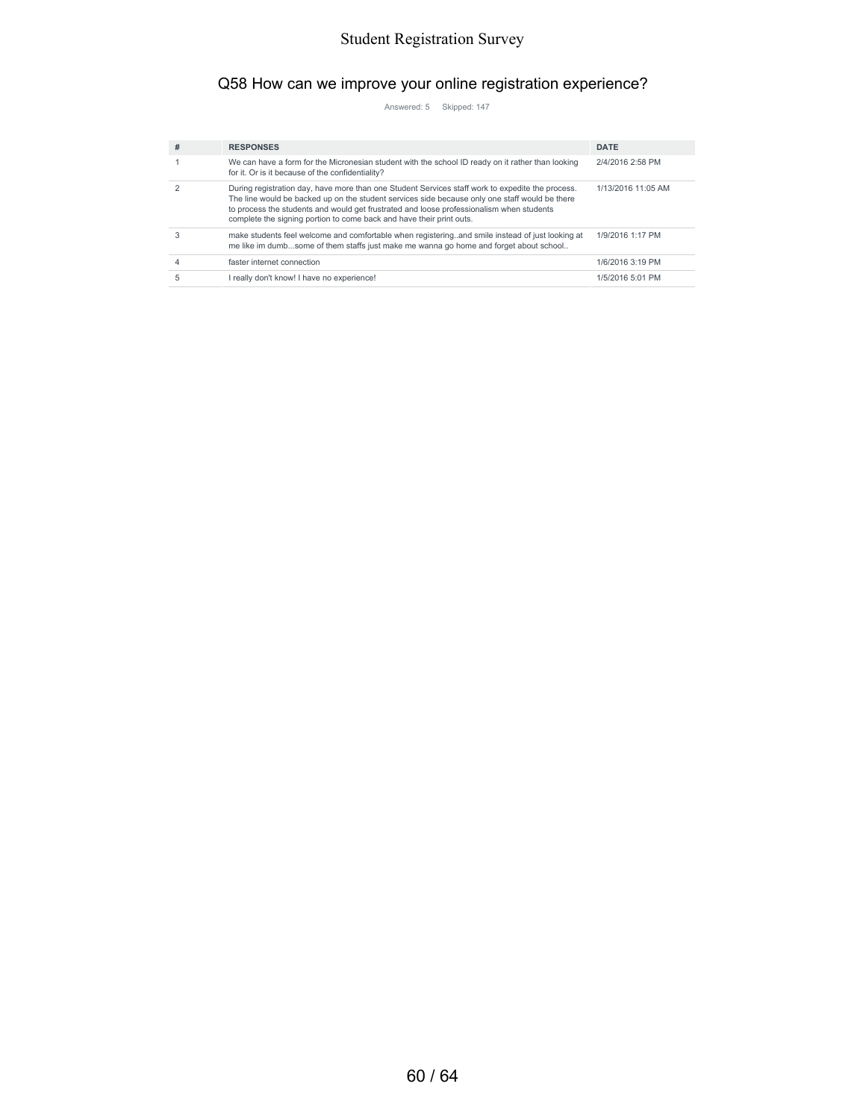### Q58 How can we improve your online registration experience?

Answered: 5 Skipped: 147

| # | <b>RESPONSES</b>                                                                                                                                                                                                                                                                                                                                                       | <b>DATE</b>        |
|---|------------------------------------------------------------------------------------------------------------------------------------------------------------------------------------------------------------------------------------------------------------------------------------------------------------------------------------------------------------------------|--------------------|
|   | We can have a form for the Micronesian student with the school ID ready on it rather than looking<br>for it. Or is it because of the confidentiality?                                                                                                                                                                                                                  | 2/4/2016 2:58 PM   |
|   | During registration day, have more than one Student Services staff work to expedite the process.<br>The line would be backed up on the student services side because only one staff would be there<br>to process the students and would get frustrated and loose professionalism when students<br>complete the signing portion to come back and have their print outs. | 1/13/2016 11:05 AM |
|   | make students feel welcome and comfortable when registering. and smile instead of just looking at<br>me like im dumbsome of them staffs just make me wanna go home and forget about school                                                                                                                                                                             | 1/9/2016 1:17 PM   |
|   | faster internet connection                                                                                                                                                                                                                                                                                                                                             | 1/6/2016 3:19 PM   |
|   | I really don't know! I have no experience!                                                                                                                                                                                                                                                                                                                             | 1/5/2016 5:01 PM   |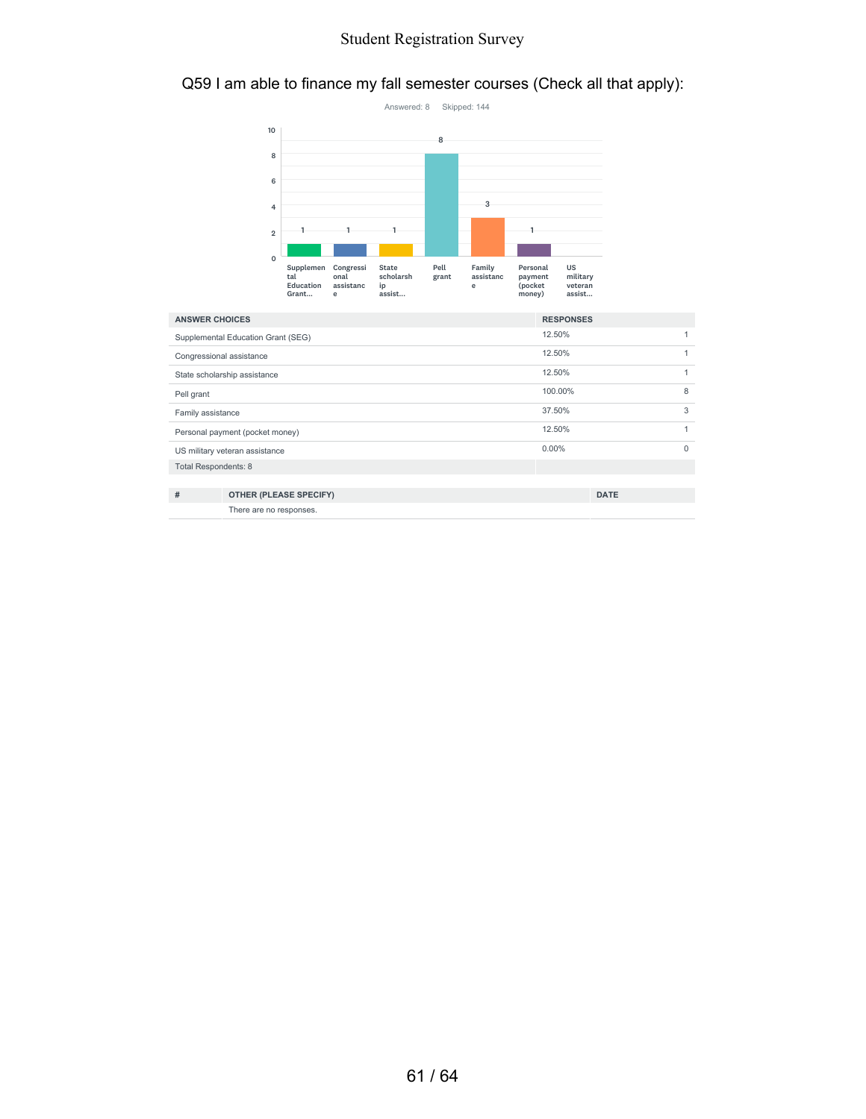#### Q59 I am able to finance my fall semester courses (Check all that apply):



| <b>ANSWER CHOICES</b>              |                               | <b>RESPONSES</b> |             |          |
|------------------------------------|-------------------------------|------------------|-------------|----------|
| Supplemental Education Grant (SEG) |                               | 12.50%           |             |          |
| Congressional assistance           |                               | 12.50%           |             |          |
| State scholarship assistance       |                               | 12.50%           |             |          |
| Pell grant                         |                               | 100.00%          |             | 8        |
| Family assistance                  |                               | 37.50%           |             | 3        |
| Personal payment (pocket money)    |                               | 12.50%           |             |          |
| US military veteran assistance     |                               | $0.00\%$         |             | $\Omega$ |
| Total Respondents: 8               |                               |                  |             |          |
|                                    |                               |                  |             |          |
| #                                  | <b>OTHER (PLEASE SPECIFY)</b> |                  | <b>DATE</b> |          |
|                                    | There are no responses.       |                  |             |          |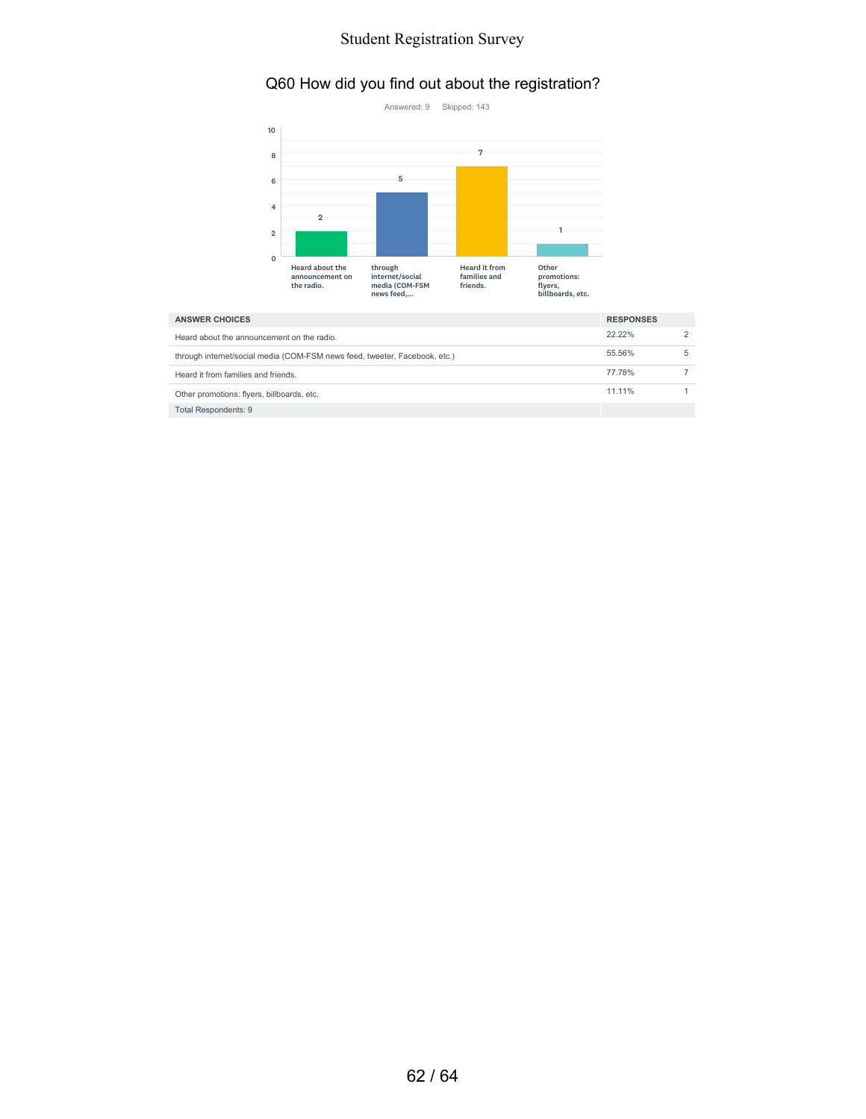### Q60 How did you find out about the registration?



| <b>ANSWER CHOICES</b>                                                      |           |  |
|----------------------------------------------------------------------------|-----------|--|
| Heard about the announcement on the radio.                                 | $22.22\%$ |  |
| through internet/social media (COM-FSM news feed, tweeter, Facebook, etc.) | 55.56%    |  |
| Heard it from families and friends.                                        | 77.78%    |  |
| Other promotions: flyers, billboards, etc.                                 | 11.11%    |  |
| <b>Total Respondents: 9</b>                                                |           |  |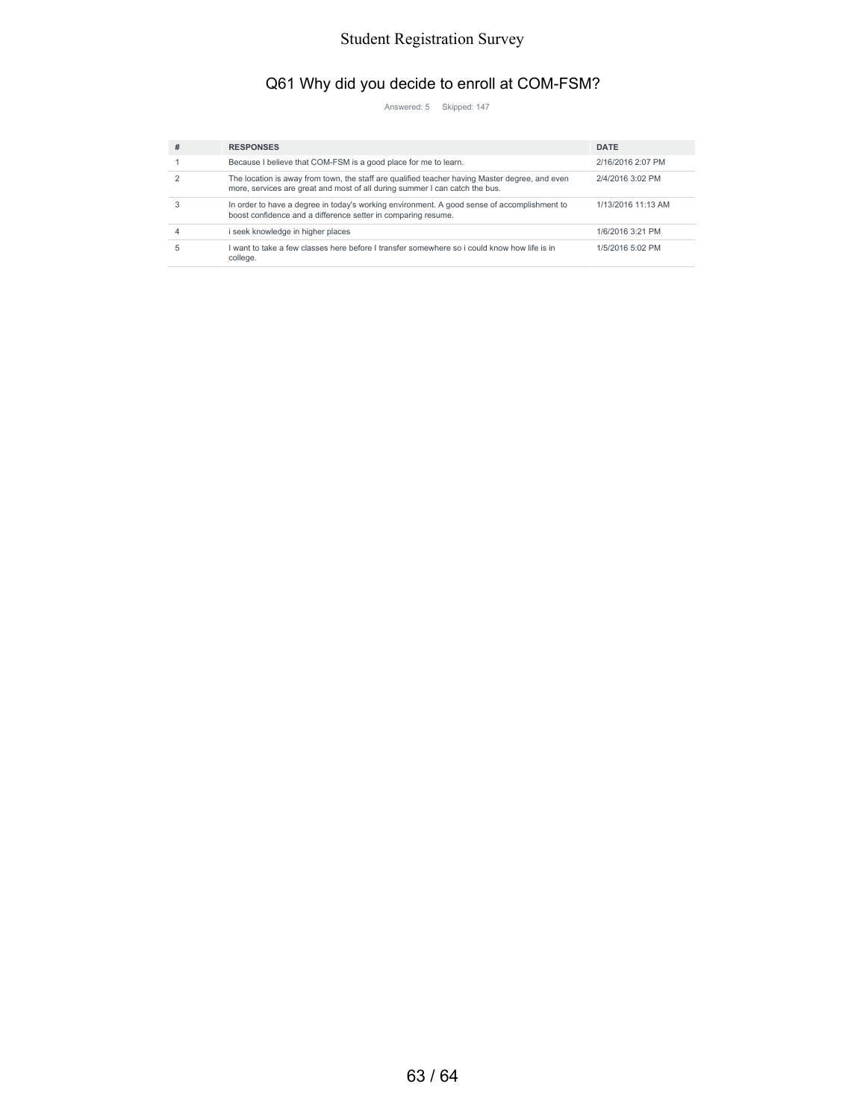## Q61 Why did you decide to enroll at COM-FSM?

Answered: 5 Skipped: 147

| # | <b>RESPONSES</b>                                                                                                                                                              | <b>DATE</b>        |
|---|-------------------------------------------------------------------------------------------------------------------------------------------------------------------------------|--------------------|
|   | Because I believe that COM-FSM is a good place for me to learn.                                                                                                               | 2/16/2016 2:07 PM  |
|   | The location is away from town, the staff are qualified teacher having Master degree, and even<br>more, services are great and most of all during summer I can catch the bus. | 2/4/2016 3:02 PM   |
|   | In order to have a degree in today's working environment. A good sense of accomplishment to<br>boost confidence and a difference setter in comparing resume.                  | 1/13/2016 11:13 AM |
|   | i seek knowledge in higher places                                                                                                                                             | 1/6/2016 3:21 PM   |
|   | I want to take a few classes here before I transfer somewhere so i could know how life is in<br>college.                                                                      | 1/5/2016 5:02 PM   |